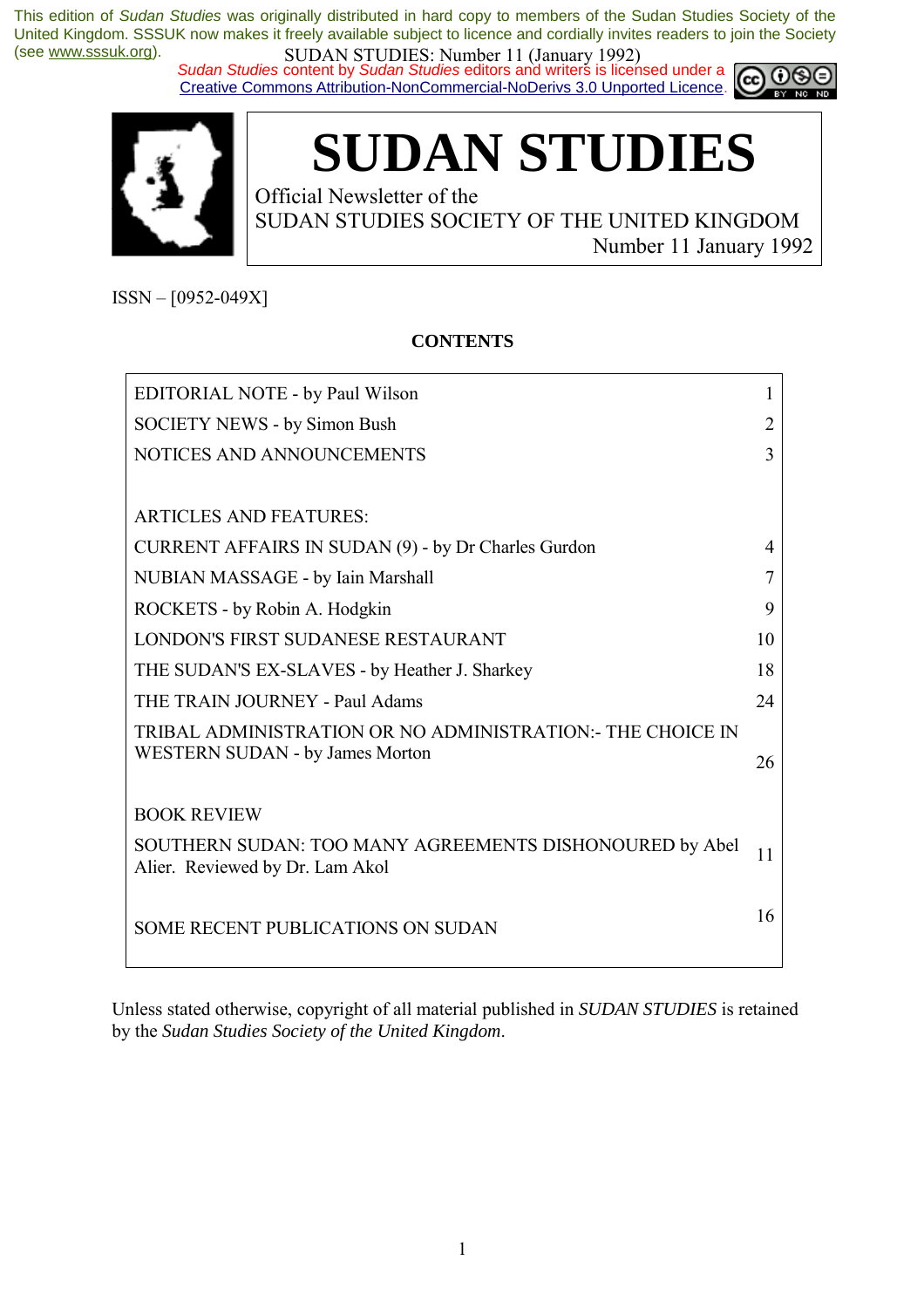*Sudan Studies* content by *Sudan Studies* editors and writers is licensed under a Creative Commons Attribution-NonCommercial-NoDerivs 3.0 Unported Licence.





# **SUDAN STUDIES**

Official Newsletter of the SUDAN STUDIES SOCIETY OF THE UNITED KINGDOM Number 11 January 1992

 $ISSN - [0952-049X]$ 

#### **CONTENTS**

| EDITORIAL NOTE - by Paul Wilson                                                            | L  |
|--------------------------------------------------------------------------------------------|----|
| <b>SOCIETY NEWS - by Simon Bush</b>                                                        |    |
| NOTICES AND ANNOUNCEMENTS                                                                  | 3  |
|                                                                                            |    |
| <b>ARTICLES AND FEATURES:</b>                                                              |    |
| CURRENT AFFAIRS IN SUDAN (9) - by Dr Charles Gurdon                                        | 4  |
| NUBIAN MASSAGE - by Iain Marshall                                                          |    |
| ROCKETS - by Robin A. Hodgkin                                                              | 9  |
| LONDON'S FIRST SUDANESE RESTAURANT                                                         | 10 |
| THE SUDAN'S EX-SLAVES - by Heather J. Sharkey                                              | 18 |
| THE TRAIN JOURNEY - Paul Adams                                                             | 24 |
| TRIBAL ADMINISTRATION OR NO ADMINISTRATION:- THE CHOICE IN                                 |    |
| <b>WESTERN SUDAN - by James Morton</b>                                                     | 26 |
| <b>BOOK REVIEW</b>                                                                         |    |
|                                                                                            |    |
| SOUTHERN SUDAN: TOO MANY AGREEMENTS DISHONOURED by Abel<br>Alier. Reviewed by Dr. Lam Akol | 11 |
|                                                                                            |    |
| <b>SOME RECENT PUBLICATIONS ON SUDAN</b>                                                   | 16 |
|                                                                                            |    |

Unless stated otherwise, copyright of all material published in *SUDAN STUDIES* is retained by the *Sudan Studies Society of the United Kingdom*.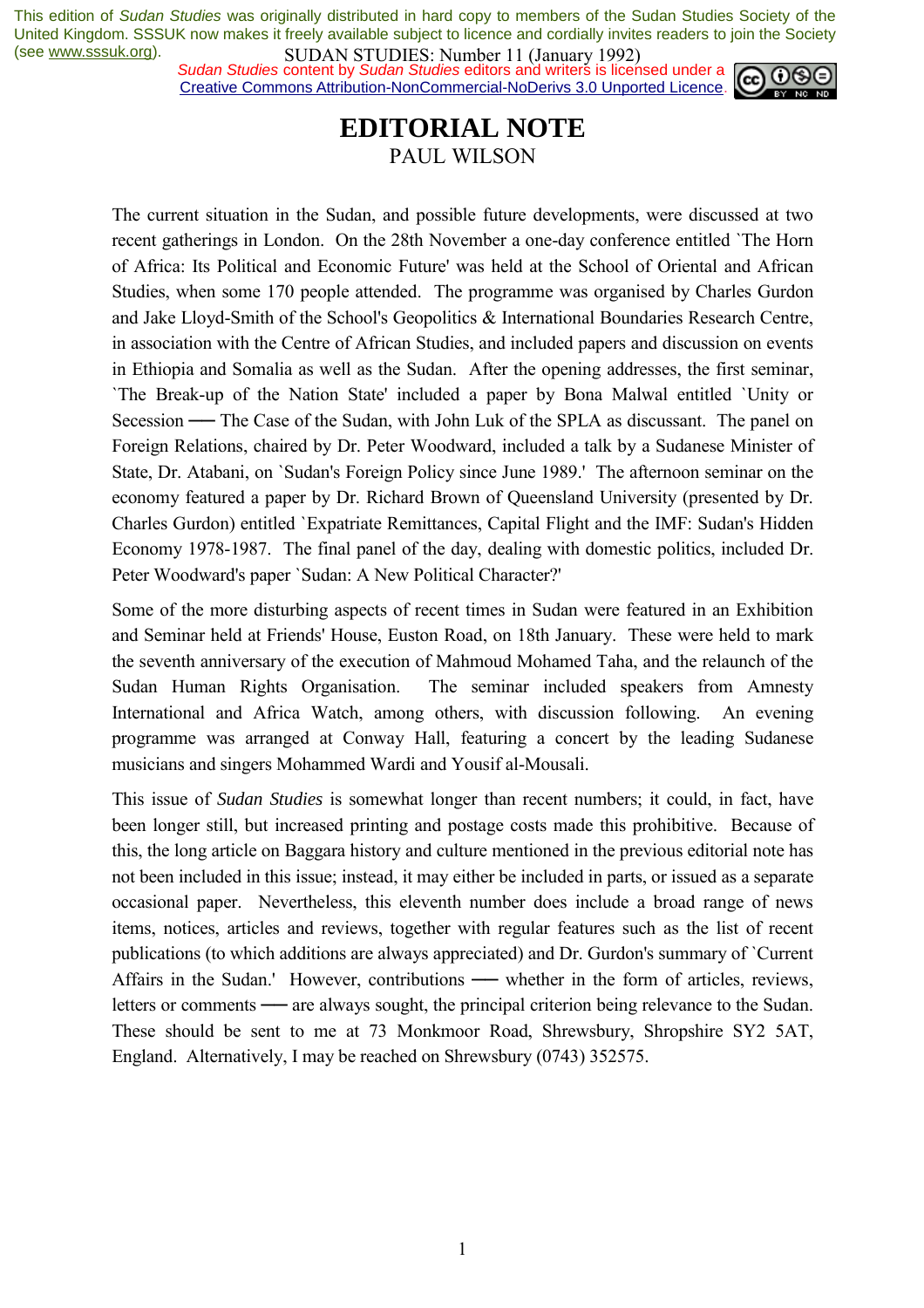*Sudan Studies* content by *Sudan Studies* editors and writers is licensed under a Creative Commons Attribution-NonCommercial-NoDerivs 3.0 Unported Licence.



### **EDITORIAL NOTE**  PAUL WILSON

The current situation in the Sudan, and possible future developments, were discussed at two recent gatherings in London. On the 28th November a one-day conference entitled `The Horn of Africa: Its Political and Economic Future' was held at the School of Oriental and African Studies, when some 170 people attended. The programme was organised by Charles Gurdon and Jake Lloyd-Smith of the School's Geopolitics & International Boundaries Research Centre, in association with the Centre of African Studies, and included papers and discussion on events in Ethiopia and Somalia as well as the Sudan. After the opening addresses, the first seminar, `The Break-up of the Nation State' included a paper by Bona Malwal entitled `Unity or Secession — The Case of the Sudan, with John Luk of the SPLA as discussant. The panel on Foreign Relations, chaired by Dr. Peter Woodward, included a talk by a Sudanese Minister of State, Dr. Atabani, on `Sudan's Foreign Policy since June 1989.' The afternoon seminar on the economy featured a paper by Dr. Richard Brown of Queensland University (presented by Dr. Charles Gurdon) entitled `Expatriate Remittances, Capital Flight and the IMF: Sudan's Hidden Economy 1978-1987. The final panel of the day, dealing with domestic politics, included Dr. Peter Woodward's paper `Sudan: A New Political Character?'

Some of the more disturbing aspects of recent times in Sudan were featured in an Exhibition and Seminar held at Friends' House, Euston Road, on 18th January. These were held to mark the seventh anniversary of the execution of Mahmoud Mohamed Taha, and the relaunch of the Sudan Human Rights Organisation. The seminar included speakers from Amnesty International and Africa Watch, among others, with discussion following. An evening programme was arranged at Conway Hall, featuring a concert by the leading Sudanese musicians and singers Mohammed Wardi and Yousif al-Mousali.

This issue of *Sudan Studies* is somewhat longer than recent numbers; it could, in fact, have been longer still, but increased printing and postage costs made this prohibitive. Because of this, the long article on Baggara history and culture mentioned in the previous editorial note has not been included in this issue; instead, it may either be included in parts, or issued as a separate occasional paper. Nevertheless, this eleventh number does include a broad range of news items, notices, articles and reviews, together with regular features such as the list of recent publications (to which additions are always appreciated) and Dr. Gurdon's summary of `Current Affairs in the Sudan.' However, contributions — whether in the form of articles, reviews, letters or comments — are always sought, the principal criterion being relevance to the Sudan. These should be sent to me at 73 Monkmoor Road, Shrewsbury, Shropshire SY2 5AT, England. Alternatively, I may be reached on Shrewsbury (0743) 352575.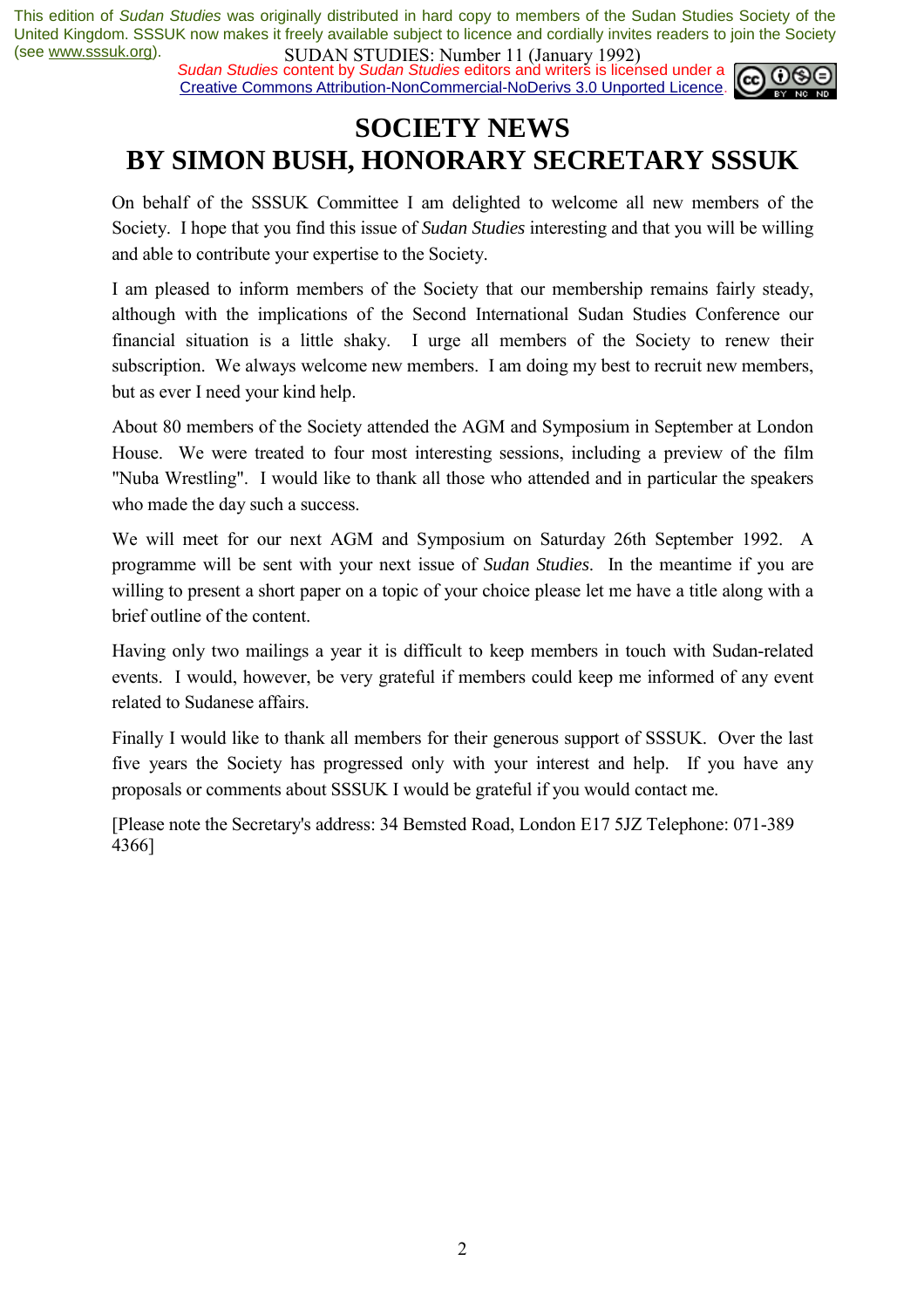*Sudan Studies* content by *Sudan Studies* editors and writers is licensed under a Creative Commons Attribution-NonCommercial-NoDerivs 3.0 Unported Licence.



# **SOCIETY NEWS BY SIMON BUSH, HONORARY SECRETARY SSSUK**

On behalf of the SSSUK Committee I am delighted to welcome all new members of the Society. I hope that you find this issue of *Sudan Studies* interesting and that you will be willing and able to contribute your expertise to the Society.

I am pleased to inform members of the Society that our membership remains fairly steady, although with the implications of the Second International Sudan Studies Conference our financial situation is a little shaky. I urge all members of the Society to renew their subscription. We always welcome new members. I am doing my best to recruit new members, but as ever I need your kind help.

About 80 members of the Society attended the AGM and Symposium in September at London House. We were treated to four most interesting sessions, including a preview of the film "Nuba Wrestling". I would like to thank all those who attended and in particular the speakers who made the day such a success.

We will meet for our next AGM and Symposium on Saturday 26th September 1992. A programme will be sent with your next issue of *Sudan Studies*. In the meantime if you are willing to present a short paper on a topic of your choice please let me have a title along with a brief outline of the content.

Having only two mailings a year it is difficult to keep members in touch with Sudan-related events. I would, however, be very grateful if members could keep me informed of any event related to Sudanese affairs.

Finally I would like to thank all members for their generous support of SSSUK. Over the last five years the Society has progressed only with your interest and help. If you have any proposals or comments about SSSUK I would be grateful if you would contact me.

[Please note the Secretary's address: 34 Bemsted Road, London E17 5JZ Telephone: 071-389 4366]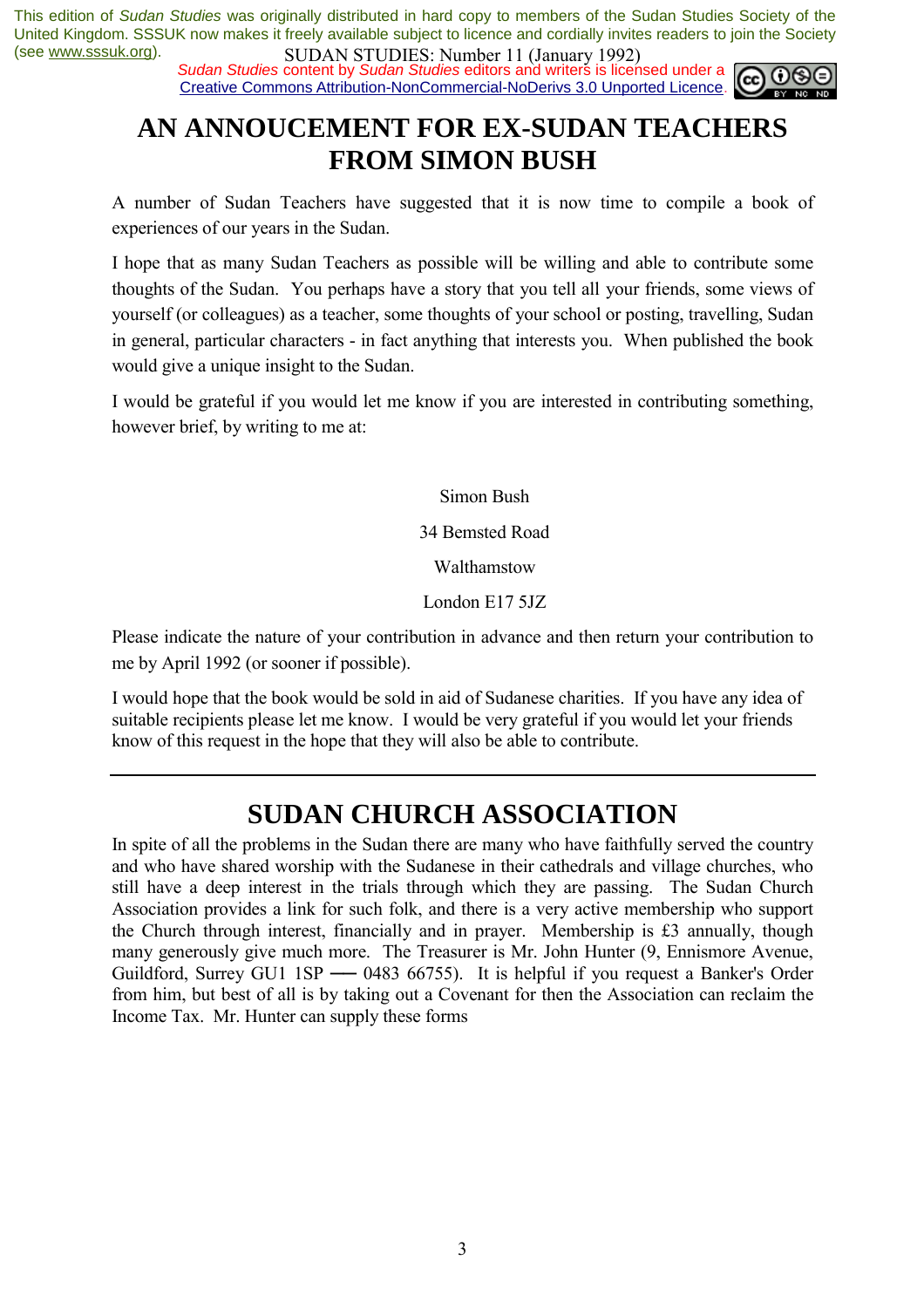*Sudan Studies* content by *Sudan Studies* editors and writers is licensed under a Creative Commons Attribution-NonCommercial-NoDerivs 3.0 Unported Licence.



# **AN ANNOUCEMENT FOR EX-SUDAN TEACHERS FROM SIMON BUSH**

A number of Sudan Teachers have suggested that it is now time to compile a book of experiences of our years in the Sudan.

I hope that as many Sudan Teachers as possible will be willing and able to contribute some thoughts of the Sudan. You perhaps have a story that you tell all your friends, some views of yourself (or colleagues) as a teacher, some thoughts of your school or posting, travelling, Sudan in general, particular characters - in fact anything that interests you. When published the book would give a unique insight to the Sudan.

I would be grateful if you would let me know if you are interested in contributing something, however brief, by writing to me at:

Simon Bush

34 Bemsted Road

Walthamstow

London E17 5JZ

Please indicate the nature of your contribution in advance and then return your contribution to me by April 1992 (or sooner if possible).

I would hope that the book would be sold in aid of Sudanese charities. If you have any idea of suitable recipients please let me know. I would be very grateful if you would let your friends know of this request in the hope that they will also be able to contribute.

# **SUDAN CHURCH ASSOCIATION**

In spite of all the problems in the Sudan there are many who have faithfully served the country and who have shared worship with the Sudanese in their cathedrals and village churches, who still have a deep interest in the trials through which they are passing. The Sudan Church Association provides a link for such folk, and there is a very active membership who support the Church through interest, financially and in prayer. Membership is £3 annually, though many generously give much more. The Treasurer is Mr. John Hunter (9, Ennismore Avenue, Guildford, Surrey GU1 1SP — 0483 66755). It is helpful if you request a Banker's Order from him, but best of all is by taking out a Covenant for then the Association can reclaim the Income Tax. Mr. Hunter can supply these forms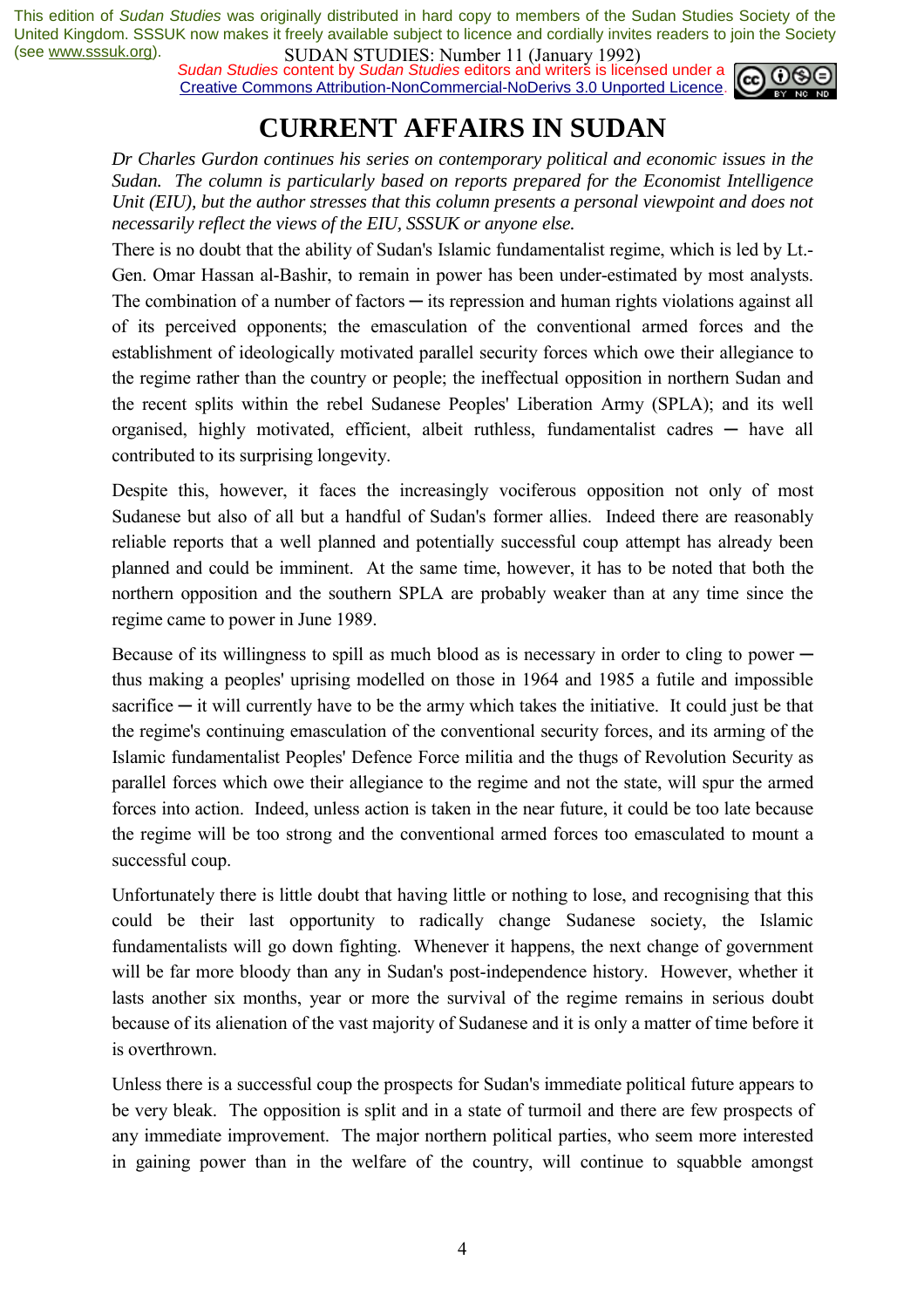*Sudan Studies* content by *Sudan Studies* editors and writers is licensed under a Creative Commons Attribution-NonCommercial-NoDerivs 3.0 Unported Licence.



# **CURRENT AFFAIRS IN SUDAN**

*Dr Charles Gurdon continues his series on contemporary political and economic issues in the Sudan. The column is particularly based on reports prepared for the Economist Intelligence Unit (EIU), but the author stresses that this column presents a personal viewpoint and does not necessarily reflect the views of the EIU, SSSUK or anyone else.* 

There is no doubt that the ability of Sudan's Islamic fundamentalist regime, which is led by Lt.- Gen. Omar Hassan al-Bashir, to remain in power has been under-estimated by most analysts. The combination of a number of factors  $-$  its repression and human rights violations against all of its perceived opponents; the emasculation of the conventional armed forces and the establishment of ideologically motivated parallel security forces which owe their allegiance to the regime rather than the country or people; the ineffectual opposition in northern Sudan and the recent splits within the rebel Sudanese Peoples' Liberation Army (SPLA); and its well organised, highly motivated, efficient, albeit ruthless, fundamentalist cadres — have all contributed to its surprising longevity.

Despite this, however, it faces the increasingly vociferous opposition not only of most Sudanese but also of all but a handful of Sudan's former allies. Indeed there are reasonably reliable reports that a well planned and potentially successful coup attempt has already been planned and could be imminent. At the same time, however, it has to be noted that both the northern opposition and the southern SPLA are probably weaker than at any time since the regime came to power in June 1989.

Because of its willingness to spill as much blood as is necessary in order to cling to power  $$ thus making a peoples' uprising modelled on those in 1964 and 1985 a futile and impossible sacrifice  $-$  it will currently have to be the army which takes the initiative. It could just be that the regime's continuing emasculation of the conventional security forces, and its arming of the Islamic fundamentalist Peoples' Defence Force militia and the thugs of Revolution Security as parallel forces which owe their allegiance to the regime and not the state, will spur the armed forces into action. Indeed, unless action is taken in the near future, it could be too late because the regime will be too strong and the conventional armed forces too emasculated to mount a successful coup.

Unfortunately there is little doubt that having little or nothing to lose, and recognising that this could be their last opportunity to radically change Sudanese society, the Islamic fundamentalists will go down fighting. Whenever it happens, the next change of government will be far more bloody than any in Sudan's post-independence history. However, whether it lasts another six months, year or more the survival of the regime remains in serious doubt because of its alienation of the vast majority of Sudanese and it is only a matter of time before it is overthrown.

Unless there is a successful coup the prospects for Sudan's immediate political future appears to be very bleak. The opposition is split and in a state of turmoil and there are few prospects of any immediate improvement. The major northern political parties, who seem more interested in gaining power than in the welfare of the country, will continue to squabble amongst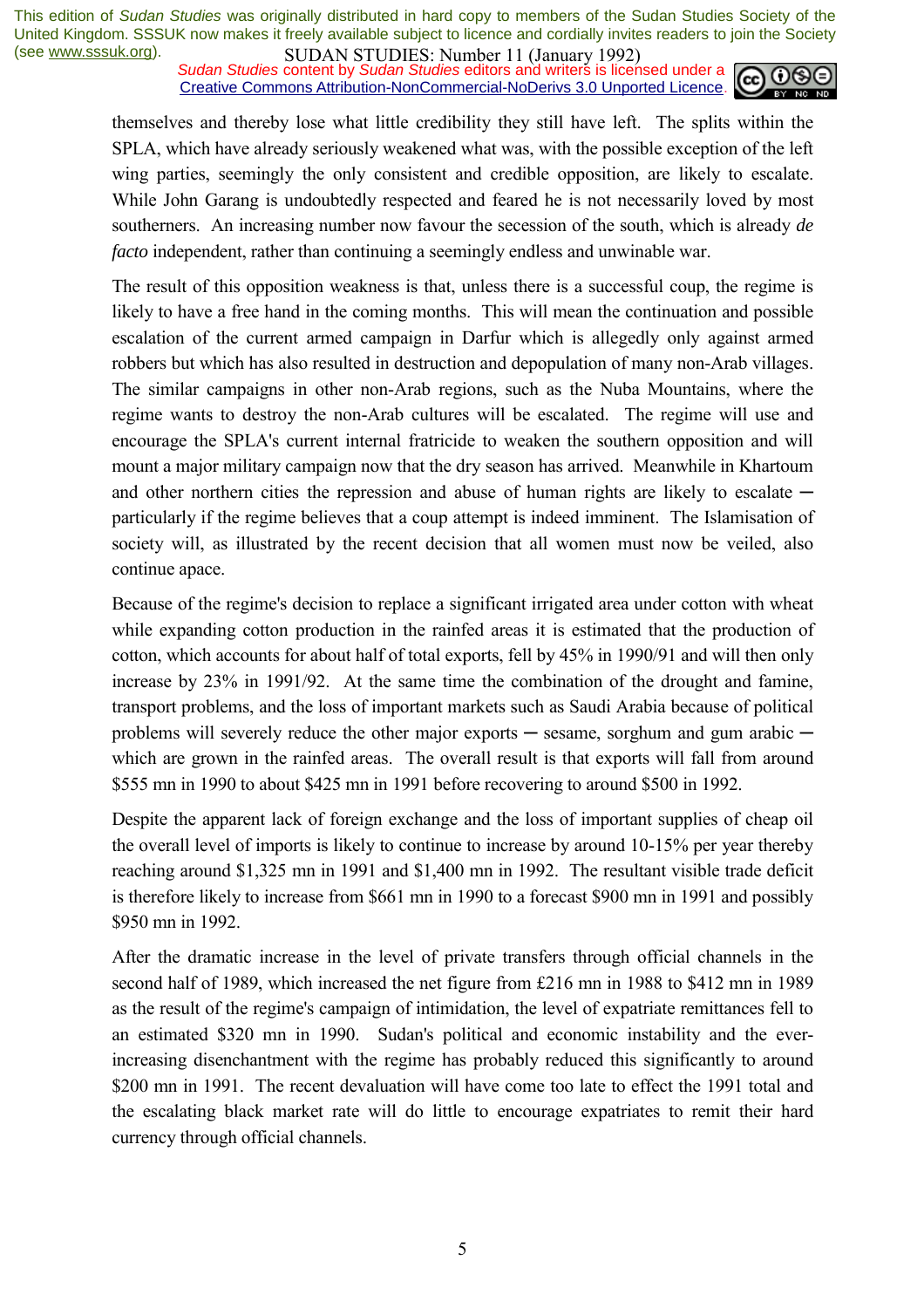*Sudan Studies* content by *Sudan Studies* editors and writers is licensed under a Creative Commons Attribution-NonCommercial-NoDerivs 3.0 Unported Licence.



themselves and thereby lose what little credibility they still have left. The splits within the SPLA, which have already seriously weakened what was, with the possible exception of the left wing parties, seemingly the only consistent and credible opposition, are likely to escalate. While John Garang is undoubtedly respected and feared he is not necessarily loved by most southerners. An increasing number now favour the secession of the south, which is already *de facto* independent, rather than continuing a seemingly endless and unwinable war.

The result of this opposition weakness is that, unless there is a successful coup, the regime is likely to have a free hand in the coming months. This will mean the continuation and possible escalation of the current armed campaign in Darfur which is allegedly only against armed robbers but which has also resulted in destruction and depopulation of many non-Arab villages. The similar campaigns in other non-Arab regions, such as the Nuba Mountains, where the regime wants to destroy the non-Arab cultures will be escalated. The regime will use and encourage the SPLA's current internal fratricide to weaken the southern opposition and will mount a major military campaign now that the dry season has arrived. Meanwhile in Khartoum and other northern cities the repression and abuse of human rights are likely to escalate  $$ particularly if the regime believes that a coup attempt is indeed imminent. The Islamisation of society will, as illustrated by the recent decision that all women must now be veiled, also continue apace.

Because of the regime's decision to replace a significant irrigated area under cotton with wheat while expanding cotton production in the rainfed areas it is estimated that the production of cotton, which accounts for about half of total exports, fell by 45% in 1990/91 and will then only increase by 23% in 1991/92. At the same time the combination of the drought and famine, transport problems, and the loss of important markets such as Saudi Arabia because of political problems will severely reduce the other major exports  $-$  sesame, sorghum and gum arabic  $$ which are grown in the rainfed areas. The overall result is that exports will fall from around \$555 mn in 1990 to about \$425 mn in 1991 before recovering to around \$500 in 1992.

Despite the apparent lack of foreign exchange and the loss of important supplies of cheap oil the overall level of imports is likely to continue to increase by around 10-15% per year thereby reaching around \$1,325 mn in 1991 and \$1,400 mn in 1992. The resultant visible trade deficit is therefore likely to increase from \$661 mn in 1990 to a forecast \$900 mn in 1991 and possibly \$950 mn in 1992.

After the dramatic increase in the level of private transfers through official channels in the second half of 1989, which increased the net figure from £216 mn in 1988 to \$412 mn in 1989 as the result of the regime's campaign of intimidation, the level of expatriate remittances fell to an estimated \$320 mn in 1990. Sudan's political and economic instability and the everincreasing disenchantment with the regime has probably reduced this significantly to around \$200 mn in 1991. The recent devaluation will have come too late to effect the 1991 total and the escalating black market rate will do little to encourage expatriates to remit their hard currency through official channels.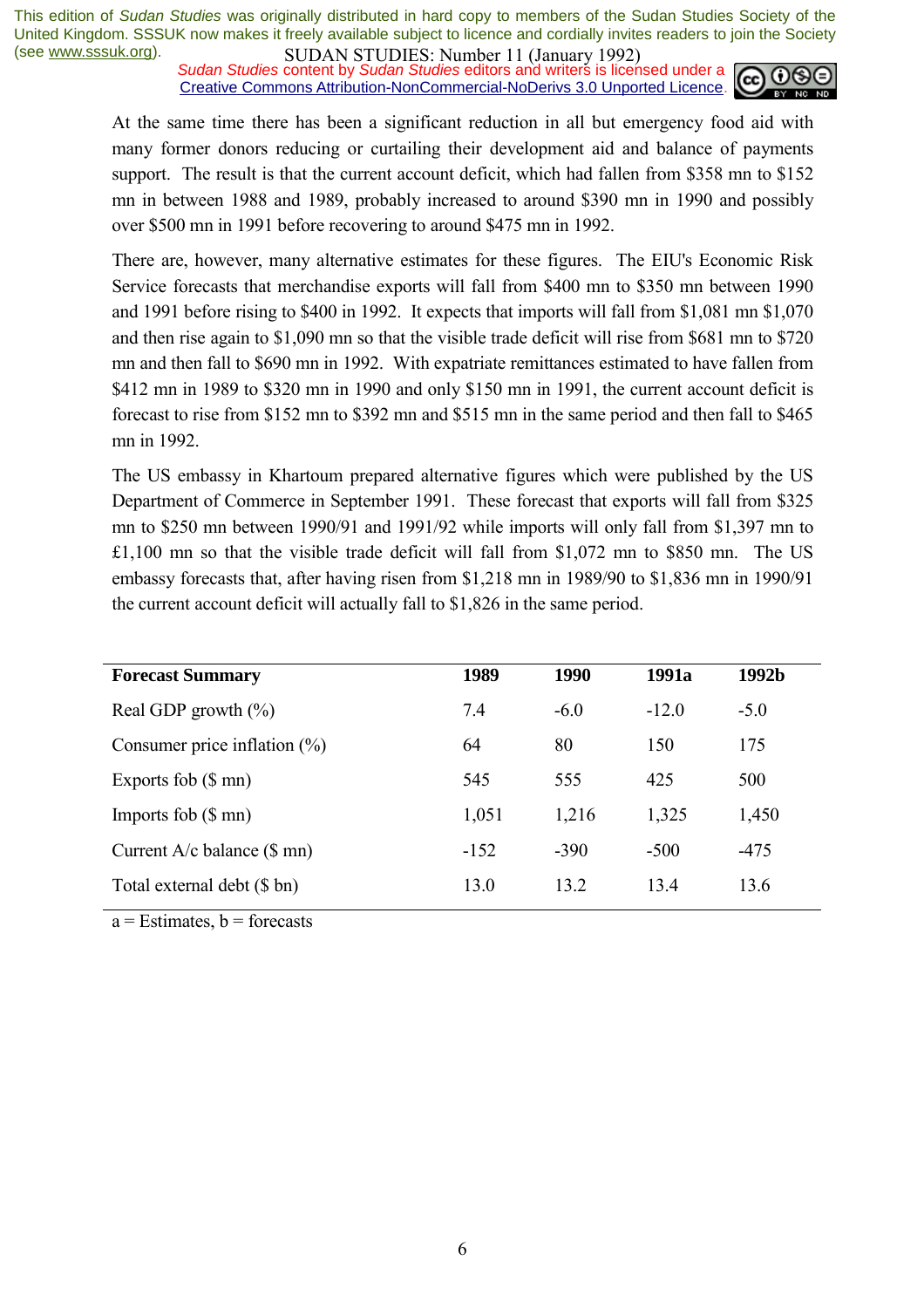*Sudan Studies* content by *Sudan Studies* editors and writers is licensed under a Creative Commons Attribution-NonCommercial-NoDerivs 3.0 Unported Licence.



At the same time there has been a significant reduction in all but emergency food aid with many former donors reducing or curtailing their development aid and balance of payments support. The result is that the current account deficit, which had fallen from \$358 mn to \$152 mn in between 1988 and 1989, probably increased to around \$390 mn in 1990 and possibly over \$500 mn in 1991 before recovering to around \$475 mn in 1992.

There are, however, many alternative estimates for these figures. The EIU's Economic Risk Service forecasts that merchandise exports will fall from \$400 mn to \$350 mn between 1990 and 1991 before rising to \$400 in 1992. It expects that imports will fall from \$1,081 mn \$1,070 and then rise again to \$1,090 mn so that the visible trade deficit will rise from \$681 mn to \$720 mn and then fall to \$690 mn in 1992. With expatriate remittances estimated to have fallen from \$412 mn in 1989 to \$320 mn in 1990 and only \$150 mn in 1991, the current account deficit is forecast to rise from \$152 mn to \$392 mn and \$515 mn in the same period and then fall to \$465 mn in 1992.

The US embassy in Khartoum prepared alternative figures which were published by the US Department of Commerce in September 1991. These forecast that exports will fall from \$325 mn to \$250 mn between 1990/91 and 1991/92 while imports will only fall from \$1,397 mn to £1,100 mn so that the visible trade deficit will fall from \$1,072 mn to \$850 mn. The US embassy forecasts that, after having risen from \$1,218 mn in 1989/90 to \$1,836 mn in 1990/91 the current account deficit will actually fall to \$1,826 in the same period.

| <b>Forecast Summary</b>          | 1989   | 1990   | 1991a   | 1992b  |
|----------------------------------|--------|--------|---------|--------|
| Real GDP growth $(\% )$          | 7.4    | $-6.0$ | $-12.0$ | $-5.0$ |
| Consumer price inflation $(\% )$ | 64     | 80     | 150     | 175    |
| Exports fob $(\$$ mn)            | 545    | 555    | 425     | 500    |
| Imports fob $(\$$ mn)            | 1,051  | 1,216  | 1,325   | 1,450  |
| Current $A/c$ balance $(\$$ mn)  | $-152$ | $-390$ | $-500$  | $-475$ |
| Total external debt (\$ bn)      | 13.0   | 13.2   | 13.4    | 13.6   |

 $a =$  Estimates,  $b =$  forecasts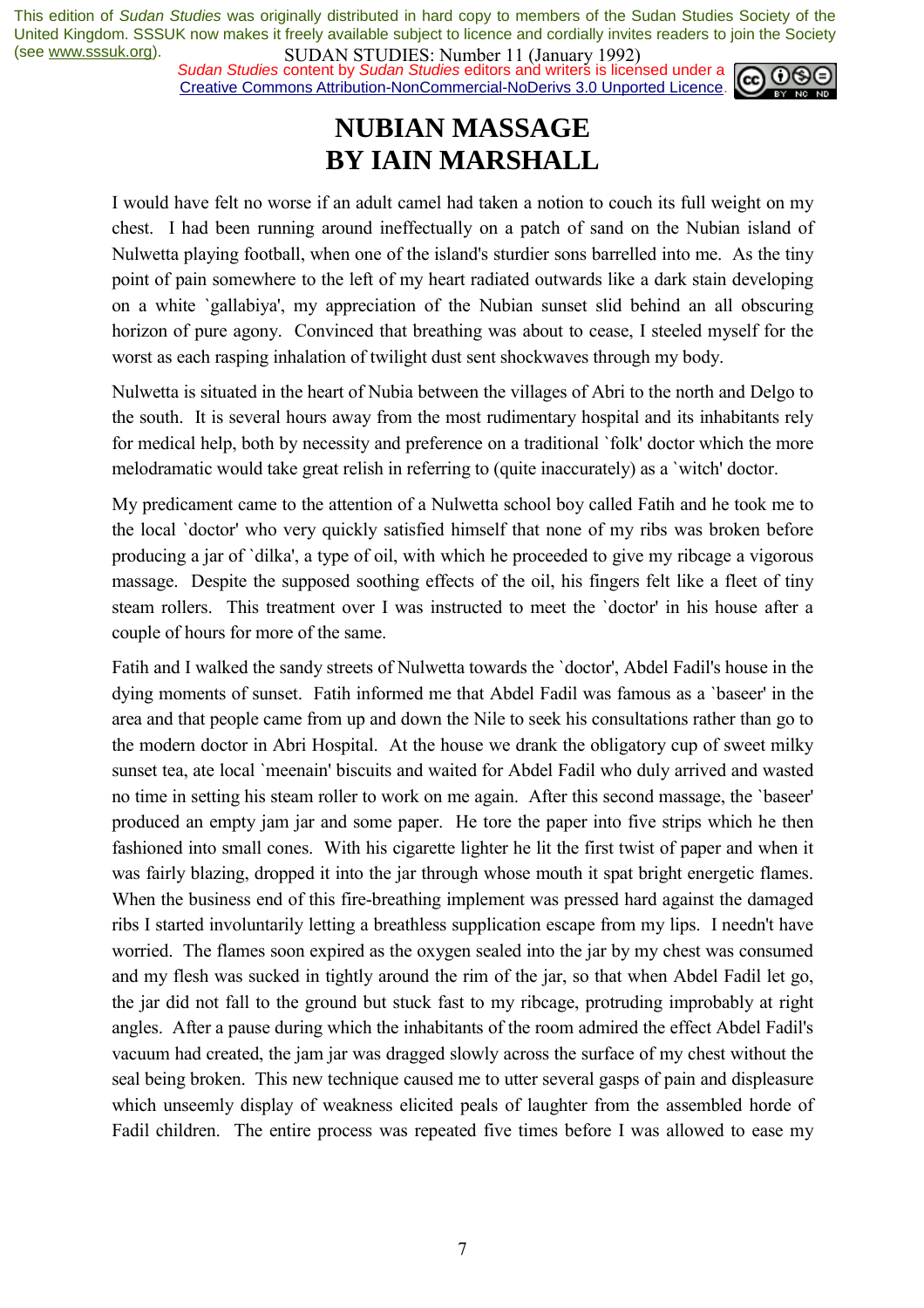*Sudan Studies* content by *Sudan Studies* editors and writers is licensed under a Creative Commons Attribution-NonCommercial-NoDerivs 3.0 Unported Licence.



# **NUBIAN MASSAGE BY IAIN MARSHALL**

I would have felt no worse if an adult camel had taken a notion to couch its full weight on my chest. I had been running around ineffectually on a patch of sand on the Nubian island of Nulwetta playing football, when one of the island's sturdier sons barrelled into me. As the tiny point of pain somewhere to the left of my heart radiated outwards like a dark stain developing on a white `gallabiya', my appreciation of the Nubian sunset slid behind an all obscuring horizon of pure agony. Convinced that breathing was about to cease, I steeled myself for the worst as each rasping inhalation of twilight dust sent shockwaves through my body.

Nulwetta is situated in the heart of Nubia between the villages of Abri to the north and Delgo to the south. It is several hours away from the most rudimentary hospital and its inhabitants rely for medical help, both by necessity and preference on a traditional `folk' doctor which the more melodramatic would take great relish in referring to (quite inaccurately) as a `witch' doctor.

My predicament came to the attention of a Nulwetta school boy called Fatih and he took me to the local `doctor' who very quickly satisfied himself that none of my ribs was broken before producing a jar of `dilka', a type of oil, with which he proceeded to give my ribcage a vigorous massage. Despite the supposed soothing effects of the oil, his fingers felt like a fleet of tiny steam rollers. This treatment over I was instructed to meet the `doctor' in his house after a couple of hours for more of the same.

Fatih and I walked the sandy streets of Nulwetta towards the `doctor', Abdel Fadil's house in the dying moments of sunset. Fatih informed me that Abdel Fadil was famous as a `baseer' in the area and that people came from up and down the Nile to seek his consultations rather than go to the modern doctor in Abri Hospital. At the house we drank the obligatory cup of sweet milky sunset tea, ate local `meenain' biscuits and waited for Abdel Fadil who duly arrived and wasted no time in setting his steam roller to work on me again. After this second massage, the `baseer' produced an empty jam jar and some paper. He tore the paper into five strips which he then fashioned into small cones. With his cigarette lighter he lit the first twist of paper and when it was fairly blazing, dropped it into the jar through whose mouth it spat bright energetic flames. When the business end of this fire-breathing implement was pressed hard against the damaged ribs I started involuntarily letting a breathless supplication escape from my lips. I needn't have worried. The flames soon expired as the oxygen sealed into the jar by my chest was consumed and my flesh was sucked in tightly around the rim of the jar, so that when Abdel Fadil let go, the jar did not fall to the ground but stuck fast to my ribcage, protruding improbably at right angles. After a pause during which the inhabitants of the room admired the effect Abdel Fadil's vacuum had created, the jam jar was dragged slowly across the surface of my chest without the seal being broken. This new technique caused me to utter several gasps of pain and displeasure which unseemly display of weakness elicited peals of laughter from the assembled horde of Fadil children. The entire process was repeated five times before I was allowed to ease my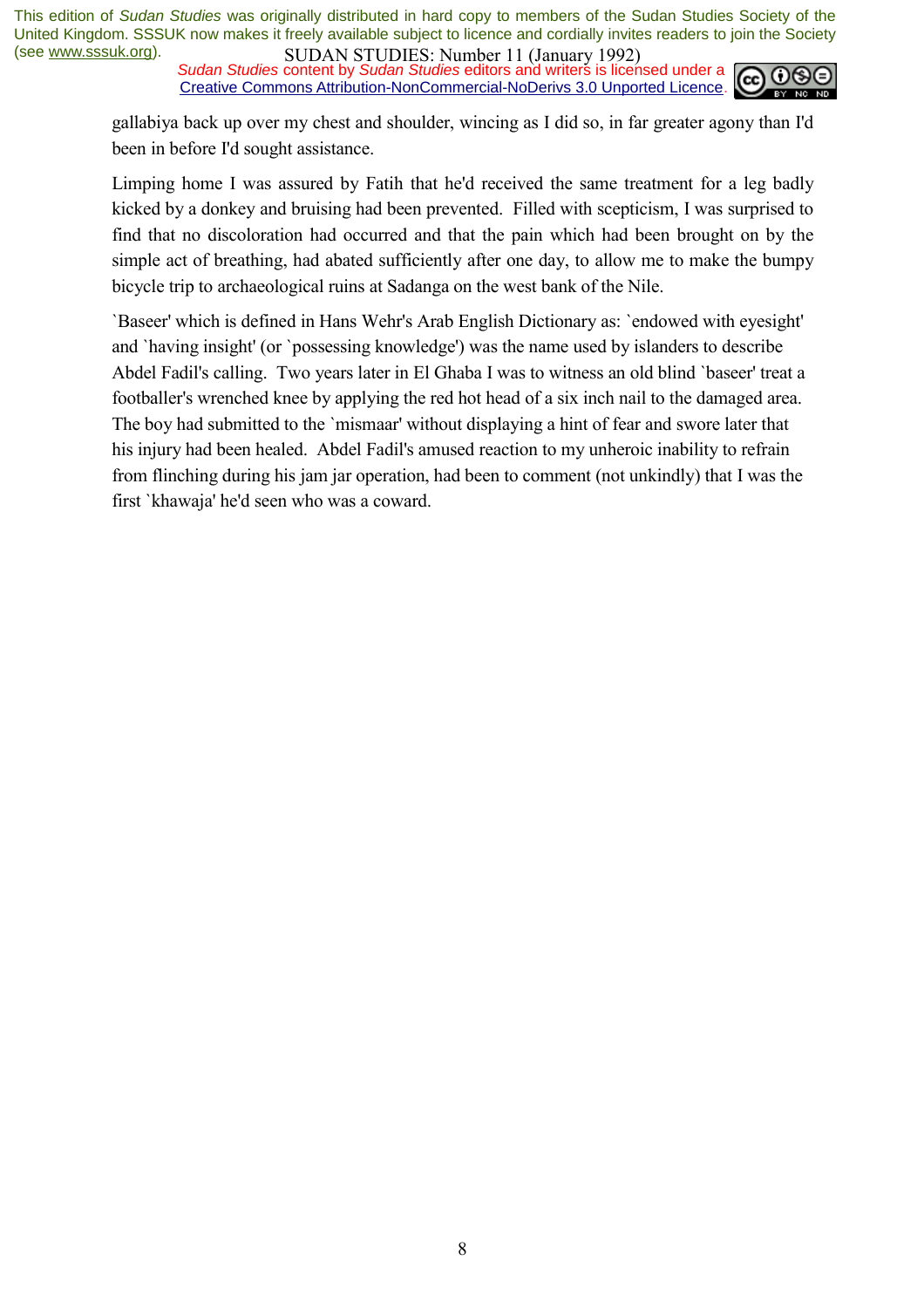*Sudan Studies* content by *Sudan Studies* editors and writers is licensed under a Creative Commons Attribution-NonCommercial-NoDerivs 3.0 Unported Licence.



gallabiya back up over my chest and shoulder, wincing as I did so, in far greater agony than I'd been in before I'd sought assistance.

Limping home I was assured by Fatih that he'd received the same treatment for a leg badly kicked by a donkey and bruising had been prevented. Filled with scepticism, I was surprised to find that no discoloration had occurred and that the pain which had been brought on by the simple act of breathing, had abated sufficiently after one day, to allow me to make the bumpy bicycle trip to archaeological ruins at Sadanga on the west bank of the Nile.

`Baseer' which is defined in Hans Wehr's Arab English Dictionary as: `endowed with eyesight' and `having insight' (or `possessing knowledge') was the name used by islanders to describe Abdel Fadil's calling. Two years later in El Ghaba I was to witness an old blind `baseer' treat a footballer's wrenched knee by applying the red hot head of a six inch nail to the damaged area. The boy had submitted to the `mismaar' without displaying a hint of fear and swore later that his injury had been healed. Abdel Fadil's amused reaction to my unheroic inability to refrain from flinching during his jam jar operation, had been to comment (not unkindly) that I was the first `khawaja' he'd seen who was a coward.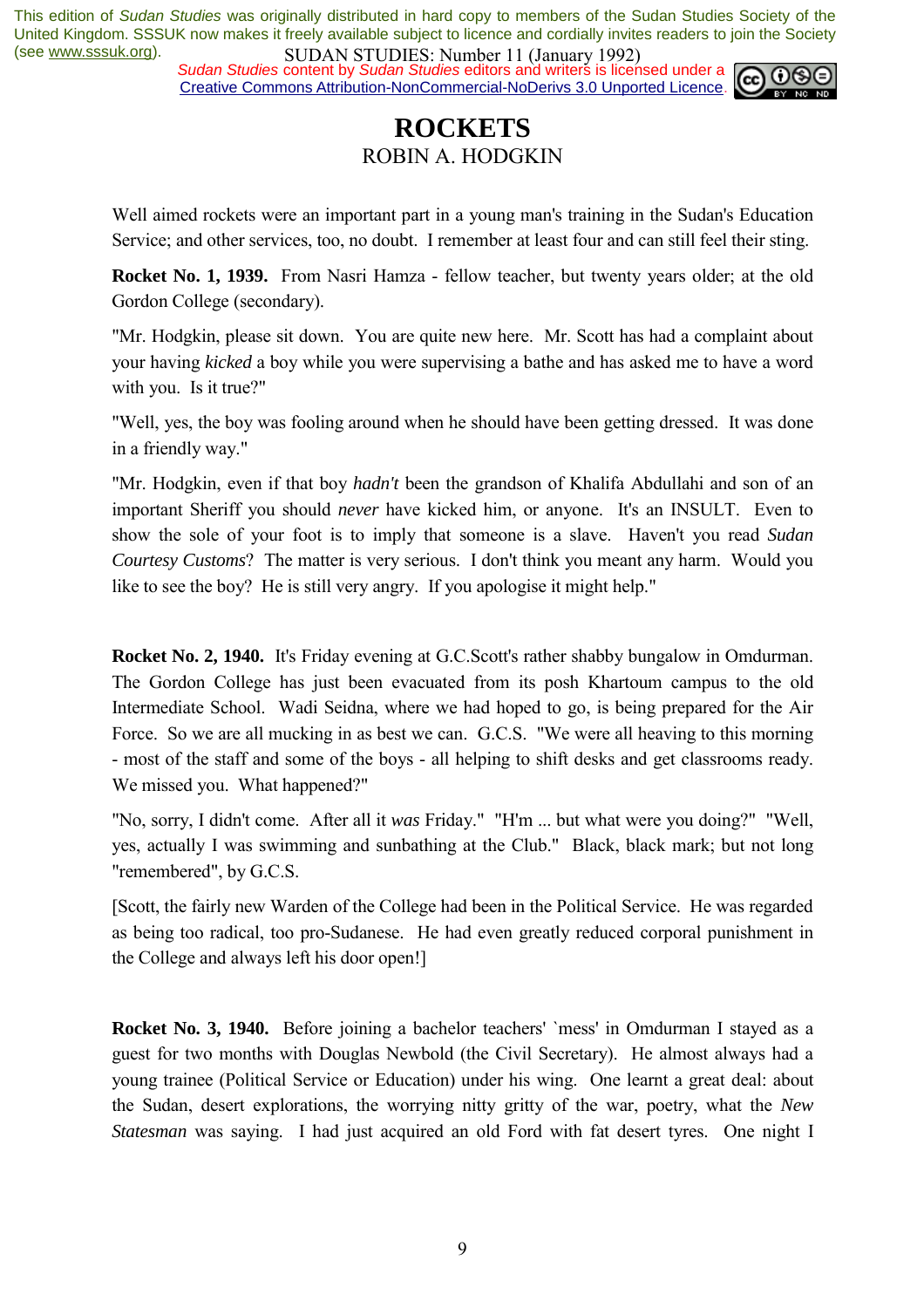*Sudan Studies* content by *Sudan Studies* editors and writers is licensed under a Creative Commons Attribution-NonCommercial-NoDerivs 3.0 Unported Licence.



### **ROCKETS**  ROBIN A. HODGKIN

Well aimed rockets were an important part in a young man's training in the Sudan's Education Service; and other services, too, no doubt. I remember at least four and can still feel their sting.

**Rocket No. 1, 1939.** From Nasri Hamza - fellow teacher, but twenty years older; at the old Gordon College (secondary).

"Mr. Hodgkin, please sit down. You are quite new here. Mr. Scott has had a complaint about your having *kicked* a boy while you were supervising a bathe and has asked me to have a word with you. Is it true?"

"Well, yes, the boy was fooling around when he should have been getting dressed. It was done in a friendly way."

"Mr. Hodgkin, even if that boy *hadn't* been the grandson of Khalifa Abdullahi and son of an important Sheriff you should *never* have kicked him, or anyone. It's an INSULT. Even to show the sole of your foot is to imply that someone is a slave. Haven't you read *Sudan Courtesy Customs*? The matter is very serious. I don't think you meant any harm. Would you like to see the boy? He is still very angry. If you apologise it might help."

**Rocket No. 2, 1940.** It's Friday evening at G.C.Scott's rather shabby bungalow in Omdurman. The Gordon College has just been evacuated from its posh Khartoum campus to the old Intermediate School. Wadi Seidna, where we had hoped to go, is being prepared for the Air Force. So we are all mucking in as best we can. G.C.S. "We were all heaving to this morning - most of the staff and some of the boys - all helping to shift desks and get classrooms ready. We missed you. What happened?"

"No, sorry, I didn't come. After all it *was* Friday." "H'm ... but what were you doing?" "Well, yes, actually I was swimming and sunbathing at the Club." Black, black mark; but not long "remembered", by G.C.S.

[Scott, the fairly new Warden of the College had been in the Political Service. He was regarded as being too radical, too pro-Sudanese. He had even greatly reduced corporal punishment in the College and always left his door open!]

**Rocket No. 3, 1940.** Before joining a bachelor teachers' `mess' in Omdurman I stayed as a guest for two months with Douglas Newbold (the Civil Secretary). He almost always had a young trainee (Political Service or Education) under his wing. One learnt a great deal: about the Sudan, desert explorations, the worrying nitty gritty of the war, poetry, what the *New Statesman* was saying. I had just acquired an old Ford with fat desert tyres. One night I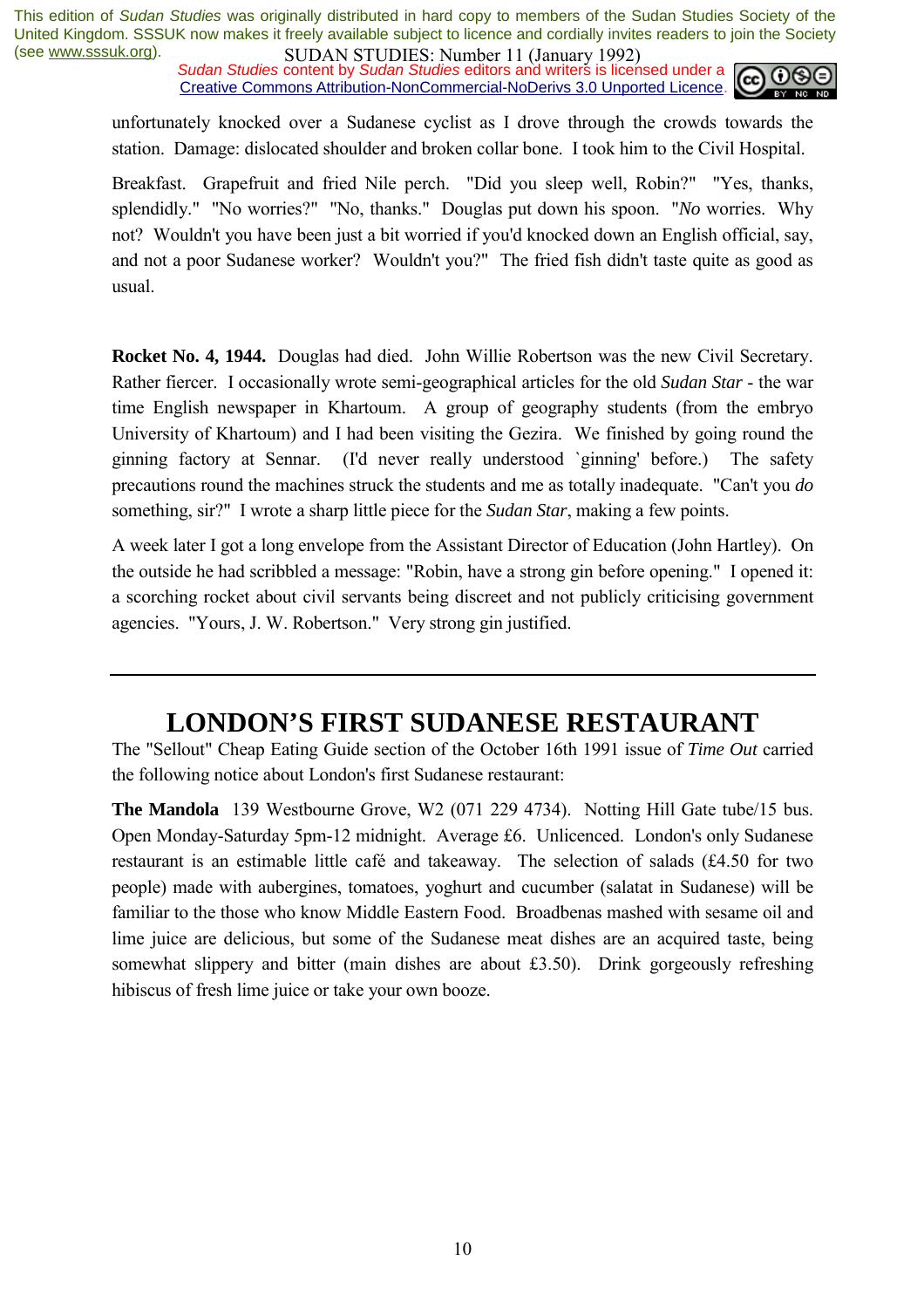*Sudan Studies* content by *Sudan Studies* editors and writers is licensed under a Creative Commons Attribution-NonCommercial-NoDerivs 3.0 Unported Licence.



unfortunately knocked over a Sudanese cyclist as I drove through the crowds towards the station. Damage: dislocated shoulder and broken collar bone. I took him to the Civil Hospital.

Breakfast. Grapefruit and fried Nile perch. "Did you sleep well, Robin?" "Yes, thanks, splendidly." "No worries?" "No, thanks." Douglas put down his spoon. "*No* worries. Why not? Wouldn't you have been just a bit worried if you'd knocked down an English official, say, and not a poor Sudanese worker? Wouldn't you?" The fried fish didn't taste quite as good as usual.

**Rocket No. 4, 1944.** Douglas had died. John Willie Robertson was the new Civil Secretary. Rather fiercer. I occasionally wrote semi-geographical articles for the old *Sudan Star* - the war time English newspaper in Khartoum. A group of geography students (from the embryo University of Khartoum) and I had been visiting the Gezira. We finished by going round the ginning factory at Sennar. (I'd never really understood `ginning' before.) The safety precautions round the machines struck the students and me as totally inadequate. "Can't you *do* something, sir?" I wrote a sharp little piece for the *Sudan Star*, making a few points.

A week later I got a long envelope from the Assistant Director of Education (John Hartley). On the outside he had scribbled a message: "Robin, have a strong gin before opening." I opened it: a scorching rocket about civil servants being discreet and not publicly criticising government agencies. "Yours, J. W. Robertson." Very strong gin justified.

### **LONDON'S FIRST SUDANESE RESTAURANT**

The "Sellout" Cheap Eating Guide section of the October 16th 1991 issue of *Time Out* carried the following notice about London's first Sudanese restaurant:

**The Mandola** 139 Westbourne Grove, W2 (071 229 4734). Notting Hill Gate tube/15 bus. Open Monday-Saturday 5pm-12 midnight. Average £6. Unlicenced. London's only Sudanese restaurant is an estimable little café and takeaway. The selection of salads (£4.50 for two people) made with aubergines, tomatoes, yoghurt and cucumber (salatat in Sudanese) will be familiar to the those who know Middle Eastern Food. Broadbenas mashed with sesame oil and lime juice are delicious, but some of the Sudanese meat dishes are an acquired taste, being somewhat slippery and bitter (main dishes are about £3.50). Drink gorgeously refreshing hibiscus of fresh lime juice or take your own booze.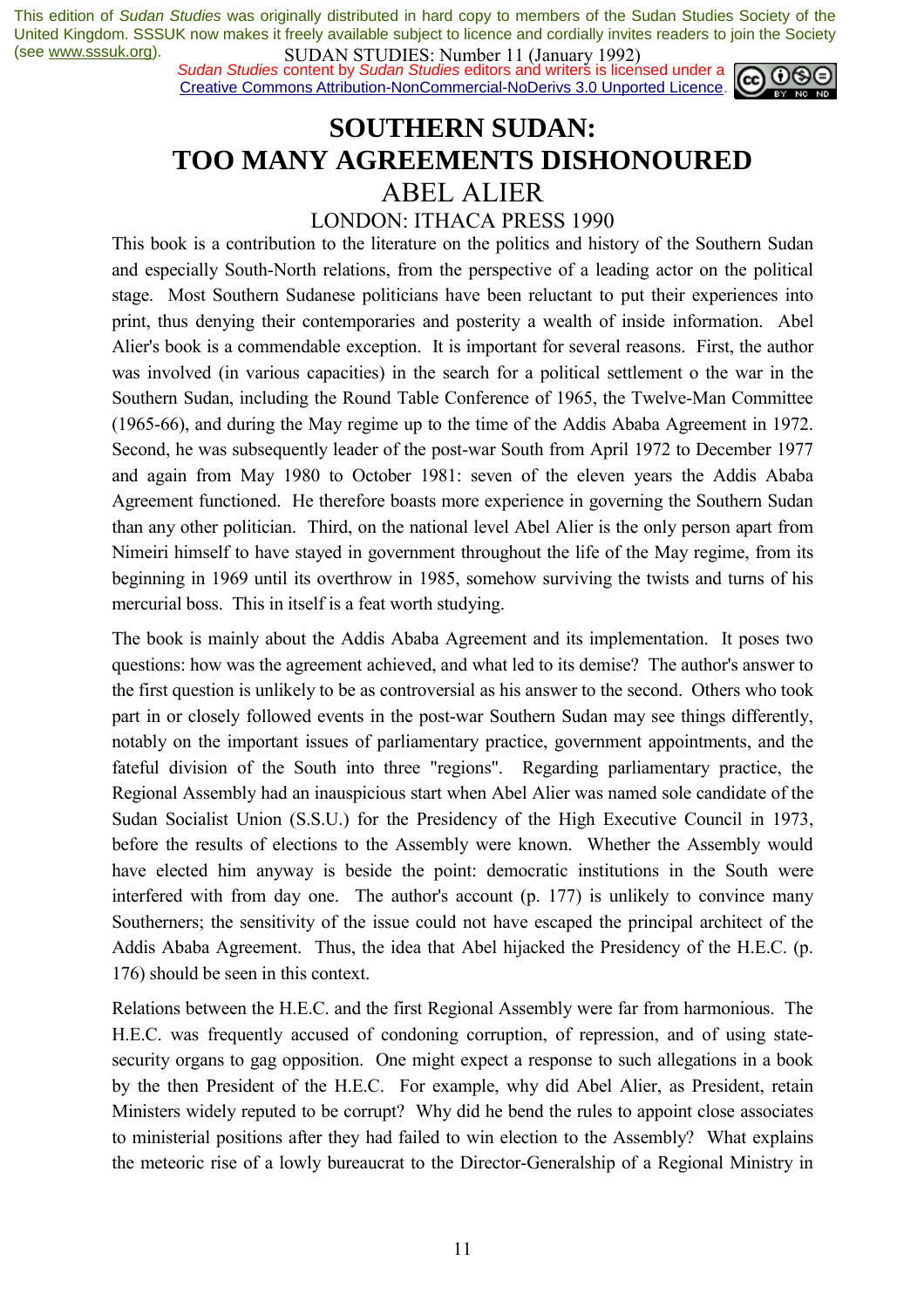*Sudan Studies* content by *Sudan Studies* editors and writers is licensed under a Creative Commons Attribution-NonCommercial-NoDerivs 3.0 Unported Licence.



### **SOUTHERN SUDAN: TOO MANY AGREEMENTS DISHONOURED**  ABEL ALIER

#### LONDON: ITHACA PRESS 1990

This book is a contribution to the literature on the politics and history of the Southern Sudan and especially South-North relations, from the perspective of a leading actor on the political stage. Most Southern Sudanese politicians have been reluctant to put their experiences into print, thus denying their contemporaries and posterity a wealth of inside information. Abel Alier's book is a commendable exception. It is important for several reasons. First, the author was involved (in various capacities) in the search for a political settlement o the war in the Southern Sudan, including the Round Table Conference of 1965, the Twelve-Man Committee (1965-66), and during the May regime up to the time of the Addis Ababa Agreement in 1972. Second, he was subsequently leader of the post-war South from April 1972 to December 1977 and again from May 1980 to October 1981: seven of the eleven years the Addis Ababa Agreement functioned. He therefore boasts more experience in governing the Southern Sudan than any other politician. Third, on the national level Abel Alier is the only person apart from Nimeiri himself to have stayed in government throughout the life of the May regime, from its beginning in 1969 until its overthrow in 1985, somehow surviving the twists and turns of his mercurial boss. This in itself is a feat worth studying.

The book is mainly about the Addis Ababa Agreement and its implementation. It poses two questions: how was the agreement achieved, and what led to its demise? The author's answer to the first question is unlikely to be as controversial as his answer to the second. Others who took part in or closely followed events in the post-war Southern Sudan may see things differently, notably on the important issues of parliamentary practice, government appointments, and the fateful division of the South into three "regions". Regarding parliamentary practice, the Regional Assembly had an inauspicious start when Abel Alier was named sole candidate of the Sudan Socialist Union (S.S.U.) for the Presidency of the High Executive Council in 1973, before the results of elections to the Assembly were known. Whether the Assembly would have elected him anyway is beside the point: democratic institutions in the South were interfered with from day one. The author's account (p. 177) is unlikely to convince many Southerners; the sensitivity of the issue could not have escaped the principal architect of the Addis Ababa Agreement. Thus, the idea that Abel hijacked the Presidency of the H.E.C. (p. 176) should be seen in this context.

Relations between the H.E.C. and the first Regional Assembly were far from harmonious. The H.E.C. was frequently accused of condoning corruption, of repression, and of using statesecurity organs to gag opposition. One might expect a response to such allegations in a book by the then President of the H.E.C. For example, why did Abel Alier, as President, retain Ministers widely reputed to be corrupt? Why did he bend the rules to appoint close associates to ministerial positions after they had failed to win election to the Assembly? What explains the meteoric rise of a lowly bureaucrat to the Director-Generalship of a Regional Ministry in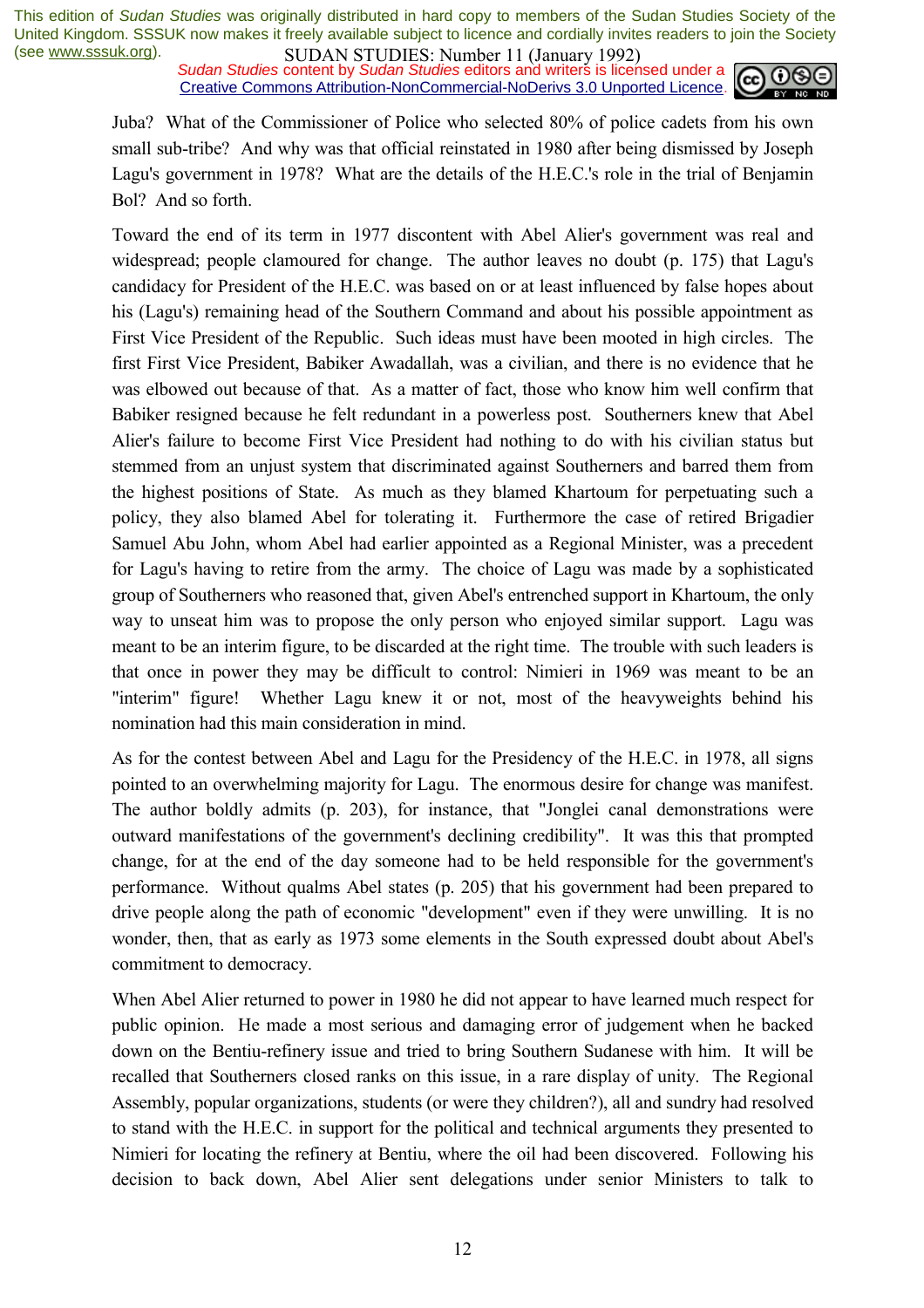*Sudan Studies* content by *Sudan Studies* editors and writers is licensed under a Creative Commons Attribution-NonCommercial-NoDerivs 3.0 Unported Licence.



Juba? What of the Commissioner of Police who selected 80% of police cadets from his own small sub-tribe? And why was that official reinstated in 1980 after being dismissed by Joseph Lagu's government in 1978? What are the details of the H.E.C.'s role in the trial of Benjamin Bol? And so forth.

Toward the end of its term in 1977 discontent with Abel Alier's government was real and widespread; people clamoured for change. The author leaves no doubt (p. 175) that Lagu's candidacy for President of the H.E.C. was based on or at least influenced by false hopes about his (Lagu's) remaining head of the Southern Command and about his possible appointment as First Vice President of the Republic. Such ideas must have been mooted in high circles. The first First Vice President, Babiker Awadallah, was a civilian, and there is no evidence that he was elbowed out because of that. As a matter of fact, those who know him well confirm that Babiker resigned because he felt redundant in a powerless post. Southerners knew that Abel Alier's failure to become First Vice President had nothing to do with his civilian status but stemmed from an unjust system that discriminated against Southerners and barred them from the highest positions of State. As much as they blamed Khartoum for perpetuating such a policy, they also blamed Abel for tolerating it. Furthermore the case of retired Brigadier Samuel Abu John, whom Abel had earlier appointed as a Regional Minister, was a precedent for Lagu's having to retire from the army. The choice of Lagu was made by a sophisticated group of Southerners who reasoned that, given Abel's entrenched support in Khartoum, the only way to unseat him was to propose the only person who enjoyed similar support. Lagu was meant to be an interim figure, to be discarded at the right time. The trouble with such leaders is that once in power they may be difficult to control: Nimieri in 1969 was meant to be an "interim" figure! Whether Lagu knew it or not, most of the heavyweights behind his nomination had this main consideration in mind.

As for the contest between Abel and Lagu for the Presidency of the H.E.C. in 1978, all signs pointed to an overwhelming majority for Lagu. The enormous desire for change was manifest. The author boldly admits (p. 203), for instance, that "Jonglei canal demonstrations were outward manifestations of the government's declining credibility". It was this that prompted change, for at the end of the day someone had to be held responsible for the government's performance. Without qualms Abel states (p. 205) that his government had been prepared to drive people along the path of economic "development" even if they were unwilling. It is no wonder, then, that as early as 1973 some elements in the South expressed doubt about Abel's commitment to democracy.

When Abel Alier returned to power in 1980 he did not appear to have learned much respect for public opinion. He made a most serious and damaging error of judgement when he backed down on the Bentiu-refinery issue and tried to bring Southern Sudanese with him. It will be recalled that Southerners closed ranks on this issue, in a rare display of unity. The Regional Assembly, popular organizations, students (or were they children?), all and sundry had resolved to stand with the H.E.C. in support for the political and technical arguments they presented to Nimieri for locating the refinery at Bentiu, where the oil had been discovered. Following his decision to back down, Abel Alier sent delegations under senior Ministers to talk to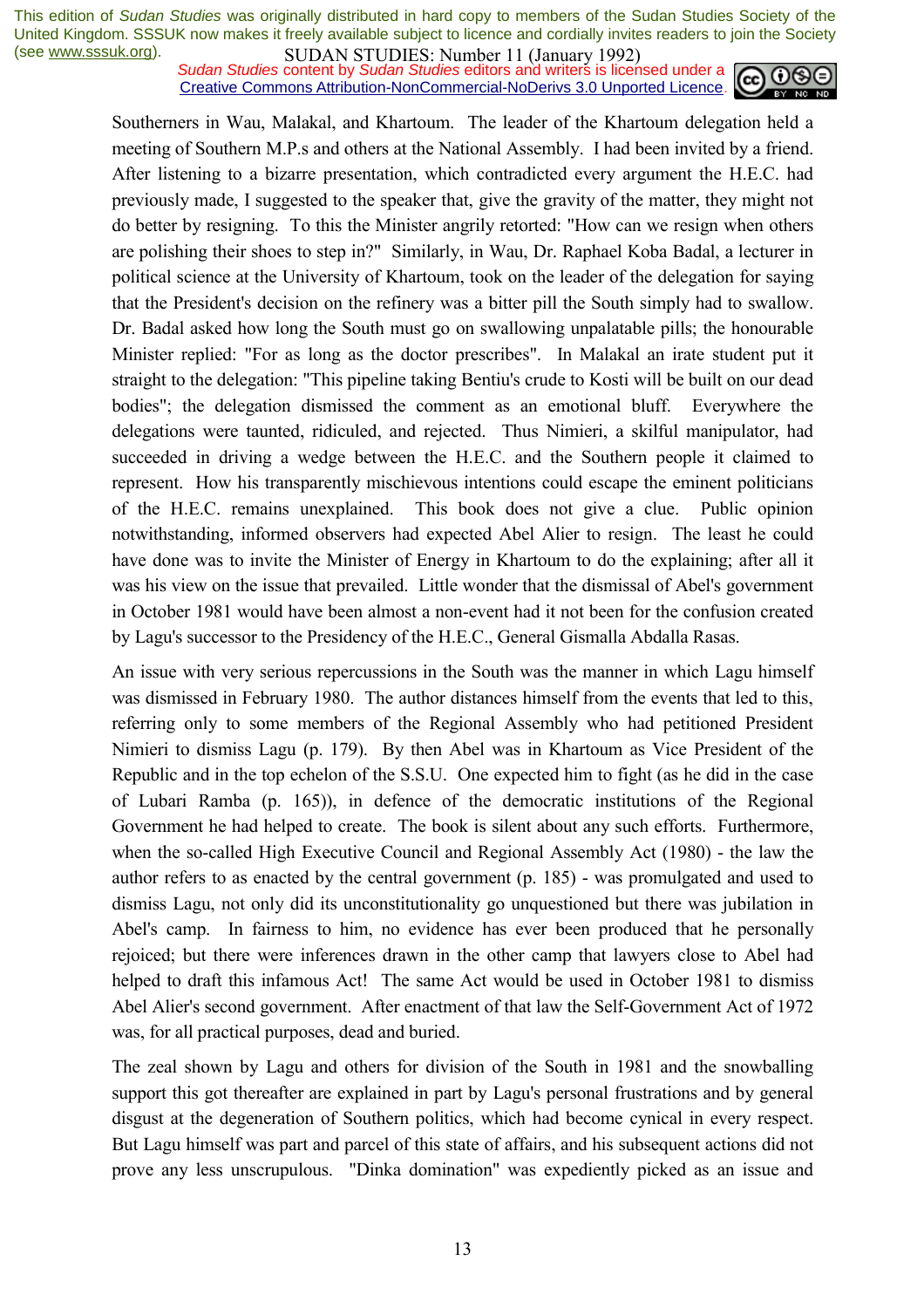*Sudan Studies* content by *Sudan Studies* editors and writers is licensed under a Creative Commons Attribution-NonCommercial-NoDerivs 3.0 Unported Licence.



Southerners in Wau, Malakal, and Khartoum. The leader of the Khartoum delegation held a meeting of Southern M.P.s and others at the National Assembly. I had been invited by a friend. After listening to a bizarre presentation, which contradicted every argument the H.E.C. had previously made, I suggested to the speaker that, give the gravity of the matter, they might not do better by resigning. To this the Minister angrily retorted: "How can we resign when others are polishing their shoes to step in?" Similarly, in Wau, Dr. Raphael Koba Badal, a lecturer in political science at the University of Khartoum, took on the leader of the delegation for saying that the President's decision on the refinery was a bitter pill the South simply had to swallow. Dr. Badal asked how long the South must go on swallowing unpalatable pills; the honourable Minister replied: "For as long as the doctor prescribes". In Malakal an irate student put it straight to the delegation: "This pipeline taking Bentiu's crude to Kosti will be built on our dead bodies"; the delegation dismissed the comment as an emotional bluff. Everywhere the delegations were taunted, ridiculed, and rejected. Thus Nimieri, a skilful manipulator, had succeeded in driving a wedge between the H.E.C. and the Southern people it claimed to represent. How his transparently mischievous intentions could escape the eminent politicians of the H.E.C. remains unexplained. This book does not give a clue. Public opinion notwithstanding, informed observers had expected Abel Alier to resign. The least he could have done was to invite the Minister of Energy in Khartoum to do the explaining; after all it was his view on the issue that prevailed. Little wonder that the dismissal of Abel's government in October 1981 would have been almost a non-event had it not been for the confusion created by Lagu's successor to the Presidency of the H.E.C., General Gismalla Abdalla Rasas.

An issue with very serious repercussions in the South was the manner in which Lagu himself was dismissed in February 1980. The author distances himself from the events that led to this, referring only to some members of the Regional Assembly who had petitioned President Nimieri to dismiss Lagu (p. 179). By then Abel was in Khartoum as Vice President of the Republic and in the top echelon of the S.S.U. One expected him to fight (as he did in the case of Lubari Ramba (p. 165)), in defence of the democratic institutions of the Regional Government he had helped to create. The book is silent about any such efforts. Furthermore, when the so-called High Executive Council and Regional Assembly Act (1980) - the law the author refers to as enacted by the central government (p. 185) - was promulgated and used to dismiss Lagu, not only did its unconstitutionality go unquestioned but there was jubilation in Abel's camp. In fairness to him, no evidence has ever been produced that he personally rejoiced; but there were inferences drawn in the other camp that lawyers close to Abel had helped to draft this infamous Act! The same Act would be used in October 1981 to dismiss Abel Alier's second government. After enactment of that law the Self-Government Act of 1972 was, for all practical purposes, dead and buried.

The zeal shown by Lagu and others for division of the South in 1981 and the snowballing support this got thereafter are explained in part by Lagu's personal frustrations and by general disgust at the degeneration of Southern politics, which had become cynical in every respect. But Lagu himself was part and parcel of this state of affairs, and his subsequent actions did not prove any less unscrupulous. "Dinka domination" was expediently picked as an issue and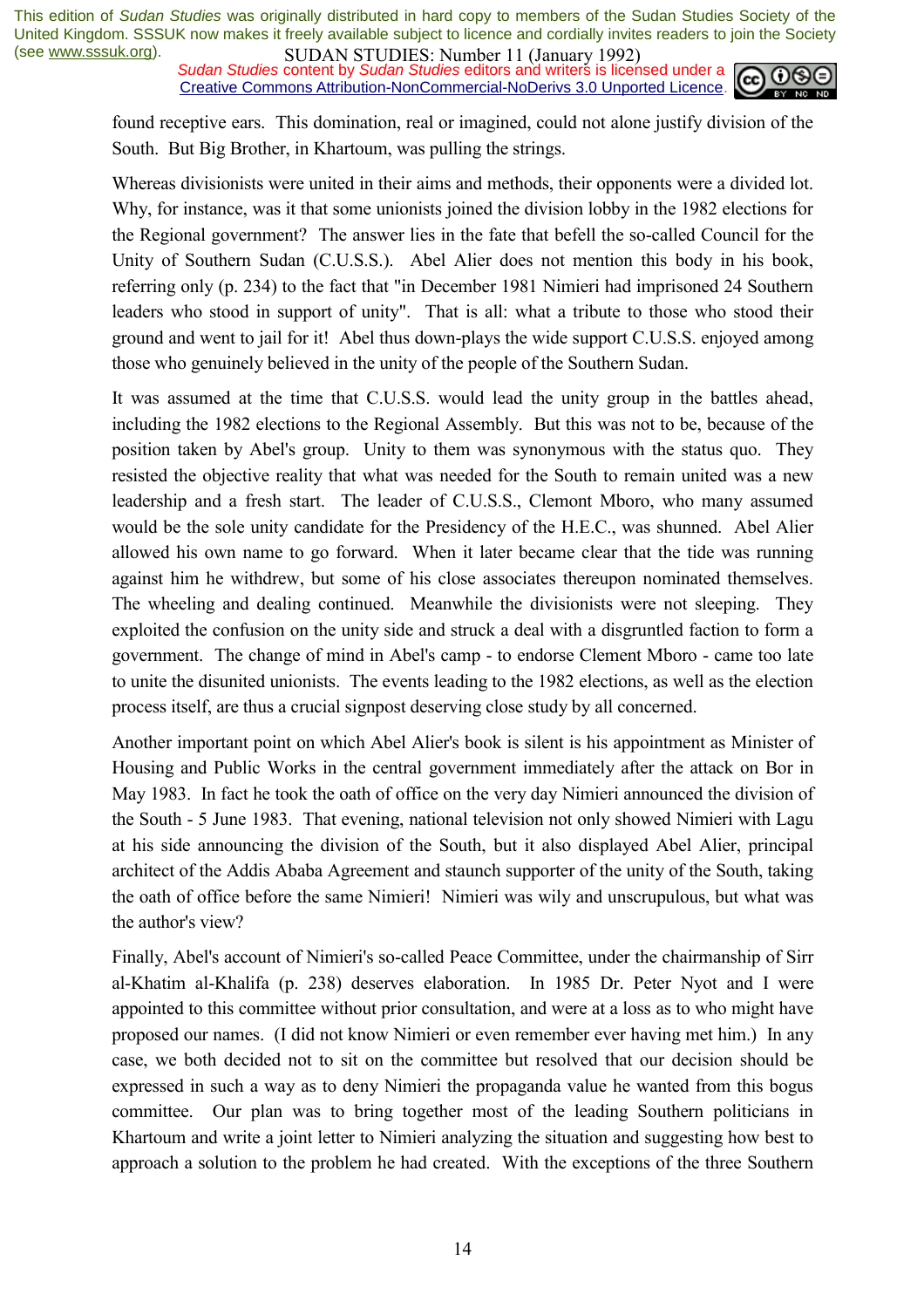*Sudan Studies* content by *Sudan Studies* editors and writers is licensed under a Creative Commons Attribution-NonCommercial-NoDerivs 3.0 Unported Licence.



found receptive ears. This domination, real or imagined, could not alone justify division of the South. But Big Brother, in Khartoum, was pulling the strings.

Whereas divisionists were united in their aims and methods, their opponents were a divided lot. Why, for instance, was it that some unionists joined the division lobby in the 1982 elections for the Regional government? The answer lies in the fate that befell the so-called Council for the Unity of Southern Sudan (C.U.S.S.). Abel Alier does not mention this body in his book, referring only (p. 234) to the fact that "in December 1981 Nimieri had imprisoned 24 Southern leaders who stood in support of unity". That is all: what a tribute to those who stood their ground and went to jail for it! Abel thus down-plays the wide support C.U.S.S. enjoyed among those who genuinely believed in the unity of the people of the Southern Sudan.

It was assumed at the time that C.U.S.S. would lead the unity group in the battles ahead, including the 1982 elections to the Regional Assembly. But this was not to be, because of the position taken by Abel's group. Unity to them was synonymous with the status quo. They resisted the objective reality that what was needed for the South to remain united was a new leadership and a fresh start. The leader of C.U.S.S., Clemont Mboro, who many assumed would be the sole unity candidate for the Presidency of the H.E.C., was shunned. Abel Alier allowed his own name to go forward. When it later became clear that the tide was running against him he withdrew, but some of his close associates thereupon nominated themselves. The wheeling and dealing continued. Meanwhile the divisionists were not sleeping. They exploited the confusion on the unity side and struck a deal with a disgruntled faction to form a government. The change of mind in Abel's camp - to endorse Clement Mboro - came too late to unite the disunited unionists. The events leading to the 1982 elections, as well as the election process itself, are thus a crucial signpost deserving close study by all concerned.

Another important point on which Abel Alier's book is silent is his appointment as Minister of Housing and Public Works in the central government immediately after the attack on Bor in May 1983. In fact he took the oath of office on the very day Nimieri announced the division of the South - 5 June 1983. That evening, national television not only showed Nimieri with Lagu at his side announcing the division of the South, but it also displayed Abel Alier, principal architect of the Addis Ababa Agreement and staunch supporter of the unity of the South, taking the oath of office before the same Nimieri! Nimieri was wily and unscrupulous, but what was the author's view?

Finally, Abel's account of Nimieri's so-called Peace Committee, under the chairmanship of Sirr al-Khatim al-Khalifa (p. 238) deserves elaboration. In 1985 Dr. Peter Nyot and I were appointed to this committee without prior consultation, and were at a loss as to who might have proposed our names. (I did not know Nimieri or even remember ever having met him.) In any case, we both decided not to sit on the committee but resolved that our decision should be expressed in such a way as to deny Nimieri the propaganda value he wanted from this bogus committee. Our plan was to bring together most of the leading Southern politicians in Khartoum and write a joint letter to Nimieri analyzing the situation and suggesting how best to approach a solution to the problem he had created. With the exceptions of the three Southern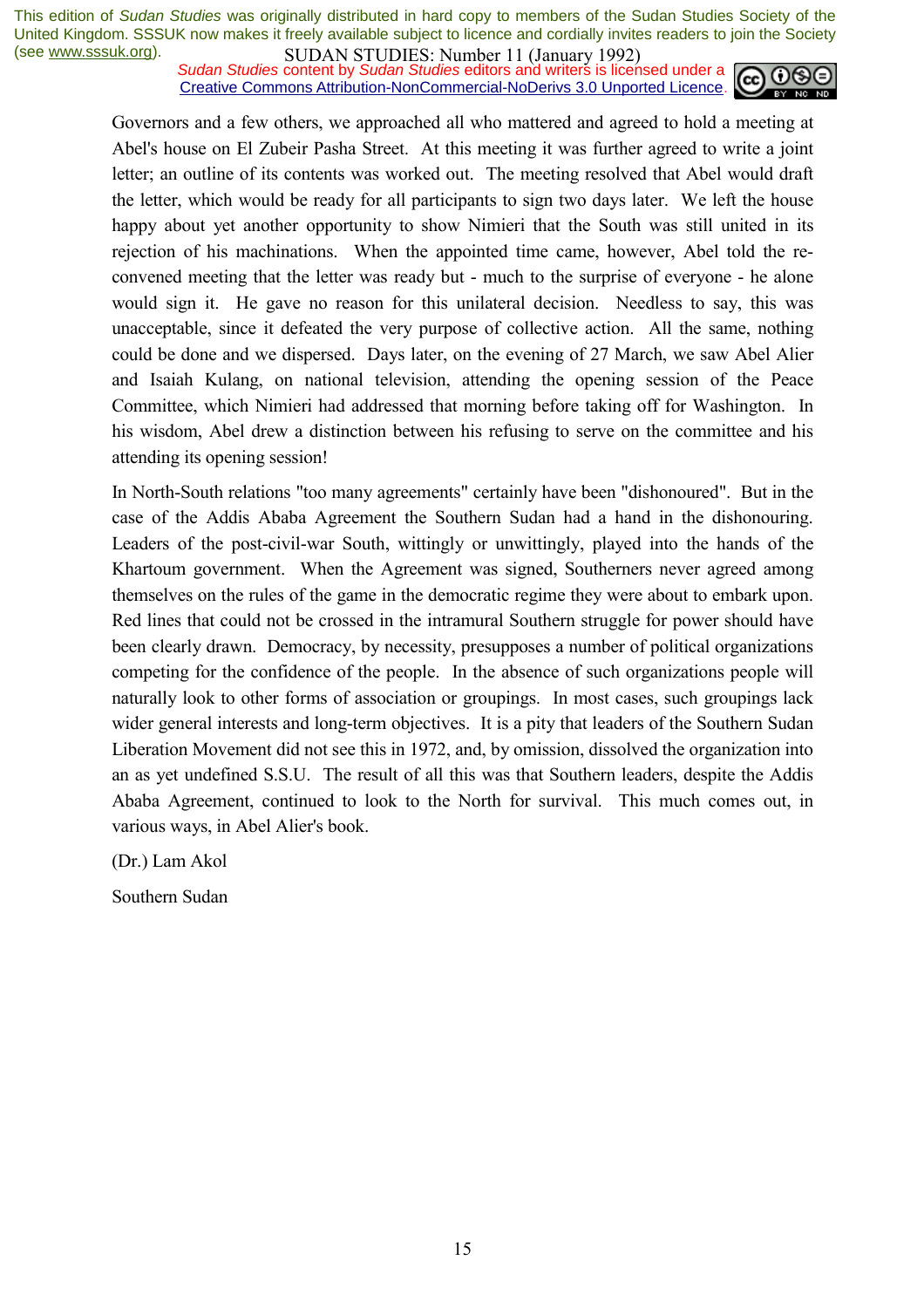*Sudan Studies* content by *Sudan Studies* editors and writers is licensed under a Creative Commons Attribution-NonCommercial-NoDerivs 3.0 Unported Licence.



Governors and a few others, we approached all who mattered and agreed to hold a meeting at Abel's house on El Zubeir Pasha Street. At this meeting it was further agreed to write a joint letter; an outline of its contents was worked out. The meeting resolved that Abel would draft the letter, which would be ready for all participants to sign two days later. We left the house happy about yet another opportunity to show Nimieri that the South was still united in its rejection of his machinations. When the appointed time came, however, Abel told the reconvened meeting that the letter was ready but - much to the surprise of everyone - he alone would sign it. He gave no reason for this unilateral decision. Needless to say, this was unacceptable, since it defeated the very purpose of collective action. All the same, nothing could be done and we dispersed. Days later, on the evening of 27 March, we saw Abel Alier and Isaiah Kulang, on national television, attending the opening session of the Peace Committee, which Nimieri had addressed that morning before taking off for Washington. In his wisdom, Abel drew a distinction between his refusing to serve on the committee and his attending its opening session!

In North-South relations "too many agreements" certainly have been "dishonoured". But in the case of the Addis Ababa Agreement the Southern Sudan had a hand in the dishonouring. Leaders of the post-civil-war South, wittingly or unwittingly, played into the hands of the Khartoum government. When the Agreement was signed, Southerners never agreed among themselves on the rules of the game in the democratic regime they were about to embark upon. Red lines that could not be crossed in the intramural Southern struggle for power should have been clearly drawn. Democracy, by necessity, presupposes a number of political organizations competing for the confidence of the people. In the absence of such organizations people will naturally look to other forms of association or groupings. In most cases, such groupings lack wider general interests and long-term objectives. It is a pity that leaders of the Southern Sudan Liberation Movement did not see this in 1972, and, by omission, dissolved the organization into an as yet undefined S.S.U. The result of all this was that Southern leaders, despite the Addis Ababa Agreement, continued to look to the North for survival. This much comes out, in various ways, in Abel Alier's book.

(Dr.) Lam Akol

Southern Sudan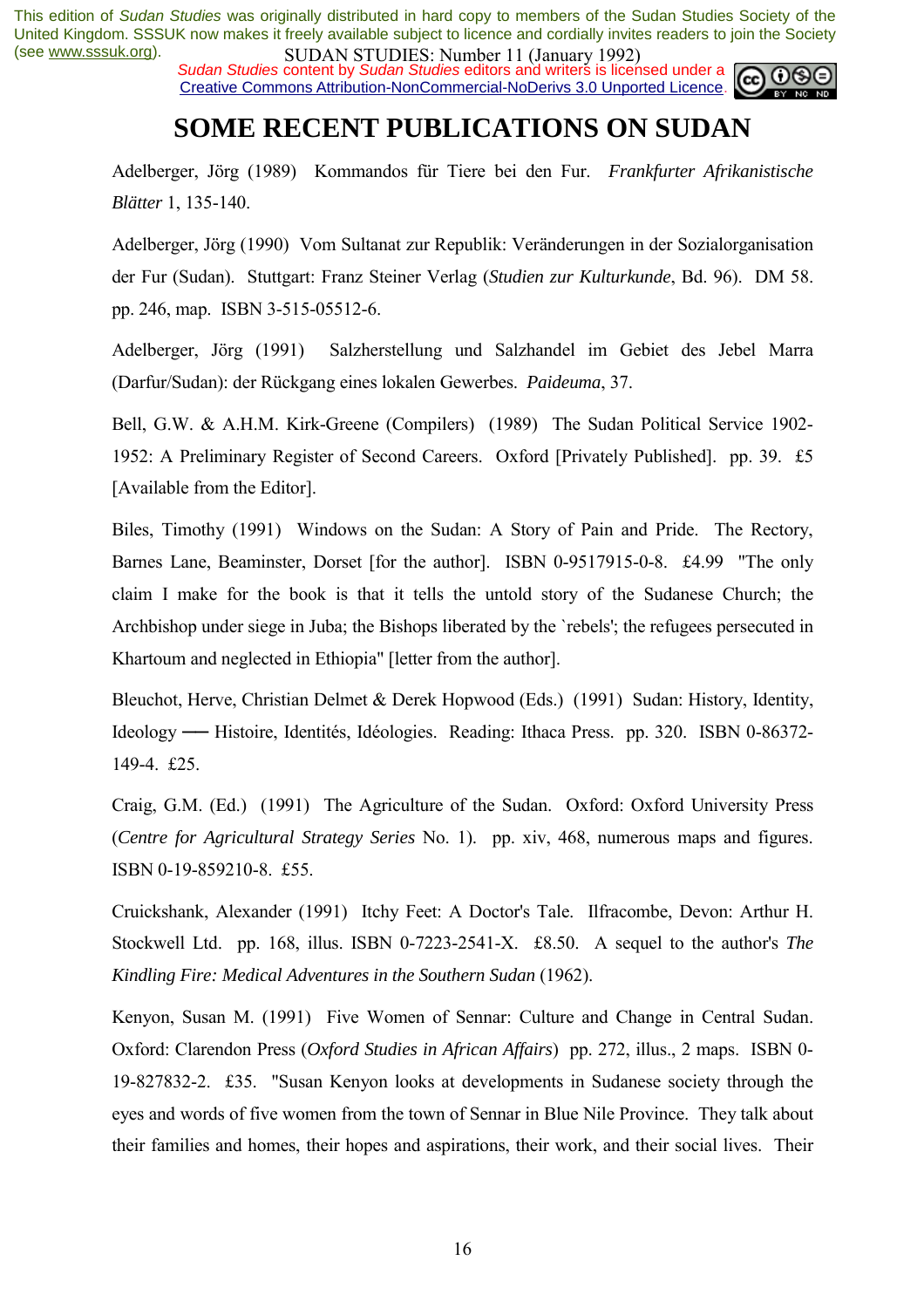*Sudan Studies* content by *Sudan Studies* editors and writers is licensed under a Creative Commons Attribution-NonCommercial-NoDerivs 3.0 Unported Licence.



## **SOME RECENT PUBLICATIONS ON SUDAN**

Adelberger, Jörg (1989) Kommandos für Tiere bei den Fur. *Frankfurter Afrikanistische Blätter* 1, 135-140.

Adelberger, Jörg (1990) Vom Sultanat zur Republik: Veränderungen in der Sozialorganisation der Fur (Sudan). Stuttgart: Franz Steiner Verlag (*Studien zur Kulturkunde*, Bd. 96). DM 58. pp. 246, map. ISBN 3-515-05512-6.

Adelberger, Jörg (1991) Salzherstellung und Salzhandel im Gebiet des Jebel Marra (Darfur/Sudan): der Rückgang eines lokalen Gewerbes. *Paideuma*, 37.

Bell, G.W. & A.H.M. Kirk-Greene (Compilers) (1989) The Sudan Political Service 1902- 1952: A Preliminary Register of Second Careers. Oxford [Privately Published]. pp. 39. £5 [Available from the Editor].

Biles, Timothy (1991) Windows on the Sudan: A Story of Pain and Pride. The Rectory, Barnes Lane, Beaminster, Dorset [for the author]. ISBN 0-9517915-0-8. £4.99 "The only claim I make for the book is that it tells the untold story of the Sudanese Church; the Archbishop under siege in Juba; the Bishops liberated by the `rebels'; the refugees persecuted in Khartoum and neglected in Ethiopia" [letter from the author].

Bleuchot, Herve, Christian Delmet & Derek Hopwood (Eds.) (1991) Sudan: History, Identity, Ideology — Histoire, Identités, Idéologies. Reading: Ithaca Press. pp. 320. ISBN 0-86372-149-4. £25.

Craig, G.M. (Ed.) (1991) The Agriculture of the Sudan. Oxford: Oxford University Press (*Centre for Agricultural Strategy Series* No. 1). pp. xiv, 468, numerous maps and figures. ISBN 0-19-859210-8. £55.

Cruickshank, Alexander (1991) Itchy Feet: A Doctor's Tale. Ilfracombe, Devon: Arthur H. Stockwell Ltd. pp. 168, illus. ISBN 0-7223-2541-X. £8.50. A sequel to the author's *The Kindling Fire: Medical Adventures in the Southern Sudan* (1962).

Kenyon, Susan M. (1991) Five Women of Sennar: Culture and Change in Central Sudan. Oxford: Clarendon Press (*Oxford Studies in African Affairs*) pp. 272, illus., 2 maps. ISBN 0- 19-827832-2. £35. "Susan Kenyon looks at developments in Sudanese society through the eyes and words of five women from the town of Sennar in Blue Nile Province. They talk about their families and homes, their hopes and aspirations, their work, and their social lives. Their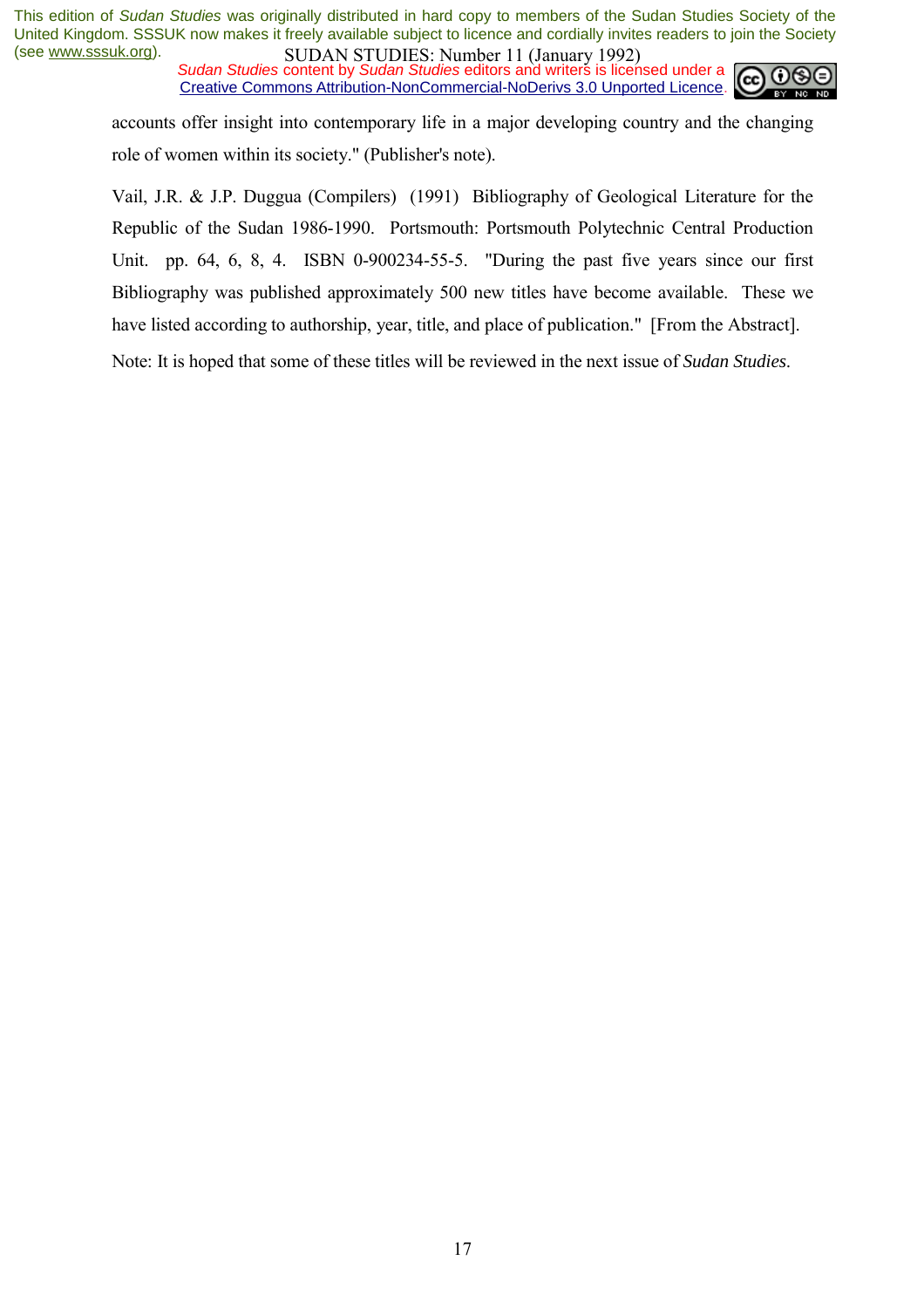*Sudan Studies* content by *Sudan Studies* editors and writers is licensed under a Creative Commons Attribution-NonCommercial-NoDerivs 3.0 Unported Licence.



accounts offer insight into contemporary life in a major developing country and the changing role of women within its society." (Publisher's note).

Vail, J.R. & J.P. Duggua (Compilers) (1991) Bibliography of Geological Literature for the Republic of the Sudan 1986-1990. Portsmouth: Portsmouth Polytechnic Central Production Unit. pp. 64, 6, 8, 4. ISBN 0-900234-55-5. "During the past five years since our first Bibliography was published approximately 500 new titles have become available. These we have listed according to authorship, year, title, and place of publication." [From the Abstract].

Note: It is hoped that some of these titles will be reviewed in the next issue of *Sudan Studies*.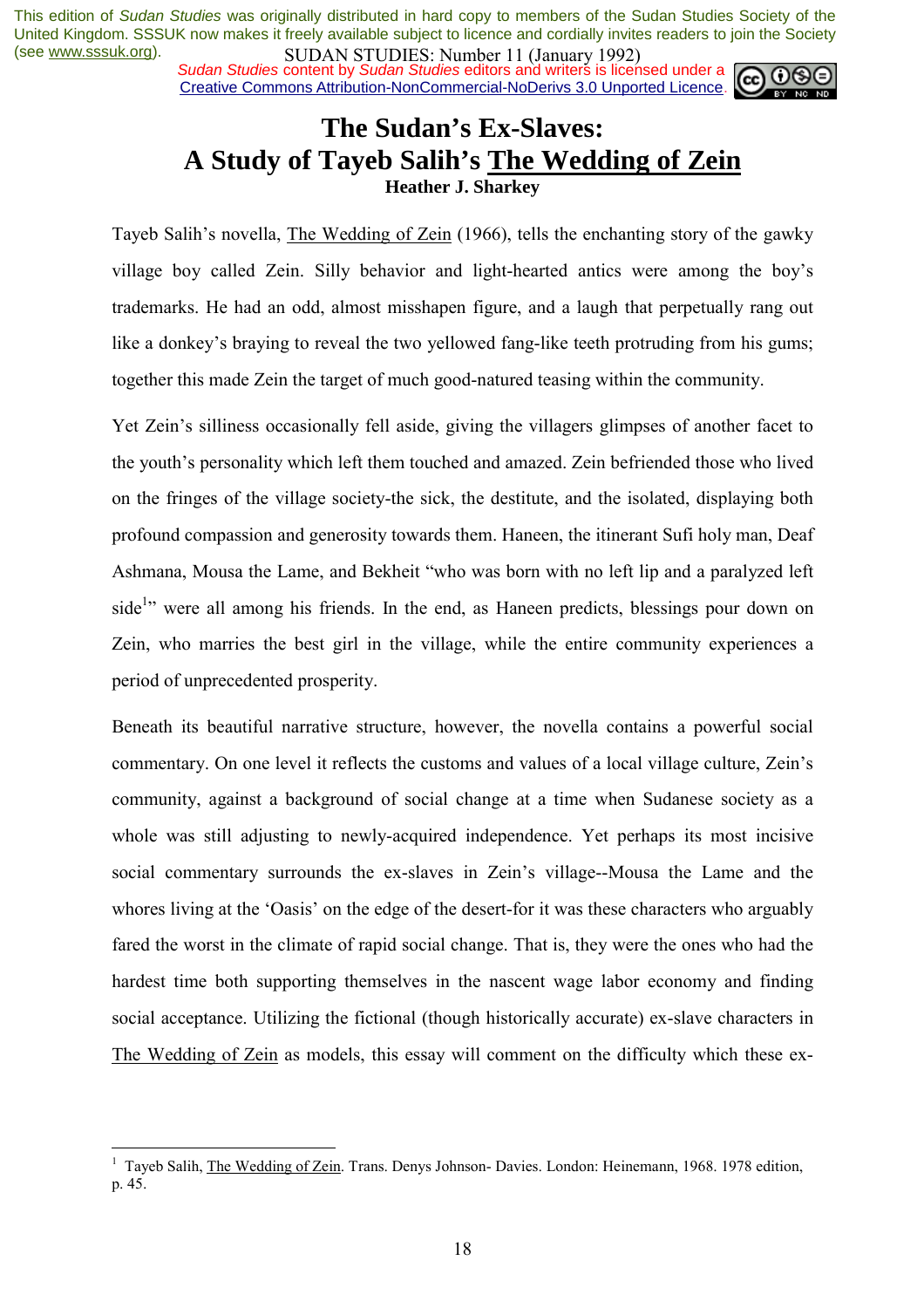*Sudan Studies* content by *Sudan Studies* editors and writers is licensed under a Creative Commons Attribution-NonCommercial-NoDerivs 3.0 Unported Licence.



### **The Sudan's Ex-Slaves: A Study of Tayeb Salih's The Wedding of Zein Heather J. Sharkey**

Tayeb Salih's novella. The Wedding of Zein (1966), tells the enchanting story of the gawky village boy called Zein. Silly behavior and light-hearted antics were among the boy's trademarks. He had an odd, almost misshapen figure, and a laugh that perpetually rang out like a donkey's braying to reveal the two yellowed fang-like teeth protruding from his gums; together this made Zein the target of much good-natured teasing within the community.

Yet Zein's silliness occasionally fell aside, giving the villagers glimpses of another facet to the youth's personality which left them touched and amazed. Zein befriended those who lived on the fringes of the village society-the sick, the destitute, and the isolated, displaying both profound compassion and generosity towards them. Haneen, the itinerant Sufi holy man, Deaf Ashmana, Mousa the Lame, and Bekheit "who was born with no left lip and a paralyzed left side<sup>1</sup><sup>2</sup> were all among his friends. In the end, as Haneen predicts, blessings pour down on Zein, who marries the best girl in the village, while the entire community experiences a period of unprecedented prosperity.

Beneath its beautiful narrative structure, however, the novella contains a powerful social commentary. On one level it reflects the customs and values of a local village culture, Zein's community, against a background of social change at a time when Sudanese society as a whole was still adjusting to newly-acquired independence. Yet perhaps its most incisive social commentary surrounds the ex-slaves in Zein's village--Mousa the Lame and the whores living at the 'Oasis' on the edge of the desert-for it was these characters who arguably fared the worst in the climate of rapid social change. That is, they were the ones who had the hardest time both supporting themselves in the nascent wage labor economy and finding social acceptance. Utilizing the fictional (though historically accurate) ex-slave characters in The Wedding of Zein as models, this essay will comment on the difficulty which these ex-

<sup>&</sup>lt;sup>1</sup> Tayeb Salih, *The Wedding of Zein*. Trans. Denys Johnson- Davies. London: Heinemann, 1968. 1978 edition, p. 45.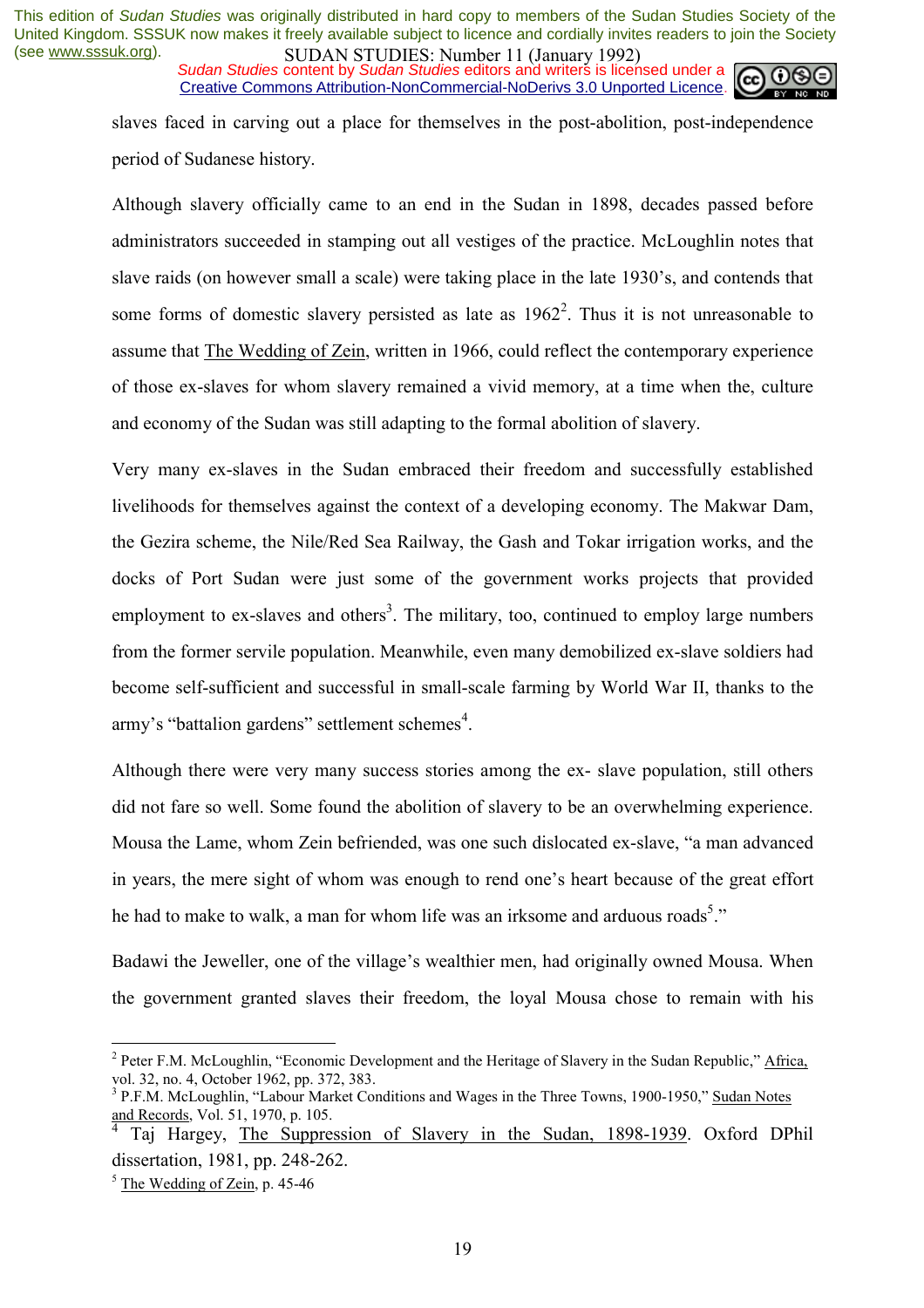*Sudan Studies* content by *Sudan Studies* editors and writers is licensed under a Creative Commons Attribution-NonCommercial-NoDerivs 3.0 Unported Licence.



slaves faced in carving out a place for themselves in the post-abolition, post-independence period of Sudanese history.

Although slavery officially came to an end in the Sudan in 1898, decades passed before administrators succeeded in stamping out all vestiges of the practice. McLoughlin notes that slave raids (on however small a scale) were taking place in the late 1930's, and contends that some forms of domestic slavery persisted as late as  $1962<sup>2</sup>$ . Thus it is not unreasonable to assume that The Wedding of Zein, written in 1966, could reflect the contemporary experience of those ex-slaves for whom slavery remained a vivid memory, at a time when the, culture and economy of the Sudan was still adapting to the formal abolition of slavery.

Very many ex-slaves in the Sudan embraced their freedom and successfully established livelihoods for themselves against the context of a developing economy. The Makwar Dam, the Gezira scheme, the Nile/Red Sea Railway, the Gash and Tokar irrigation works, and the docks of Port Sudan were just some of the government works projects that provided employment to ex-slaves and others<sup>3</sup>. The military, too, continued to employ large numbers from the former servile population. Meanwhile, even many demobilized ex-slave soldiers had become self-sufficient and successful in small-scale farming by World War II, thanks to the army's "battalion gardens" settlement schemes<sup>4</sup>.

Although there were very many success stories among the ex- slave population, still others did not fare so well. Some found the abolition of slavery to be an overwhelming experience. Mousa the Lame, whom Zein befriended, was one such dislocated ex-slave, "a man advanced in years, the mere sight of whom was enough to rend one's heart because of the great effort he had to make to walk, a man for whom life was an irksome and arduous roads<sup>5</sup>."

Badawi the Jeweller, one of the village's wealthier men, had originally owned Mousa. When the government granted slaves their freedom, the loyal Mousa chose to remain with his

<sup>&</sup>lt;sup>2</sup> Peter F.M. McLoughlin, "Economic Development and the Heritage of Slavery in the Sudan Republic," Africa, vol. 32, no. 4, October 1962, pp. 372, 383.

<sup>&</sup>lt;sup>3</sup> P.F.M. McLoughlin, "Labour Market Conditions and Wages in the Three Towns, 1900-1950," Sudan Notes and Records, Vol. 51, 1970, p. 105.

<sup>&</sup>lt;sup>4</sup> Taj Hargey, The Suppression of Slavery in the Sudan, 1898-1939. Oxford DPhil dissertation, 1981, pp. 248-262.

<sup>&</sup>lt;sup>5</sup> The Wedding of Zein, p. 45-46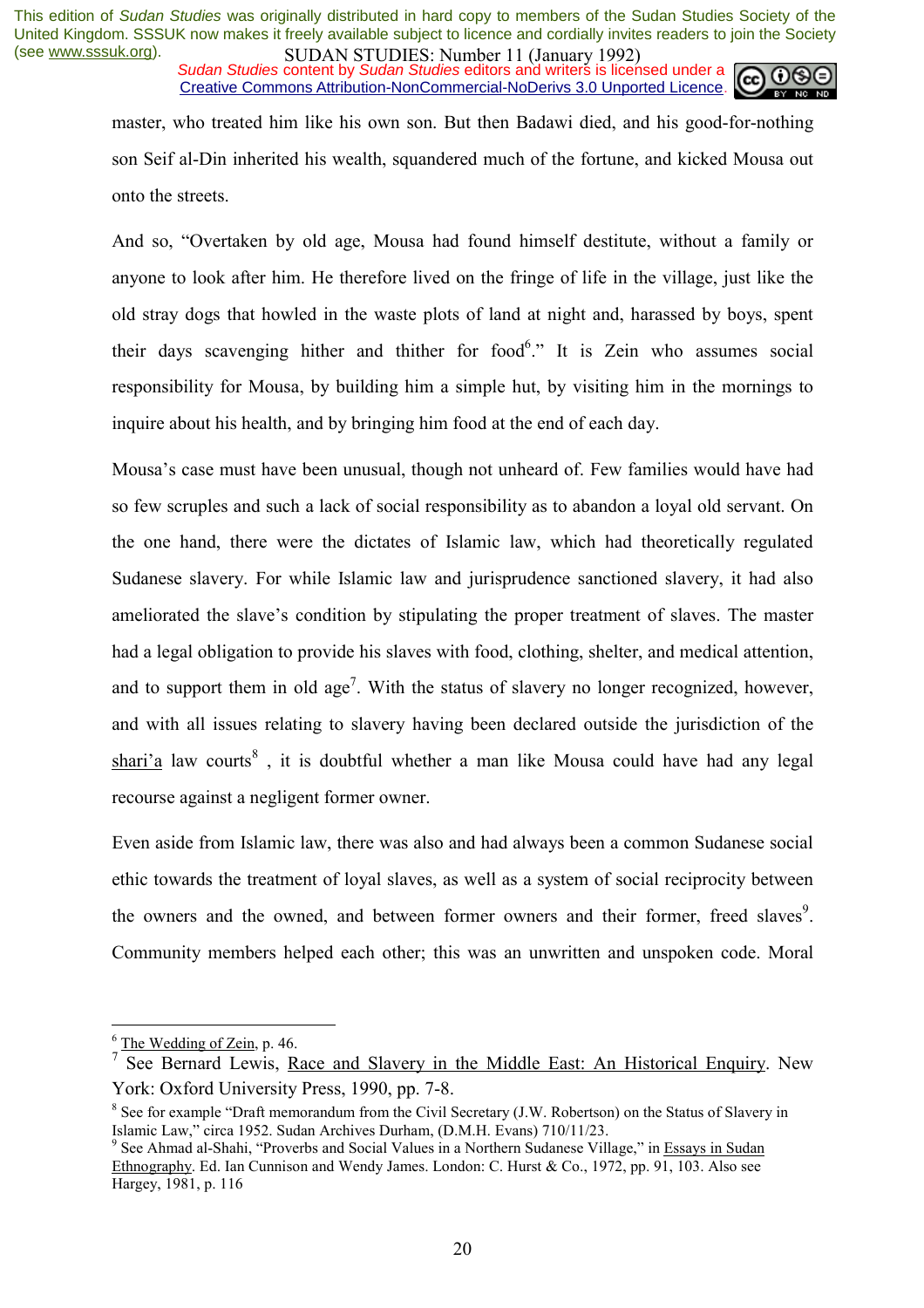*Sudan Studies* content by *Sudan Studies* editors and writers is licensed under a Creative Commons Attribution-NonCommercial-NoDerivs 3.0 Unported Licence.



master, who treated him like his own son. But then Badawi died, and his good-for-nothing son Seif al-Din inherited his wealth, squandered much of the fortune, and kicked Mousa out onto the streets.

And so, "Overtaken by old age, Mousa had found himself destitute, without a family or anyone to look after him. He therefore lived on the fringe of life in the village, just like the old stray dogs that howled in the waste plots of land at night and, harassed by boys, spent their days scavenging hither and thither for food.<sup>6</sup>. It is Zein who assumes social responsibility for Mousa, by building him a simple hut, by visiting him in the mornings to inquire about his health, and by bringing him food at the end of each day.

Mousa's case must have been unusual, though not unheard of. Few families would have had so few scruples and such a lack of social responsibility as to abandon a loyal old servant. On the one hand, there were the dictates of Islamic law, which had theoretically regulated Sudanese slavery. For while Islamic law and jurisprudence sanctioned slavery, it had also ameliorated the slave's condition by stipulating the proper treatment of slaves. The master had a legal obligation to provide his slaves with food, clothing, shelter, and medical attention, and to support them in old age<sup>7</sup>. With the status of slavery no longer recognized, however, and with all issues relating to slavery having been declared outside the jurisdiction of the  $shari'a$  law courts<sup>8</sup>, it is doubtful whether a man like Mousa could have had any legal recourse against a negligent former owner.

Even aside from Islamic law, there was also and had always been a common Sudanese social ethic towards the treatment of loyal slaves, as well as a system of social reciprocity between the owners and the owned, and between former owners and their former, freed slaves<sup>9</sup>. Community members helped each other; this was an unwritten and unspoken code. Moral

<sup>&</sup>lt;sup>6</sup> The Wedding of Zein, p. 46.

<sup>7</sup> See Bernard Lewis, Race and Slavery in the Middle East: An Historical Enquiry. New York: Oxford University Press, 1990, pp. 7-8.

 $8$  See for example "Draft memorandum from the Civil Secretary (J.W. Robertson) on the Status of Slavery in Islamic Law," circa 1952. Sudan Archives Durham, (D.M.H. Evans) 710/11/23.

<sup>&</sup>lt;sup>9</sup> See Ahmad al-Shahi, "Proverbs and Social Values in a Northern Sudanese Village," in Essays in Sudan Ethnography. Ed. Ian Cunnison and Wendy James. London: C. Hurst  $\& Co., 1972$ , pp. 91, 103. Also see Hargey, 1981, p. 116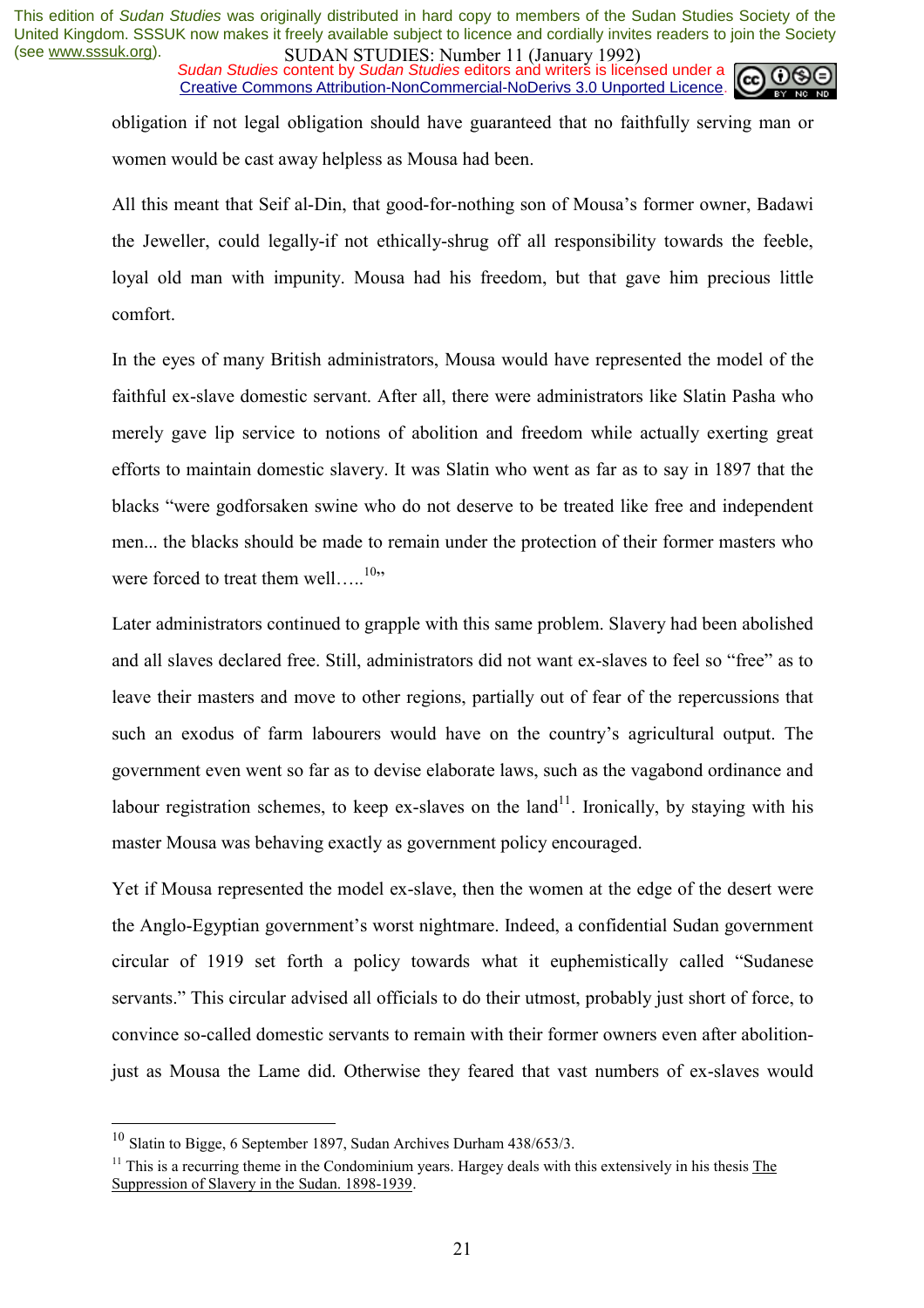*Sudan Studies* content by *Sudan Studies* editors and writers is licensed under a Creative Commons Attribution-NonCommercial-NoDerivs 3.0 Unported Licence.



obligation if not legal obligation should have guaranteed that no faithfully serving man or women would be cast away helpless as Mousa had been.

All this meant that Seif al-Din, that good-for-nothing son of Mousa's former owner, Badawi the Jeweller, could legally-if not ethically-shrug off all responsibility towards the feeble, loyal old man with impunity. Mousa had his freedom, but that gave him precious little comfort.

In the eyes of many British administrators, Mousa would have represented the model of the faithful ex-slave domestic servant. After all, there were administrators like Slatin Pasha who merely gave lip service to notions of abolition and freedom while actually exerting great efforts to maintain domestic slavery. It was Slatin who went as far as to say in 1897 that the blacks "were godforsaken swine who do not deserve to be treated like free and independent men... the blacks should be made to remain under the protection of their former masters who were forced to treat them well..... $^{10}$ .

Later administrators continued to grapple with this same problem. Slavery had been abolished and all slaves declared free. Still, administrators did not want ex-slaves to feel so "free" as to leave their masters and move to other regions, partially out of fear of the repercussions that such an exodus of farm labourers would have on the country's agricultural output. The government even went so far as to devise elaborate laws, such as the vagabond ordinance and labour registration schemes, to keep ex-slaves on the  $land<sup>11</sup>$ . Ironically, by staying with his master Mousa was behaving exactly as government policy encouraged.

Yet if Mousa represented the model ex-slave, then the women at the edge of the desert were the Anglo-Egyptian government's worst nightmare. Indeed, a confidential Sudan government circular of 1919 set forth a policy towards what it euphemistically called "Sudanese" servants." This circular advised all officials to do their utmost, probably just short of force, to convince so-called domestic servants to remain with their former owners even after abolitionjust as Mousa the Lame did. Otherwise they feared that vast numbers of ex-slaves would

 $10$  Slatin to Bigge, 6 September 1897, Sudan Archives Durham 438/653/3.

 $11$  This is a recurring theme in the Condominium years. Hargey deals with this extensively in his thesis The Suppression of Slavery in the Sudan. 1898-1939.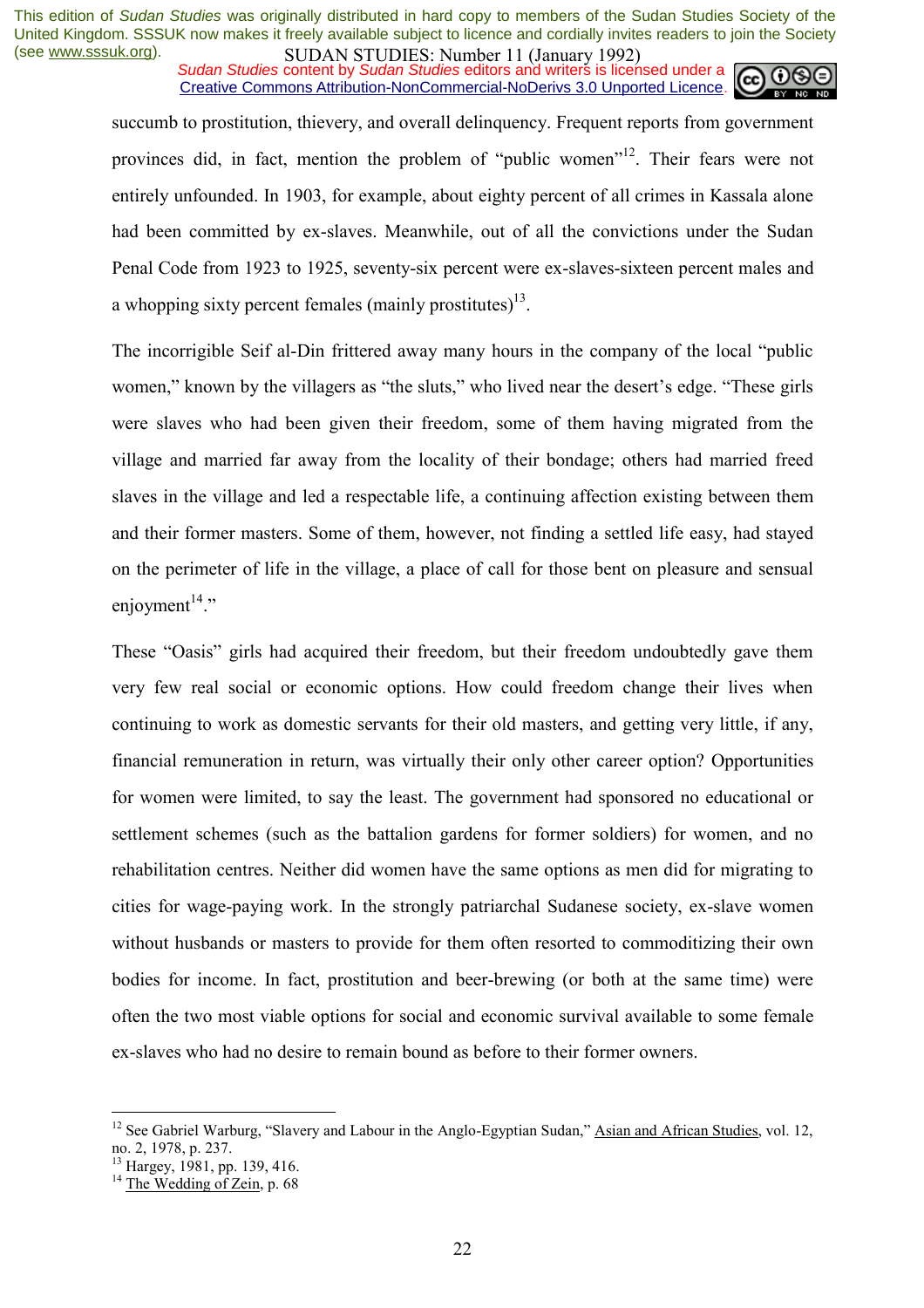*Sudan Studies* content by *Sudan Studies* editors and writers is licensed under a Creative Commons Attribution-NonCommercial-NoDerivs 3.0 Unported Licence.



succumb to prostitution, thievery, and overall delinquency. Frequent reports from government provinces did, in fact, mention the problem of "public women"<sup>12</sup>. Their fears were not entirely unfounded. In 1903, for example, about eighty percent of all crimes in Kassala alone had been committed by ex-slaves. Meanwhile, out of all the convictions under the Sudan Penal Code from 1923 to 1925, seventy-six percent were ex-slaves-sixteen percent males and a whopping sixty percent females (mainly prostitutes)<sup>13</sup>.

The incorrigible Seif al-Din frittered away many hours in the company of the local "public" women," known by the villagers as "the sluts," who lived near the desert's edge. "These girls were slaves who had been given their freedom, some of them having migrated from the village and married far away from the locality of their bondage; others had married freed slaves in the village and led a respectable life, a continuing affection existing between them and their former masters. Some of them, however, not finding a settled life easy, had stayed on the perimeter of life in the village, a place of call for those bent on pleasure and sensual enioyment $14$ <sup>2</sup>

These "Oasis" girls had acquired their freedom, but their freedom undoubtedly gave them very few real social or economic options. How could freedom change their lives when continuing to work as domestic servants for their old masters, and getting very little, if any, financial remuneration in return, was virtually their only other career option? Opportunities for women were limited, to say the least. The government had sponsored no educational or settlement schemes (such as the battalion gardens for former soldiers) for women, and no rehabilitation centres. Neither did women have the same options as men did for migrating to cities for wage-paying work. In the strongly patriarchal Sudanese society, ex-slave women without husbands or masters to provide for them often resorted to commoditizing their own bodies for income. In fact, prostitution and beer-brewing (or both at the same time) were often the two most viable options for social and economic survival available to some female ex-slaves who had no desire to remain bound as before to their former owners.

<sup>&</sup>lt;sup>12</sup> See Gabriel Warburg, "Slavery and Labour in the Anglo-Egyptian Sudan," Asian and African Studies, vol. 12, no. 2, 1978, p. 237.

<sup>&</sup>lt;sup>13</sup> Hargey, 1981, pp. 139, 416.

<sup>&</sup>lt;sup>14</sup> The Wedding of Zein, p. 68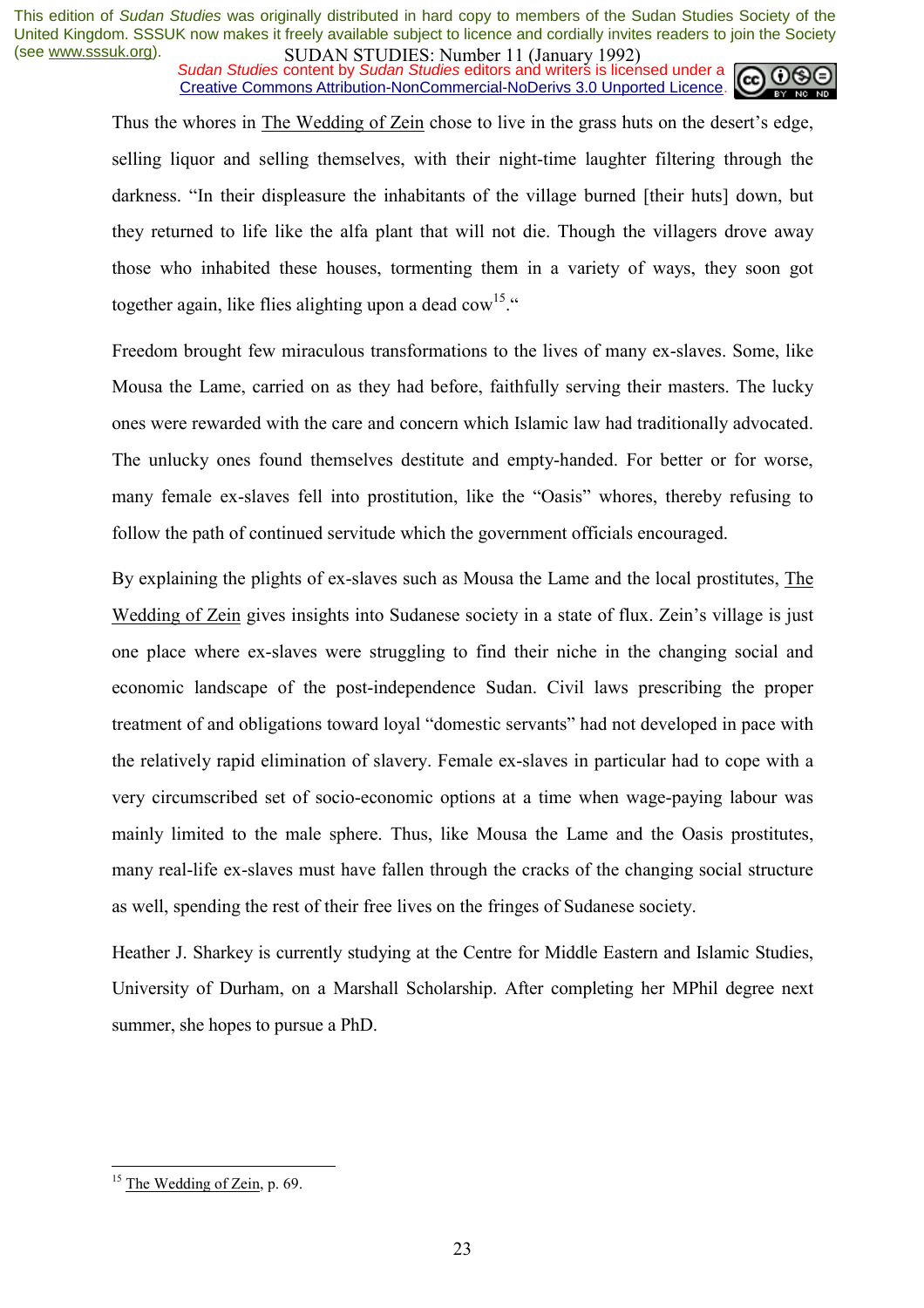*Sudan Studies* content by *Sudan Studies* editors and writers is licensed under a Creative Commons Attribution-NonCommercial-NoDerivs 3.0 Unported Licence.



Thus the whores in The Wedding of Zein chose to live in the grass huts on the desert's edge, selling liquor and selling themselves, with their night-time laughter filtering through the darkness. "In their displeasure the inhabitants of the village burned [their huts] down, but they returned to life like the alfa plant that will not die. Though the villagers drove away those who inhabited these houses, tormenting them in a variety of ways, they soon got together again, like flies alighting upon a dead cow<sup>15. $\cdot\cdot\cdot$ </sup>

Freedom brought few miraculous transformations to the lives of many ex-slaves. Some, like Mousa the Lame, carried on as they had before, faithfully serving their masters. The lucky ones were rewarded with the care and concern which Islamic law had traditionally advocated. The unlucky ones found themselves destitute and empty-handed. For better or for worse, many female ex-slaves fell into prostitution, like the "Oasis" whores, thereby refusing to follow the path of continued servitude which the government officials encouraged.

By explaining the plights of ex-slaves such as Mousa the Lame and the local prostitutes, The Wedding of Zein gives insights into Sudanese society in a state of flux. Zein's village is just one place where ex-slaves were struggling to find their niche in the changing social and economic landscape of the post-independence Sudan. Civil laws prescribing the proper treatment of and obligations toward loyal "domestic servants" had not developed in pace with the relatively rapid elimination of slavery. Female ex-slaves in particular had to cope with a very circumscribed set of socio-economic options at a time when wage-paying labour was mainly limited to the male sphere. Thus, like Mousa the Lame and the Oasis prostitutes, many real-life ex-slaves must have fallen through the cracks of the changing social structure as well, spending the rest of their free lives on the fringes of Sudanese society.

Heather J. Sharkey is currently studying at the Centre for Middle Eastern and Islamic Studies, University of Durham, on a Marshall Scholarship. After completing her MPhil degree next summer, she hopes to pursue a PhD.

<sup>&</sup>lt;sup>15</sup> The Wedding of Zein, p. 69.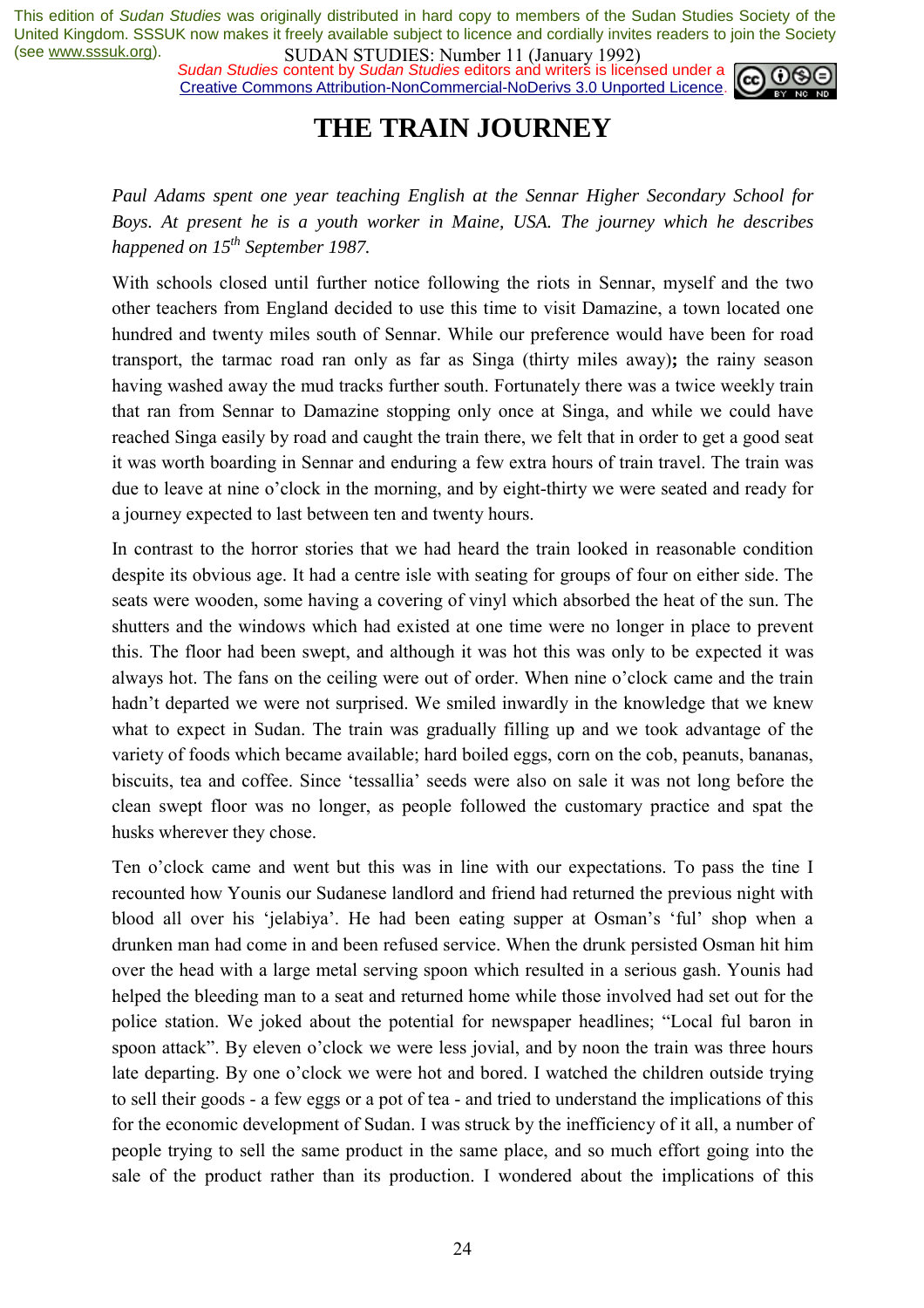*Sudan Studies* content by *Sudan Studies* editors and writers is licensed under a Creative Commons Attribution-NonCommercial-NoDerivs 3.0 Unported Licence.



### **THE TRAIN JOURNEY**

*Paul Adams spent one year teaching English at the Sennar Higher Secondary School for Boys. At present he is a youth worker in Maine, USA. The journey which he describes happened on 15<sup>th</sup> September 1987.* 

With schools closed until further notice following the riots in Sennar, myself and the two other teachers from England decided to use this time to visit Damazine, a town located one hundred and twenty miles south of Sennar. While our preference would have been for road transport, the tarmac road ran only as far as Singa (thirty miles away)**;** the rainy season having washed away the mud tracks further south. Fortunately there was a twice weekly train that ran from Sennar to Damazine stopping only once at Singa, and while we could have reached Singa easily by road and caught the train there, we felt that in order to get a good seat it was worth boarding in Sennar and enduring a few extra hours of train travel. The train was due to leave at nine o'clock in the morning, and by eight-thirty we were seated and ready for a journey expected to last between ten and twenty hours.

In contrast to the horror stories that we had heard the train looked in reasonable condition despite its obvious age. It had a centre isle with seating for groups of four on either side. The seats were wooden, some having a covering of vinyl which absorbed the heat of the sun. The shutters and the windows which had existed at one time were no longer in place to prevent this. The floor had been swept, and although it was hot this was only to be expected it was always hot. The fans on the ceiling were out of order. When nine o'clock came and the train hadn't departed we were not surprised. We smiled inwardly in the knowledge that we knew what to expect in Sudan. The train was gradually filling up and we took advantage of the variety of foods which became available; hard boiled eggs, corn on the cob, peanuts, bananas, biscuits, tea and coffee. Since 'tessallia' seeds were also on sale it was not long before the clean swept floor was no longer, as people followed the customary practice and spat the husks wherever they chose.

Ten o'clock came and went but this was in line with our expectations. To pass the tine I recounted how Younis our Sudanese landlord and friend had returned the previous night with blood all over his 'jelabiya'. He had been eating supper at Osman's 'ful' shop when a drunken man had come in and been refused service. When the drunk persisted Osman hit him over the head with a large metal serving spoon which resulted in a serious gash. Younis had helped the bleeding man to a seat and returned home while those involved had set out for the police station. We joked about the potential for newspaper headlines; "Local ful baron in spoon attack". By eleven o'clock we were less jovial, and by noon the train was three hours late departing. By one o'clock we were hot and bored. I watched the children outside trying to sell their goods - a few eggs or a pot of tea - and tried to understand the implications of this for the economic development of Sudan. I was struck by the inefficiency of it all, a number of people trying to sell the same product in the same place, and so much effort going into the sale of the product rather than its production. I wondered about the implications of this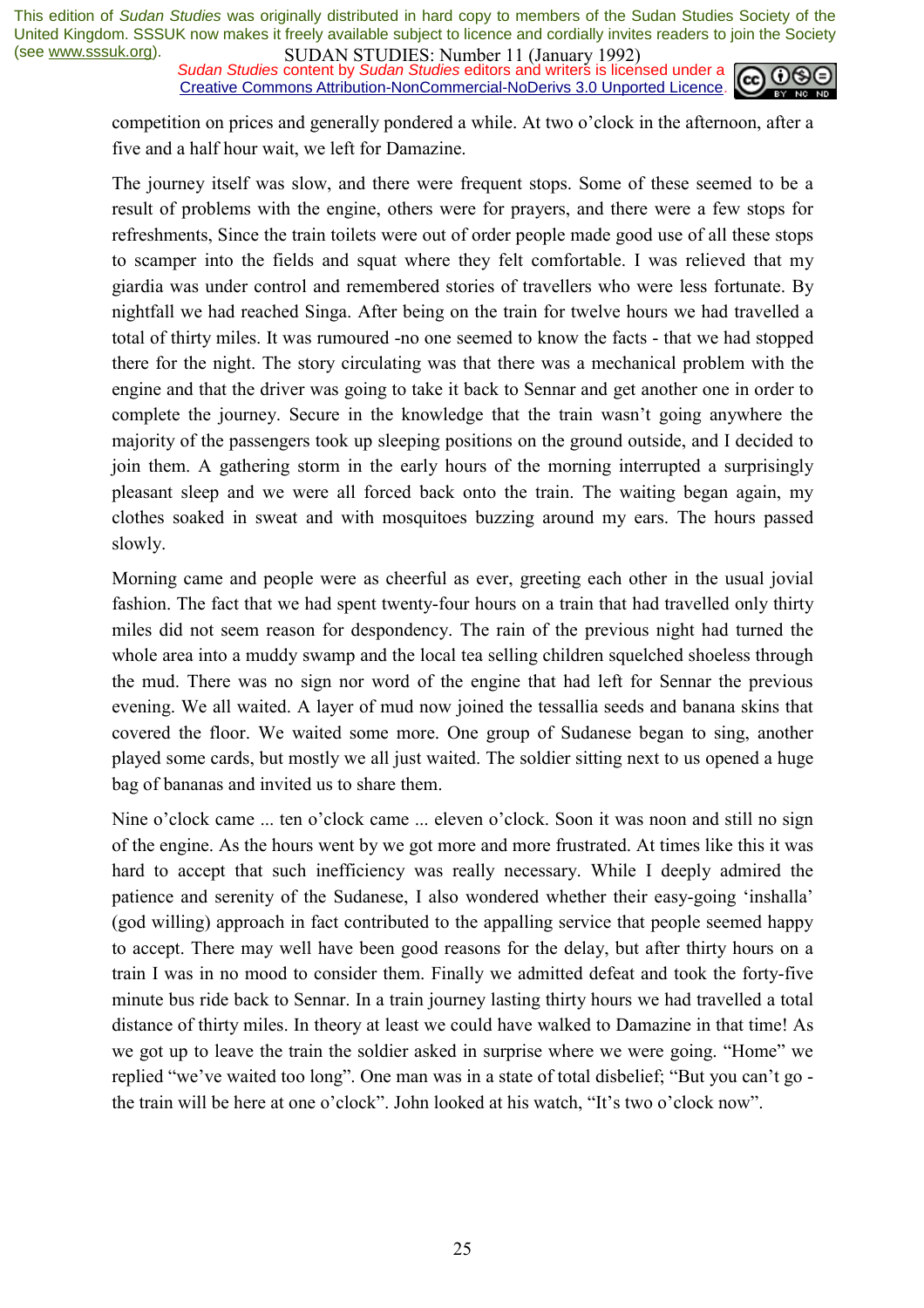*Sudan Studies* content by *Sudan Studies* editors and writers is licensed under a Creative Commons Attribution-NonCommercial-NoDerivs 3.0 Unported Licence.



competition on prices and generally pondered a while. At two o'clock in the afternoon, after a five and a half hour wait, we left for Damazine.

The journey itself was slow, and there were frequent stops. Some of these seemed to be a result of problems with the engine, others were for prayers, and there were a few stops for refreshments, Since the train toilets were out of order people made good use of all these stops to scamper into the fields and squat where they felt comfortable. I was relieved that my giardia was under control and remembered stories of travellers who were less fortunate. By nightfall we had reached Singa. After being on the train for twelve hours we had travelled a total of thirty miles. It was rumoured -no one seemed to know the facts - that we had stopped there for the night. The story circulating was that there was a mechanical problem with the engine and that the driver was going to take it back to Sennar and get another one in order to complete the journey. Secure in the knowledge that the train wasn't going anywhere the majority of the passengers took up sleeping positions on the ground outside, and I decided to join them. A gathering storm in the early hours of the morning interrupted a surprisingly pleasant sleep and we were all forced back onto the train. The waiting began again, my clothes soaked in sweat and with mosquitoes buzzing around my ears. The hours passed slowly.

Morning came and people were as cheerful as ever, greeting each other in the usual jovial fashion. The fact that we had spent twenty-four hours on a train that had travelled only thirty miles did not seem reason for despondency. The rain of the previous night had turned the whole area into a muddy swamp and the local tea selling children squelched shoeless through the mud. There was no sign nor word of the engine that had left for Sennar the previous evening. We all waited. A layer of mud now joined the tessallia seeds and banana skins that covered the floor. We waited some more. One group of Sudanese began to sing, another played some cards, but mostly we all just waited. The soldier sitting next to us opened a huge bag of bananas and invited us to share them.

Nine o'clock came ... ten o'clock came ... eleven o'clock. Soon it was noon and still no sign of the engine. As the hours went by we got more and more frustrated. At times like this it was hard to accept that such inefficiency was really necessary. While I deeply admired the patience and serenity of the Sudanese, I also wondered whether their easy-going 'inshalla' (god willing) approach in fact contributed to the appalling service that people seemed happy to accept. There may well have been good reasons for the delay, but after thirty hours on a train I was in no mood to consider them. Finally we admitted defeat and took the forty-five minute bus ride back to Sennar. In a train journey lasting thirty hours we had travelled a total distance of thirty miles. In theory at least we could have walked to Damazine in that time! As we got up to leave the train the soldier asked in surprise where we were going. "Home" we replied "we've waited too long". One man was in a state of total disbelief; "But you can't go the train will be here at one o'clock". John looked at his watch, "It's two o'clock now".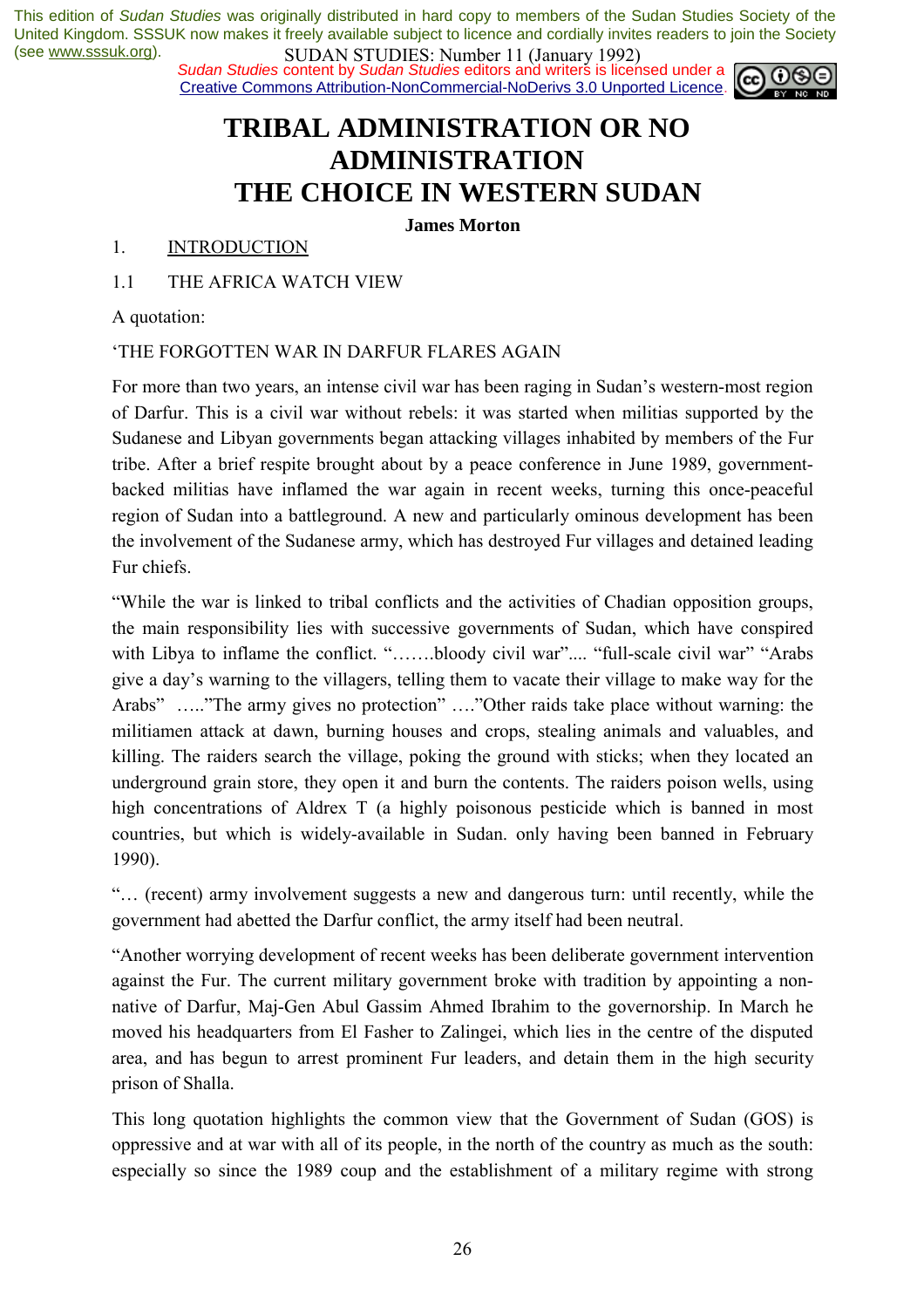*Sudan Studies* content by *Sudan Studies* editors and writers is licensed under a Creative Commons Attribution-NonCommercial-NoDerivs 3.0 Unported Licence.



# **TRIBAL ADMINISTRATION OR NO ADMINISTRATION THE CHOICE IN WESTERN SUDAN**

**James Morton** 

#### 1. INTRODUCTION

1.1 THE AFRICA WATCH VIEW

A quotation:

#### ëTHE FORGOTTEN WAR IN DARFUR FLARES AGAIN

For more than two years, an intense civil war has been raging in Sudan's western-most region of Darfur. This is a civil war without rebels: it was started when militias supported by the Sudanese and Libyan governments began attacking villages inhabited by members of the Fur tribe. After a brief respite brought about by a peace conference in June 1989, governmentbacked militias have inflamed the war again in recent weeks, turning this once-peaceful region of Sudan into a battleground. A new and particularly ominous development has been the involvement of the Sudanese army, which has destroyed Fur villages and detained leading Fur chiefs.

ìWhile the war is linked to tribal conflicts and the activities of Chadian opposition groups, the main responsibility lies with successive governments of Sudan, which have conspired with Libya to inflame the conflict. "......bloody civil war".... "full-scale civil war" "Arabs give a day's warning to the villagers, telling them to vacate their village to make way for the Arabs" …… "The army gives no protection" …. "Other raids take place without warning: the militiamen attack at dawn, burning houses and crops, stealing animals and valuables, and killing. The raiders search the village, poking the ground with sticks; when they located an underground grain store, they open it and burn the contents. The raiders poison wells, using high concentrations of Aldrex T (a highly poisonous pesticide which is banned in most countries, but which is widely-available in Sudan. only having been banned in February 1990).

ìÖ (recent) army involvement suggests a new and dangerous turn: until recently, while the government had abetted the Darfur conflict, the army itself had been neutral.

ìAnother worrying development of recent weeks has been deliberate government intervention against the Fur. The current military government broke with tradition by appointing a nonnative of Darfur, Maj-Gen Abul Gassim Ahmed Ibrahim to the governorship. In March he moved his headquarters from El Fasher to Zalingei, which lies in the centre of the disputed area, and has begun to arrest prominent Fur leaders, and detain them in the high security prison of Shalla.

This long quotation highlights the common view that the Government of Sudan (GOS) is oppressive and at war with all of its people, in the north of the country as much as the south: especially so since the 1989 coup and the establishment of a military regime with strong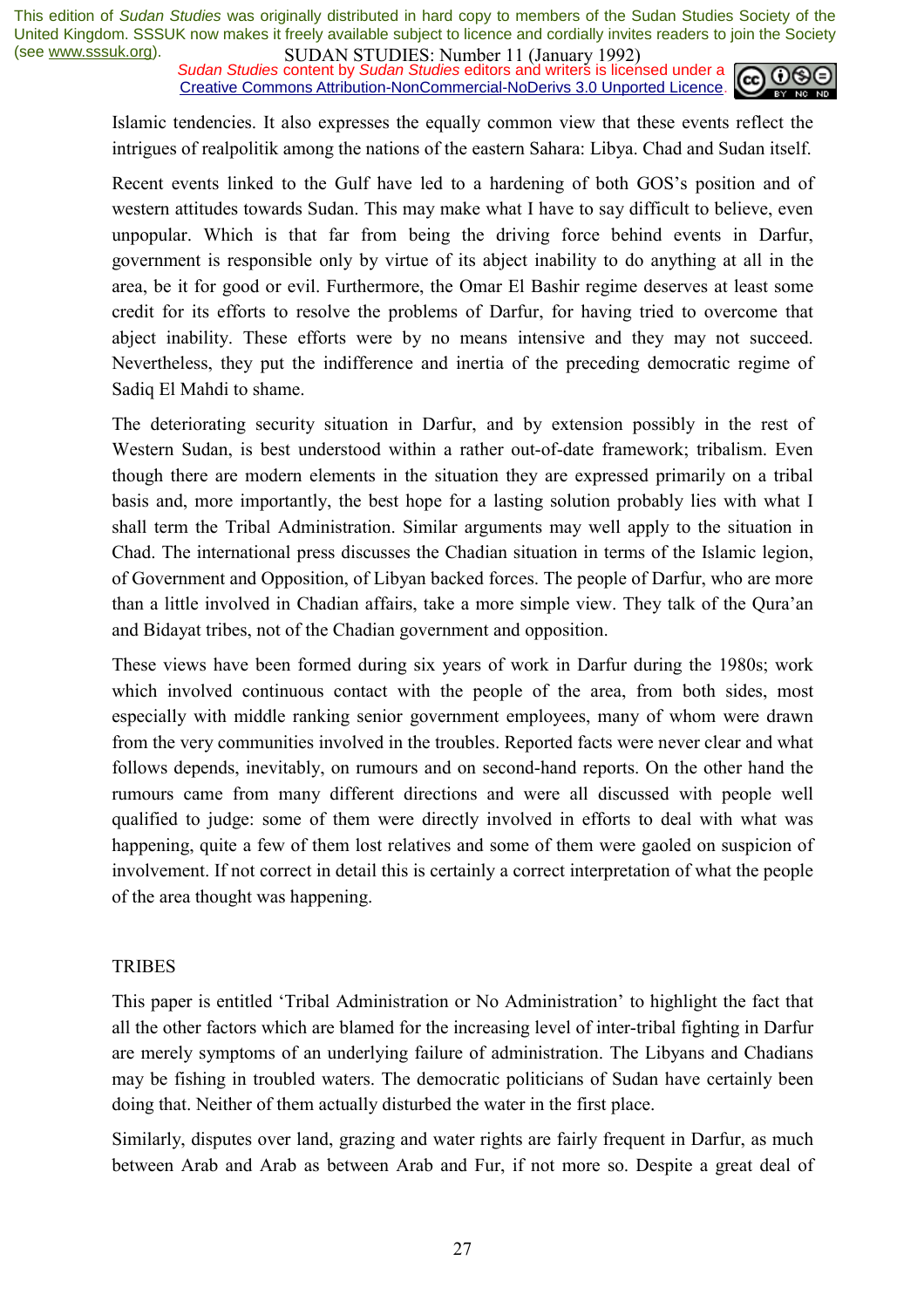*Sudan Studies* content by *Sudan Studies* editors and writers is licensed under a Creative Commons Attribution-NonCommercial-NoDerivs 3.0 Unported Licence.



Islamic tendencies. It also expresses the equally common view that these events reflect the intrigues of realpolitik among the nations of the eastern Sahara: Libya. Chad and Sudan itself.

Recent events linked to the Gulf have led to a hardening of both GOS's position and of western attitudes towards Sudan. This may make what I have to say difficult to believe, even unpopular. Which is that far from being the driving force behind events in Darfur, government is responsible only by virtue of its abject inability to do anything at all in the area, be it for good or evil. Furthermore, the Omar El Bashir regime deserves at least some credit for its efforts to resolve the problems of Darfur, for having tried to overcome that abject inability. These efforts were by no means intensive and they may not succeed. Nevertheless, they put the indifference and inertia of the preceding democratic regime of Sadiq El Mahdi to shame.

The deteriorating security situation in Darfur, and by extension possibly in the rest of Western Sudan, is best understood within a rather out-of-date framework; tribalism. Even though there are modern elements in the situation they are expressed primarily on a tribal basis and, more importantly, the best hope for a lasting solution probably lies with what I shall term the Tribal Administration. Similar arguments may well apply to the situation in Chad. The international press discusses the Chadian situation in terms of the Islamic legion, of Government and Opposition, of Libyan backed forces. The people of Darfur, who are more than a little involved in Chadian affairs, take a more simple view. They talk of the Oura'an and Bidayat tribes, not of the Chadian government and opposition.

These views have been formed during six years of work in Darfur during the 1980s; work which involved continuous contact with the people of the area, from both sides, most especially with middle ranking senior government employees, many of whom were drawn from the very communities involved in the troubles. Reported facts were never clear and what follows depends, inevitably, on rumours and on second-hand reports. On the other hand the rumours came from many different directions and were all discussed with people well qualified to judge: some of them were directly involved in efforts to deal with what was happening, quite a few of them lost relatives and some of them were gaoled on suspicion of involvement. If not correct in detail this is certainly a correct interpretation of what the people of the area thought was happening.

#### TRIBES

This paper is entitled 'Tribal Administration or No Administration' to highlight the fact that all the other factors which are blamed for the increasing level of inter-tribal fighting in Darfur are merely symptoms of an underlying failure of administration. The Libyans and Chadians may be fishing in troubled waters. The democratic politicians of Sudan have certainly been doing that. Neither of them actually disturbed the water in the first place.

Similarly, disputes over land, grazing and water rights are fairly frequent in Darfur, as much between Arab and Arab as between Arab and Fur, if not more so. Despite a great deal of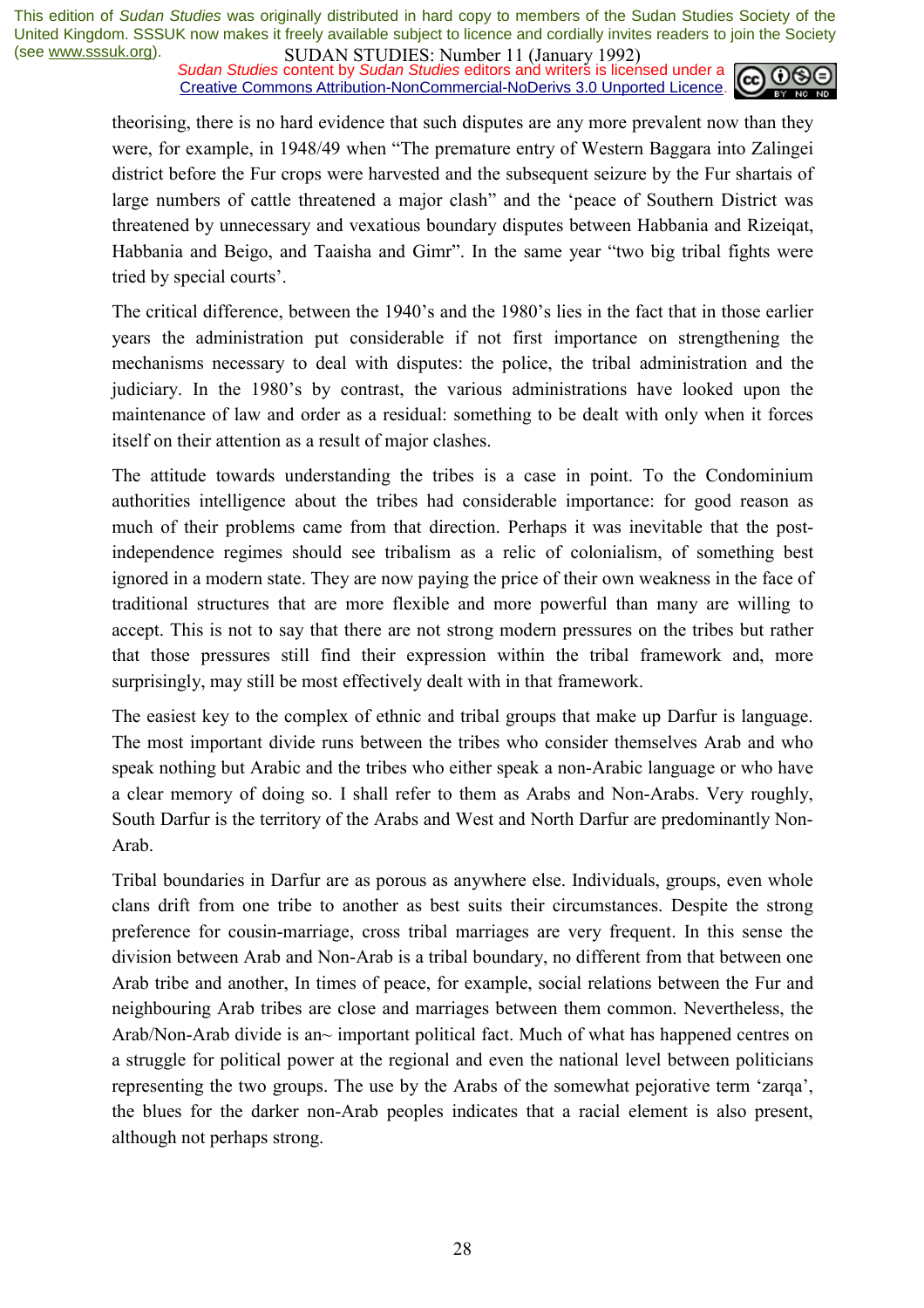*Sudan Studies* content by *Sudan Studies* editors and writers is licensed under a Creative Commons Attribution-NonCommercial-NoDerivs 3.0 Unported Licence.



theorising, there is no hard evidence that such disputes are any more prevalent now than they were, for example, in 1948/49 when "The premature entry of Western Baggara into Zalingei district before the Fur crops were harvested and the subsequent seizure by the Fur shartais of large numbers of cattle threatened a major clash" and the 'peace of Southern District was threatened by unnecessary and vexatious boundary disputes between Habbania and Rizeiqat, Habbania and Beigo, and Taaisha and Gimr". In the same year "two big tribal fights were tried by special courts'.

The critical difference, between the 1940's and the 1980's lies in the fact that in those earlier years the administration put considerable if not first importance on strengthening the mechanisms necessary to deal with disputes: the police, the tribal administration and the judiciary. In the 1980's by contrast, the various administrations have looked upon the maintenance of law and order as a residual: something to be dealt with only when it forces itself on their attention as a result of major clashes.

The attitude towards understanding the tribes is a case in point. To the Condominium authorities intelligence about the tribes had considerable importance: for good reason as much of their problems came from that direction. Perhaps it was inevitable that the postindependence regimes should see tribalism as a relic of colonialism, of something best ignored in a modern state. They are now paying the price of their own weakness in the face of traditional structures that are more flexible and more powerful than many are willing to accept. This is not to say that there are not strong modern pressures on the tribes but rather that those pressures still find their expression within the tribal framework and, more surprisingly, may still be most effectively dealt with in that framework.

The easiest key to the complex of ethnic and tribal groups that make up Darfur is language. The most important divide runs between the tribes who consider themselves Arab and who speak nothing but Arabic and the tribes who either speak a non-Arabic language or who have a clear memory of doing so. I shall refer to them as Arabs and Non-Arabs. Very roughly, South Darfur is the territory of the Arabs and West and North Darfur are predominantly Non-Arab.

Tribal boundaries in Darfur are as porous as anywhere else. Individuals, groups, even whole clans drift from one tribe to another as best suits their circumstances. Despite the strong preference for cousin-marriage, cross tribal marriages are very frequent. In this sense the division between Arab and Non-Arab is a tribal boundary, no different from that between one Arab tribe and another, In times of peace, for example, social relations between the Fur and neighbouring Arab tribes are close and marriages between them common. Nevertheless, the Arab/Non-Arab divide is an~ important political fact. Much of what has happened centres on a struggle for political power at the regional and even the national level between politicians representing the two groups. The use by the Arabs of the somewhat pejorative term 'zarqa', the blues for the darker non-Arab peoples indicates that a racial element is also present, although not perhaps strong.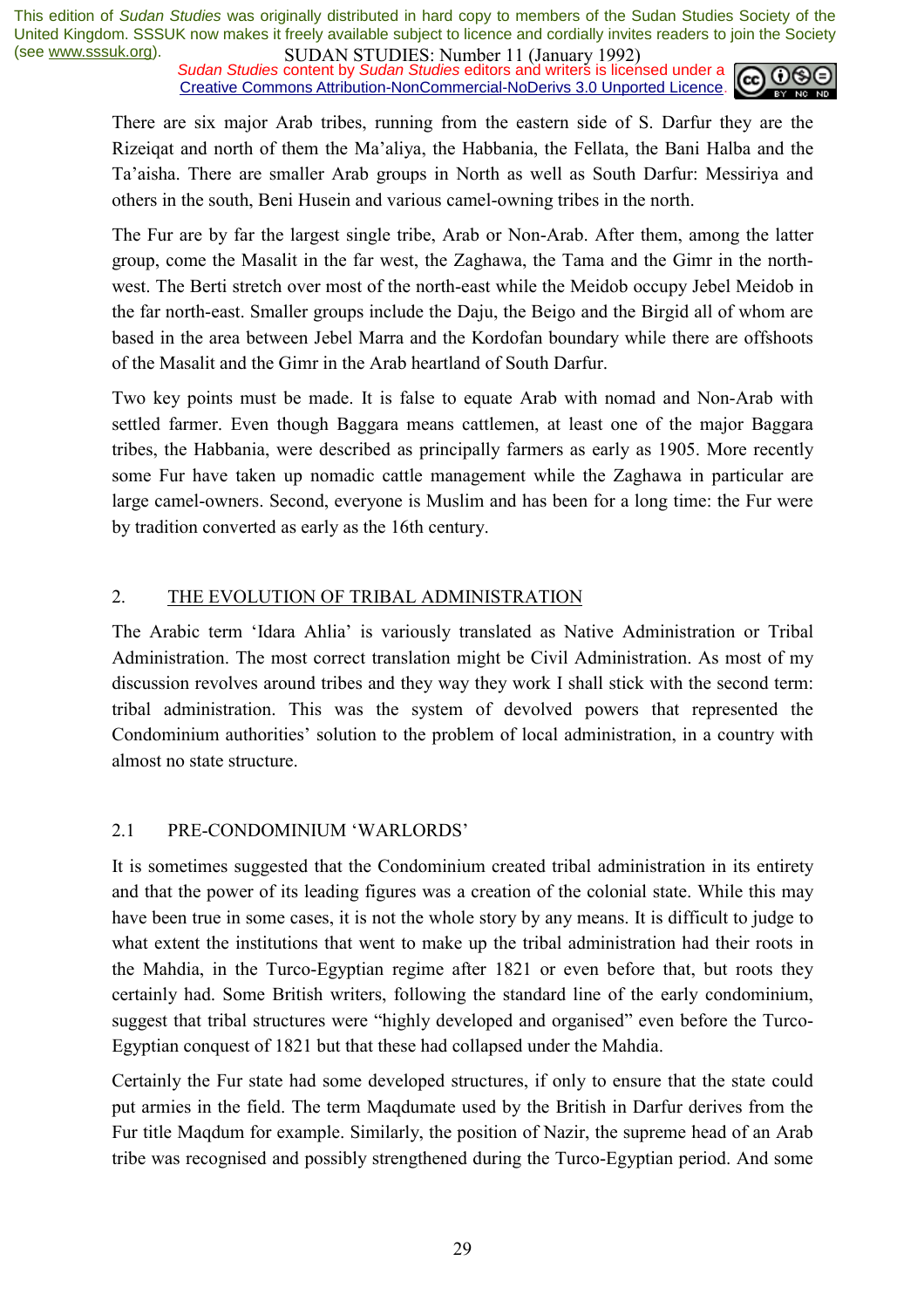*Sudan Studies* content by *Sudan Studies* editors and writers is licensed under a Creative Commons Attribution-NonCommercial-NoDerivs 3.0 Unported Licence.



There are six major Arab tribes, running from the eastern side of S. Darfur they are the Rizeiqat and north of them the Maíaliya, the Habbania, the Fellata, the Bani Halba and the Taíaisha. There are smaller Arab groups in North as well as South Darfur: Messiriya and others in the south, Beni Husein and various camel-owning tribes in the north.

The Fur are by far the largest single tribe, Arab or Non-Arab. After them, among the latter group, come the Masalit in the far west, the Zaghawa, the Tama and the Gimr in the northwest. The Berti stretch over most of the north-east while the Meidob occupy Jebel Meidob in the far north-east. Smaller groups include the Daju, the Beigo and the Birgid all of whom are based in the area between Jebel Marra and the Kordofan boundary while there are offshoots of the Masalit and the Gimr in the Arab heartland of South Darfur.

Two key points must be made. It is false to equate Arab with nomad and Non-Arab with settled farmer. Even though Baggara means cattlemen, at least one of the major Baggara tribes, the Habbania, were described as principally farmers as early as 1905. More recently some Fur have taken up nomadic cattle management while the Zaghawa in particular are large camel-owners. Second, everyone is Muslim and has been for a long time: the Fur were by tradition converted as early as the 16th century.

#### 2. THE EVOLUTION OF TRIBAL ADMINISTRATION

The Arabic term 'Idara Ahlia' is variously translated as Native Administration or Tribal Administration. The most correct translation might be Civil Administration. As most of my discussion revolves around tribes and they way they work I shall stick with the second term: tribal administration. This was the system of devolved powers that represented the Condominium authorities' solution to the problem of local administration, in a country with almost no state structure.

#### 2.1 PRE-CONDOMINIUM 'WARLORDS'

It is sometimes suggested that the Condominium created tribal administration in its entirety and that the power of its leading figures was a creation of the colonial state. While this may have been true in some cases, it is not the whole story by any means. It is difficult to judge to what extent the institutions that went to make up the tribal administration had their roots in the Mahdia, in the Turco-Egyptian regime after 1821 or even before that, but roots they certainly had. Some British writers, following the standard line of the early condominium, suggest that tribal structures were "highly developed and organised" even before the Turco-Egyptian conquest of 1821 but that these had collapsed under the Mahdia.

Certainly the Fur state had some developed structures, if only to ensure that the state could put armies in the field. The term Maqdumate used by the British in Darfur derives from the Fur title Maqdum for example. Similarly, the position of Nazir, the supreme head of an Arab tribe was recognised and possibly strengthened during the Turco-Egyptian period. And some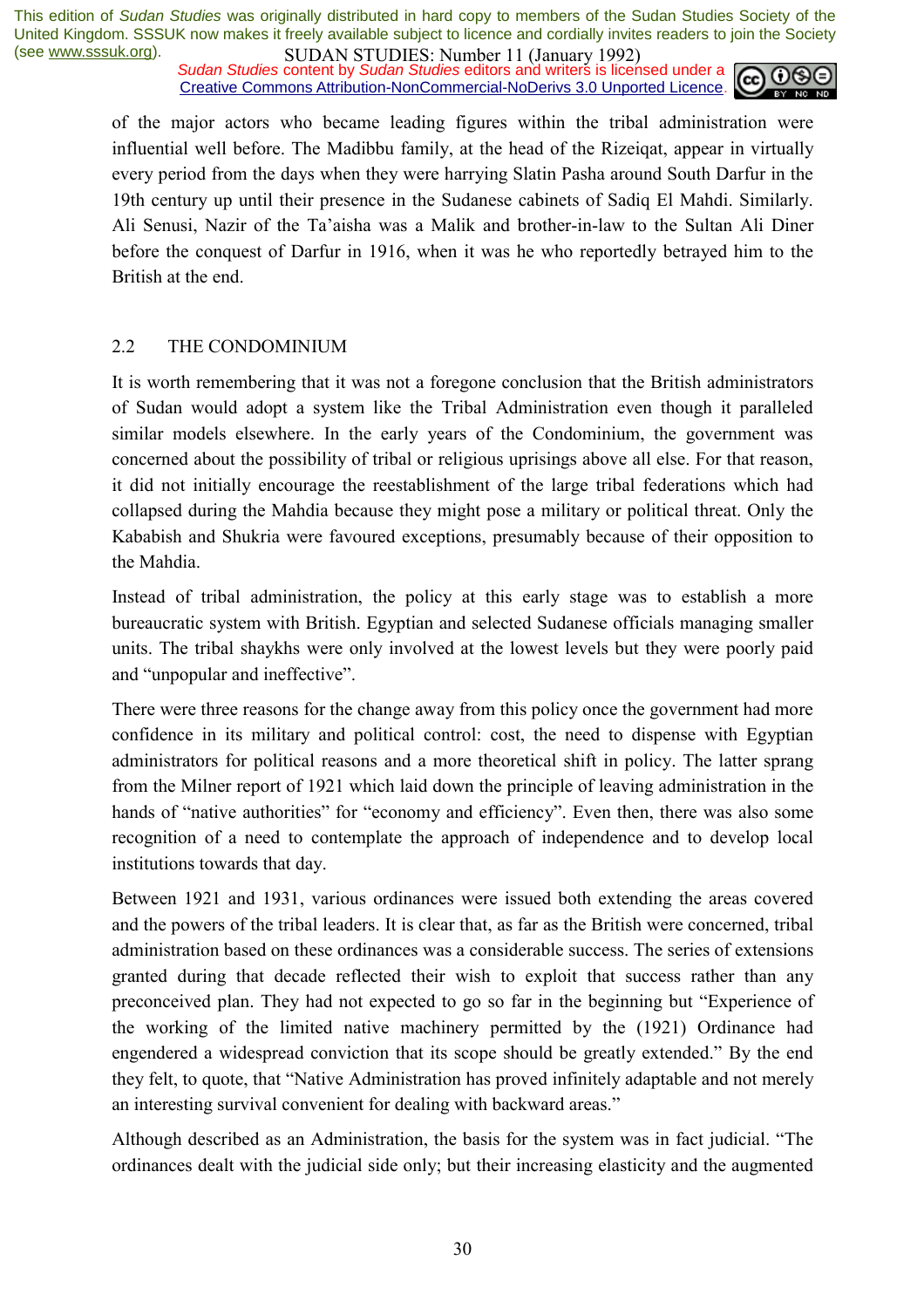*Sudan Studies* content by *Sudan Studies* editors and writers is licensed under a Creative Commons Attribution-NonCommercial-NoDerivs 3.0 Unported Licence.



of the major actors who became leading figures within the tribal administration were influential well before. The Madibbu family, at the head of the Rizeiqat, appear in virtually every period from the days when they were harrying Slatin Pasha around South Darfur in the 19th century up until their presence in the Sudanese cabinets of Sadiq El Mahdi. Similarly. Ali Senusi, Nazir of the Taíaisha was a Malik and brother-in-law to the Sultan Ali Diner before the conquest of Darfur in 1916, when it was he who reportedly betrayed him to the British at the end.

#### 2.2 THE CONDOMINIUM

It is worth remembering that it was not a foregone conclusion that the British administrators of Sudan would adopt a system like the Tribal Administration even though it paralleled similar models elsewhere. In the early years of the Condominium, the government was concerned about the possibility of tribal or religious uprisings above all else. For that reason, it did not initially encourage the reestablishment of the large tribal federations which had collapsed during the Mahdia because they might pose a military or political threat. Only the Kababish and Shukria were favoured exceptions, presumably because of their opposition to the Mahdia.

Instead of tribal administration, the policy at this early stage was to establish a more bureaucratic system with British. Egyptian and selected Sudanese officials managing smaller units. The tribal shaykhs were only involved at the lowest levels but they were poorly paid and "unpopular and ineffective".

There were three reasons for the change away from this policy once the government had more confidence in its military and political control: cost, the need to dispense with Egyptian administrators for political reasons and a more theoretical shift in policy. The latter sprang from the Milner report of 1921 which laid down the principle of leaving administration in the hands of "native authorities" for "economy and efficiency". Even then, there was also some recognition of a need to contemplate the approach of independence and to develop local institutions towards that day.

Between 1921 and 1931, various ordinances were issued both extending the areas covered and the powers of the tribal leaders. It is clear that, as far as the British were concerned, tribal administration based on these ordinances was a considerable success. The series of extensions granted during that decade reflected their wish to exploit that success rather than any preconceived plan. They had not expected to go so far in the beginning but "Experience of the working of the limited native machinery permitted by the (1921) Ordinance had engendered a widespread conviction that its scope should be greatly extended." By the end they felt, to quote, that "Native Administration has proved infinitely adaptable and not merely an interesting survival convenient for dealing with backward areas."

Although described as an Administration, the basis for the system was in fact judicial. "The ordinances dealt with the judicial side only; but their increasing elasticity and the augmented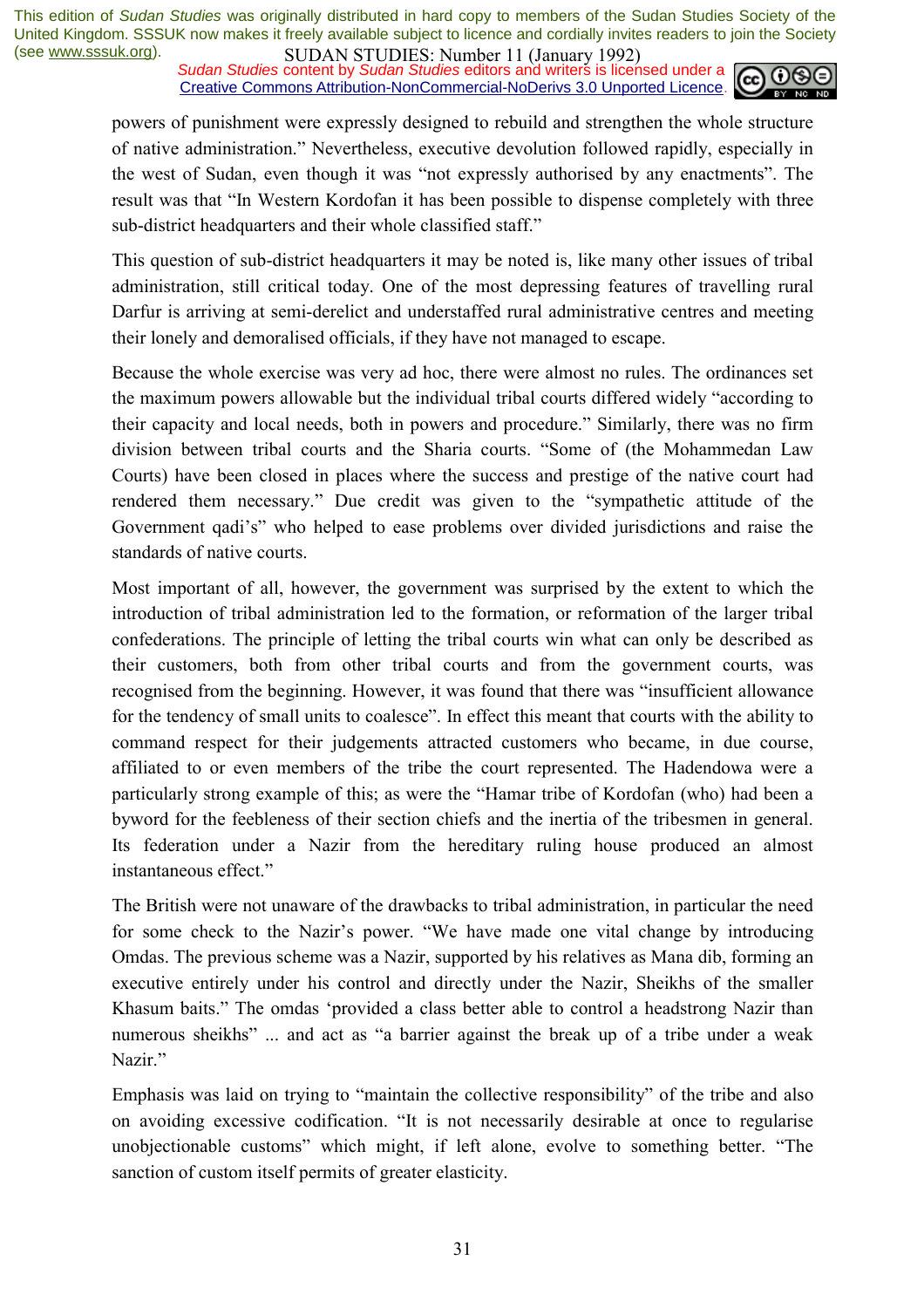*Sudan Studies* content by *Sudan Studies* editors and writers is licensed under a Creative Commons Attribution-NonCommercial-NoDerivs 3.0 Unported Licence.



powers of punishment were expressly designed to rebuild and strengthen the whole structure of native administration.î Nevertheless, executive devolution followed rapidly, especially in the west of Sudan, even though it was "not expressly authorised by any enactments". The result was that "In Western Kordofan it has been possible to dispense completely with three sub-district headquarters and their whole classified staff."

This question of sub-district headquarters it may be noted is, like many other issues of tribal administration, still critical today. One of the most depressing features of travelling rural Darfur is arriving at semi-derelict and understaffed rural administrative centres and meeting their lonely and demoralised officials, if they have not managed to escape.

Because the whole exercise was very ad hoc, there were almost no rules. The ordinances set the maximum powers allowable but the individual tribal courts differed widely "according to their capacity and local needs, both in powers and procedure." Similarly, there was no firm division between tribal courts and the Sharia courts. "Some of (the Mohammedan Law Courts) have been closed in places where the success and prestige of the native court had rendered them necessary." Due credit was given to the "sympathetic attitude of the Government qadi's" who helped to ease problems over divided jurisdictions and raise the standards of native courts.

Most important of all, however, the government was surprised by the extent to which the introduction of tribal administration led to the formation, or reformation of the larger tribal confederations. The principle of letting the tribal courts win what can only be described as their customers, both from other tribal courts and from the government courts, was recognised from the beginning. However, it was found that there was "insufficient allowance for the tendency of small units to coalesce". In effect this meant that courts with the ability to command respect for their judgements attracted customers who became, in due course, affiliated to or even members of the tribe the court represented. The Hadendowa were a particularly strong example of this; as were the "Hamar tribe of Kordofan (who) had been a byword for the feebleness of their section chiefs and the inertia of the tribesmen in general. Its federation under a Nazir from the hereditary ruling house produced an almost instantaneous effect."

The British were not unaware of the drawbacks to tribal administration, in particular the need for some check to the Nazir's power. "We have made one vital change by introducing Omdas. The previous scheme was a Nazir, supported by his relatives as Mana dib, forming an executive entirely under his control and directly under the Nazir, Sheikhs of the smaller Khasum baits." The omdas 'provided a class better able to control a headstrong Nazir than numerous sheikhs" ... and act as "a barrier against the break up of a tribe under a weak Nazir<sup>"</sup>

Emphasis was laid on trying to "maintain the collective responsibility" of the tribe and also on avoiding excessive codification. "It is not necessarily desirable at once to regularise unobjectionable customs" which might, if left alone, evolve to something better. "The sanction of custom itself permits of greater elasticity.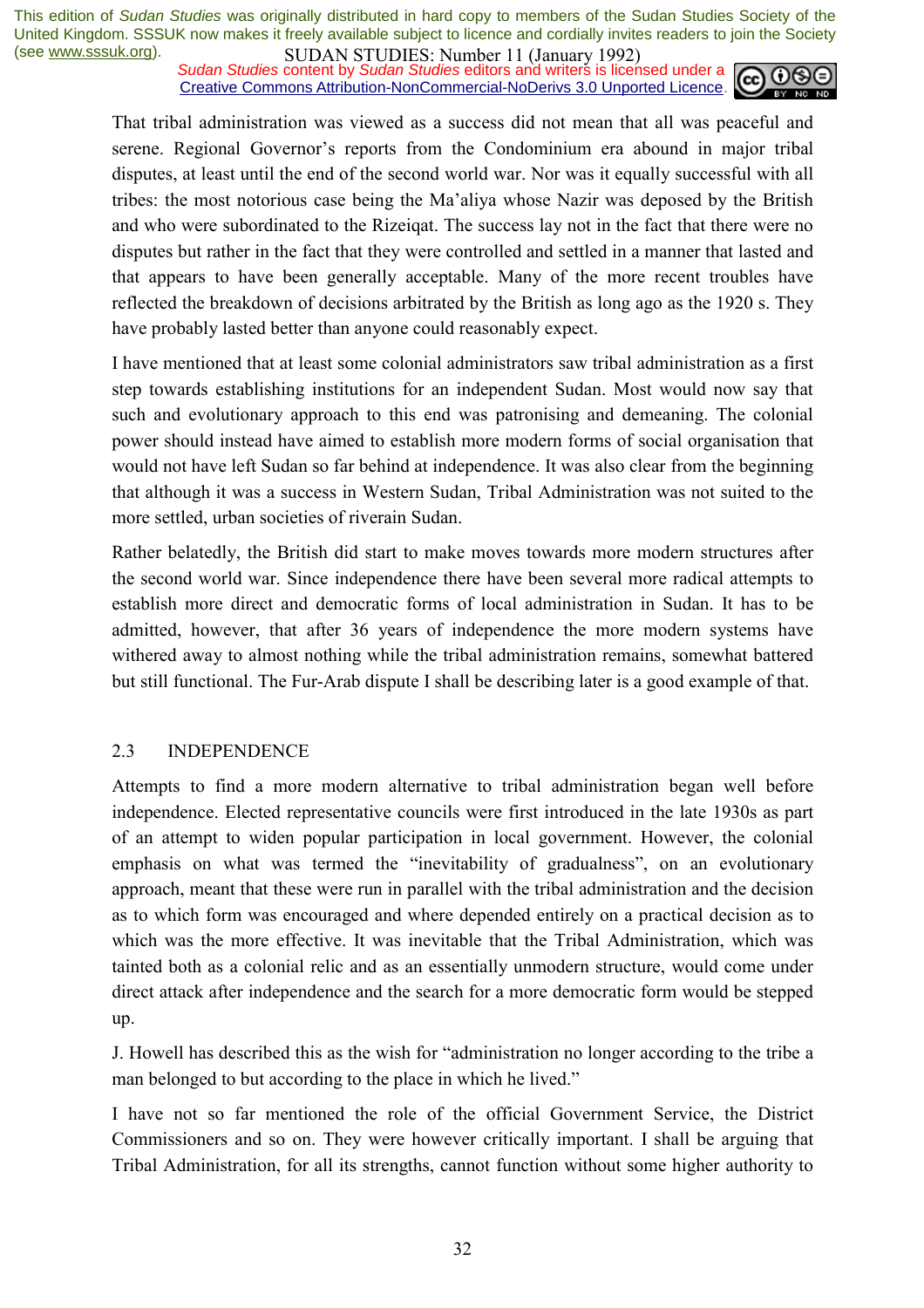*Sudan Studies* content by *Sudan Studies* editors and writers is licensed under a Creative Commons Attribution-NonCommercial-NoDerivs 3.0 Unported Licence.



That tribal administration was viewed as a success did not mean that all was peaceful and serene. Regional Governor's reports from the Condominium era abound in major tribal disputes, at least until the end of the second world war. Nor was it equally successful with all tribes: the most notorious case being the Maíaliya whose Nazir was deposed by the British and who were subordinated to the Rizeiqat. The success lay not in the fact that there were no disputes but rather in the fact that they were controlled and settled in a manner that lasted and that appears to have been generally acceptable. Many of the more recent troubles have reflected the breakdown of decisions arbitrated by the British as long ago as the 1920 s. They have probably lasted better than anyone could reasonably expect.

I have mentioned that at least some colonial administrators saw tribal administration as a first step towards establishing institutions for an independent Sudan. Most would now say that such and evolutionary approach to this end was patronising and demeaning. The colonial power should instead have aimed to establish more modern forms of social organisation that would not have left Sudan so far behind at independence. It was also clear from the beginning that although it was a success in Western Sudan, Tribal Administration was not suited to the more settled, urban societies of riverain Sudan.

Rather belatedly, the British did start to make moves towards more modern structures after the second world war. Since independence there have been several more radical attempts to establish more direct and democratic forms of local administration in Sudan. It has to be admitted, however, that after 36 years of independence the more modern systems have withered away to almost nothing while the tribal administration remains, somewhat battered but still functional. The Fur-Arab dispute I shall be describing later is a good example of that.

#### 2.3 INDEPENDENCE

Attempts to find a more modern alternative to tribal administration began well before independence. Elected representative councils were first introduced in the late 1930s as part of an attempt to widen popular participation in local government. However, the colonial emphasis on what was termed the "inevitability of gradualness", on an evolutionary approach, meant that these were run in parallel with the tribal administration and the decision as to which form was encouraged and where depended entirely on a practical decision as to which was the more effective. It was inevitable that the Tribal Administration, which was tainted both as a colonial relic and as an essentially unmodern structure, would come under direct attack after independence and the search for a more democratic form would be stepped up.

J. Howell has described this as the wish for "administration no longer according to the tribe a man belonged to but according to the place in which he lived."

I have not so far mentioned the role of the official Government Service, the District Commissioners and so on. They were however critically important. I shall be arguing that Tribal Administration, for all its strengths, cannot function without some higher authority to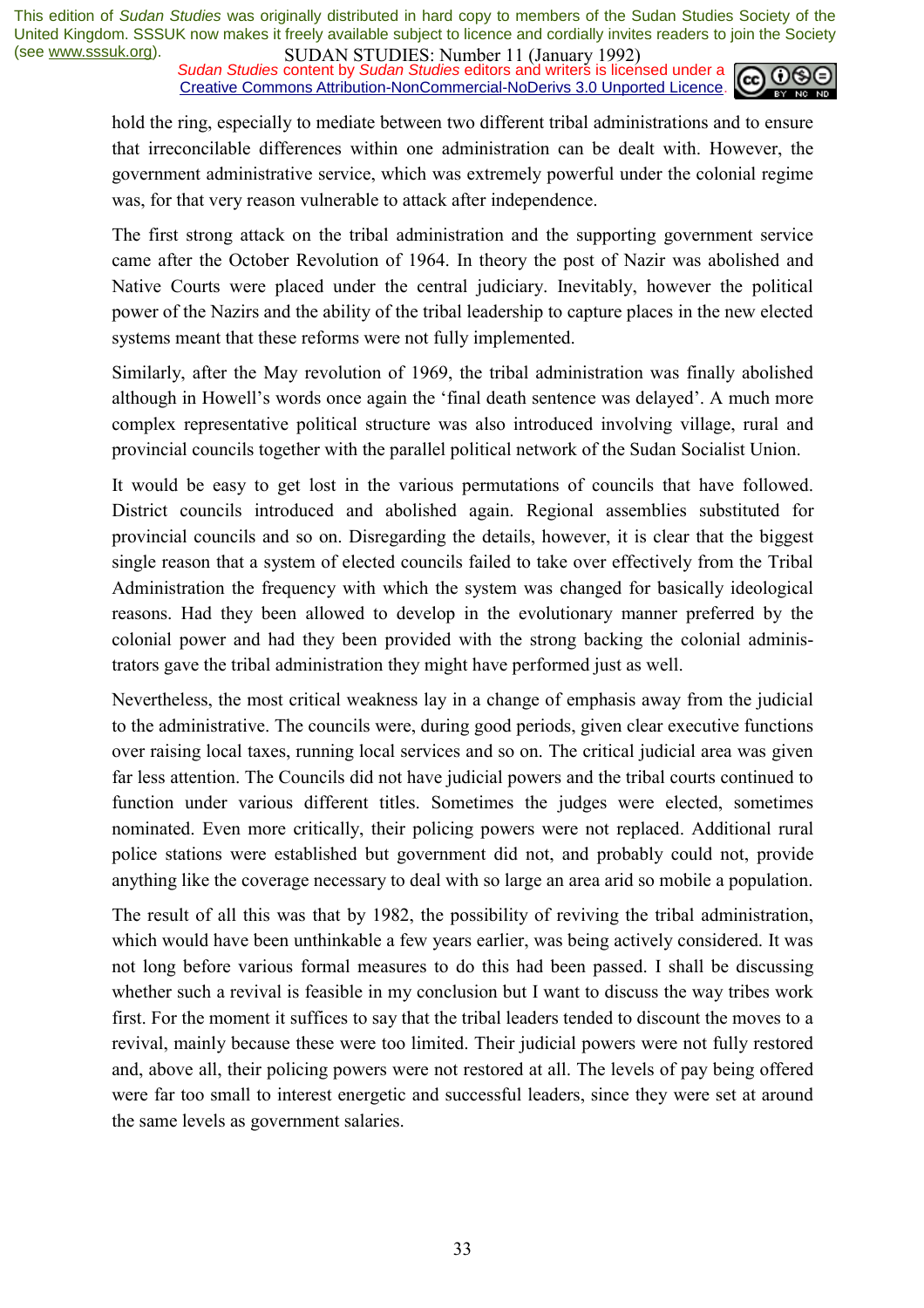*Sudan Studies* content by *Sudan Studies* editors and writers is licensed under a Creative Commons Attribution-NonCommercial-NoDerivs 3.0 Unported Licence.



hold the ring, especially to mediate between two different tribal administrations and to ensure that irreconcilable differences within one administration can be dealt with. However, the government administrative service, which was extremely powerful under the colonial regime was, for that very reason vulnerable to attack after independence.

The first strong attack on the tribal administration and the supporting government service came after the October Revolution of 1964. In theory the post of Nazir was abolished and Native Courts were placed under the central judiciary. Inevitably, however the political power of the Nazirs and the ability of the tribal leadership to capture places in the new elected systems meant that these reforms were not fully implemented.

Similarly, after the May revolution of 1969, the tribal administration was finally abolished although in Howell's words once again the 'final death sentence was delayed'. A much more complex representative political structure was also introduced involving village, rural and provincial councils together with the parallel political network of the Sudan Socialist Union.

It would be easy to get lost in the various permutations of councils that have followed. District councils introduced and abolished again. Regional assemblies substituted for provincial councils and so on. Disregarding the details, however, it is clear that the biggest single reason that a system of elected councils failed to take over effectively from the Tribal Administration the frequency with which the system was changed for basically ideological reasons. Had they been allowed to develop in the evolutionary manner preferred by the colonial power and had they been provided with the strong backing the colonial administrators gave the tribal administration they might have performed just as well.

Nevertheless, the most critical weakness lay in a change of emphasis away from the judicial to the administrative. The councils were, during good periods, given clear executive functions over raising local taxes, running local services and so on. The critical judicial area was given far less attention. The Councils did not have judicial powers and the tribal courts continued to function under various different titles. Sometimes the judges were elected, sometimes nominated. Even more critically, their policing powers were not replaced. Additional rural police stations were established but government did not, and probably could not, provide anything like the coverage necessary to deal with so large an area arid so mobile a population.

The result of all this was that by 1982, the possibility of reviving the tribal administration, which would have been unthinkable a few years earlier, was being actively considered. It was not long before various formal measures to do this had been passed. I shall be discussing whether such a revival is feasible in my conclusion but I want to discuss the way tribes work first. For the moment it suffices to say that the tribal leaders tended to discount the moves to a revival, mainly because these were too limited. Their judicial powers were not fully restored and, above all, their policing powers were not restored at all. The levels of pay being offered were far too small to interest energetic and successful leaders, since they were set at around the same levels as government salaries.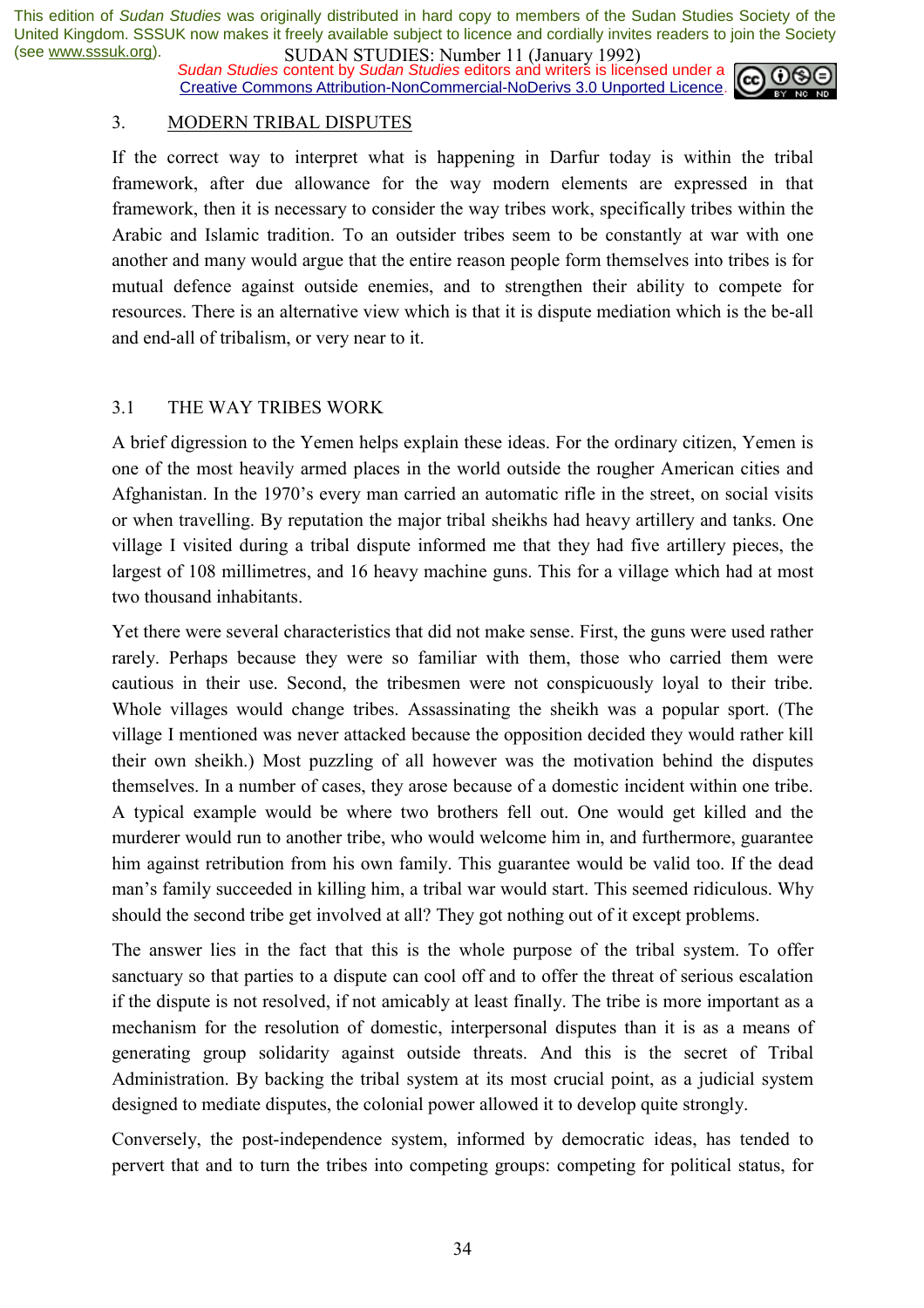*Sudan Studies* content by *Sudan Studies* editors and writers is licensed under a Creative Commons Attribution-NonCommercial-NoDerivs 3.0 Unported Licence.



#### 3. MODERN TRIBAL DISPUTES

If the correct way to interpret what is happening in Darfur today is within the tribal framework, after due allowance for the way modern elements are expressed in that framework, then it is necessary to consider the way tribes work, specifically tribes within the Arabic and Islamic tradition. To an outsider tribes seem to be constantly at war with one another and many would argue that the entire reason people form themselves into tribes is for mutual defence against outside enemies, and to strengthen their ability to compete for resources. There is an alternative view which is that it is dispute mediation which is the be-all and end-all of tribalism, or very near to it.

#### 3.1 THE WAY TRIBES WORK

A brief digression to the Yemen helps explain these ideas. For the ordinary citizen, Yemen is one of the most heavily armed places in the world outside the rougher American cities and Afghanistan. In the 1970's every man carried an automatic rifle in the street, on social visits or when travelling. By reputation the major tribal sheikhs had heavy artillery and tanks. One village I visited during a tribal dispute informed me that they had five artillery pieces, the largest of 108 millimetres, and 16 heavy machine guns. This for a village which had at most two thousand inhabitants.

Yet there were several characteristics that did not make sense. First, the guns were used rather rarely. Perhaps because they were so familiar with them, those who carried them were cautious in their use. Second, the tribesmen were not conspicuously loyal to their tribe. Whole villages would change tribes. Assassinating the sheikh was a popular sport. (The village I mentioned was never attacked because the opposition decided they would rather kill their own sheikh.) Most puzzling of all however was the motivation behind the disputes themselves. In a number of cases, they arose because of a domestic incident within one tribe. A typical example would be where two brothers fell out. One would get killed and the murderer would run to another tribe, who would welcome him in, and furthermore, guarantee him against retribution from his own family. This guarantee would be valid too. If the dead manís family succeeded in killing him, a tribal war would start. This seemed ridiculous. Why should the second tribe get involved at all? They got nothing out of it except problems.

The answer lies in the fact that this is the whole purpose of the tribal system. To offer sanctuary so that parties to a dispute can cool off and to offer the threat of serious escalation if the dispute is not resolved, if not amicably at least finally. The tribe is more important as a mechanism for the resolution of domestic, interpersonal disputes than it is as a means of generating group solidarity against outside threats. And this is the secret of Tribal Administration. By backing the tribal system at its most crucial point, as a judicial system designed to mediate disputes, the colonial power allowed it to develop quite strongly.

Conversely, the post-independence system, informed by democratic ideas, has tended to pervert that and to turn the tribes into competing groups: competing for political status, for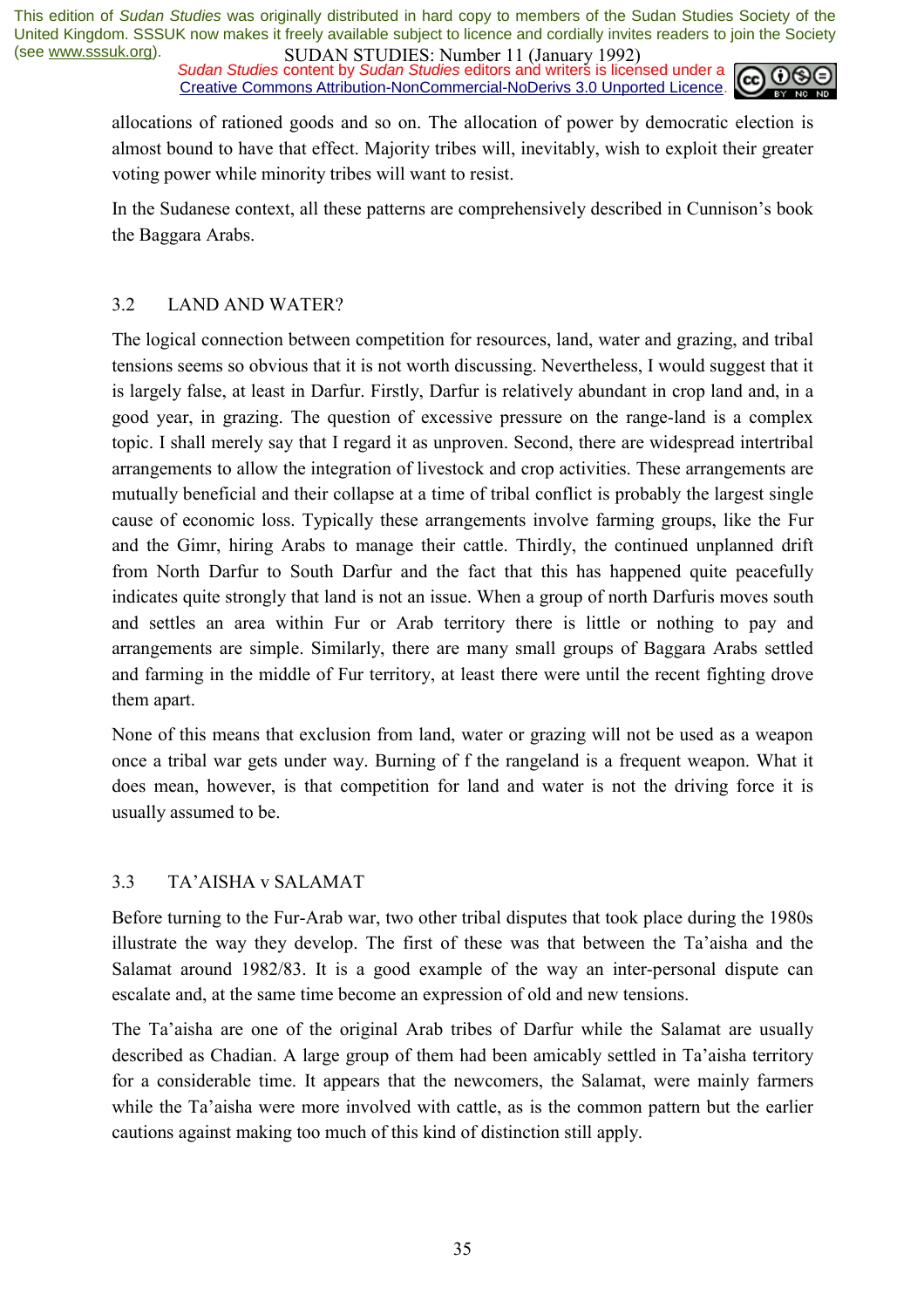*Sudan Studies* content by *Sudan Studies* editors and writers is licensed under a Creative Commons Attribution-NonCommercial-NoDerivs 3.0 Unported Licence.



allocations of rationed goods and so on. The allocation of power by democratic election is almost bound to have that effect. Majority tribes will, inevitably, wish to exploit their greater voting power while minority tribes will want to resist.

In the Sudanese context, all these patterns are comprehensively described in Cunnison's book the Baggara Arabs.

#### 3.2 LAND AND WATER?

The logical connection between competition for resources, land, water and grazing, and tribal tensions seems so obvious that it is not worth discussing. Nevertheless, I would suggest that it is largely false, at least in Darfur. Firstly, Darfur is relatively abundant in crop land and, in a good year, in grazing. The question of excessive pressure on the range-land is a complex topic. I shall merely say that I regard it as unproven. Second, there are widespread intertribal arrangements to allow the integration of livestock and crop activities. These arrangements are mutually beneficial and their collapse at a time of tribal conflict is probably the largest single cause of economic loss. Typically these arrangements involve farming groups, like the Fur and the Gimr, hiring Arabs to manage their cattle. Thirdly, the continued unplanned drift from North Darfur to South Darfur and the fact that this has happened quite peacefully indicates quite strongly that land is not an issue. When a group of north Darfuris moves south and settles an area within Fur or Arab territory there is little or nothing to pay and arrangements are simple. Similarly, there are many small groups of Baggara Arabs settled and farming in the middle of Fur territory, at least there were until the recent fighting drove them apart.

None of this means that exclusion from land, water or grazing will not be used as a weapon once a tribal war gets under way. Burning of f the rangeland is a frequent weapon. What it does mean, however, is that competition for land and water is not the driving force it is usually assumed to be.

#### 3.3 TAíAISHA v SALAMAT

Before turning to the Fur-Arab war, two other tribal disputes that took place during the 1980s illustrate the way they develop. The first of these was that between the Ta'aisha and the Salamat around 1982/83. It is a good example of the way an inter-personal dispute can escalate and, at the same time become an expression of old and new tensions.

The Taíaisha are one of the original Arab tribes of Darfur while the Salamat are usually described as Chadian. A large group of them had been amicably settled in Ta'aisha territory for a considerable time. It appears that the newcomers, the Salamat, were mainly farmers while the Ta'aisha were more involved with cattle, as is the common pattern but the earlier cautions against making too much of this kind of distinction still apply.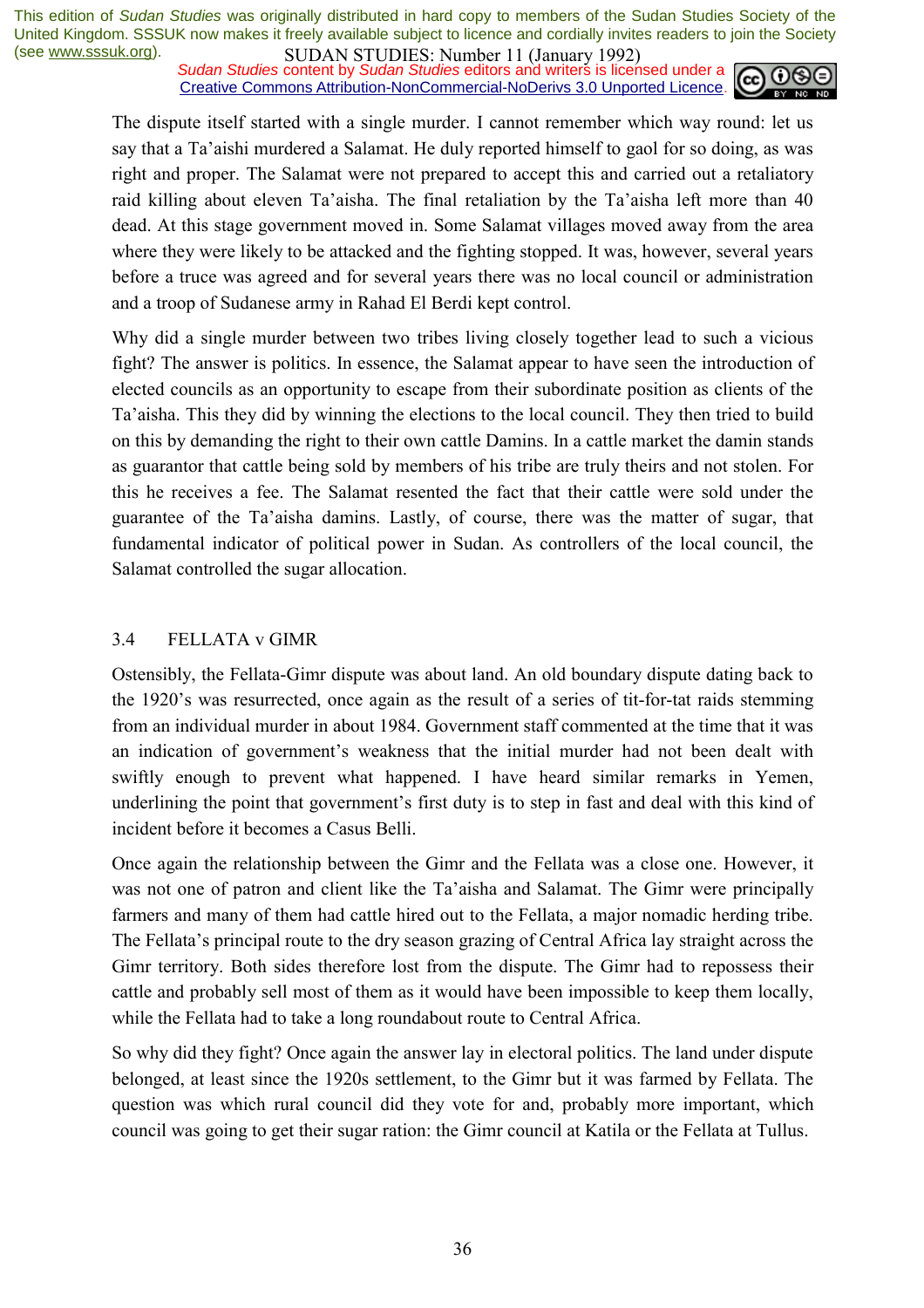*Sudan Studies* content by *Sudan Studies* editors and writers is licensed under a Creative Commons Attribution-NonCommercial-NoDerivs 3.0 Unported Licence.



The dispute itself started with a single murder. I cannot remember which way round: let us say that a Ta'aishi murdered a Salamat. He duly reported himself to gaol for so doing, as was right and proper. The Salamat were not prepared to accept this and carried out a retaliatory raid killing about eleven Ta'aisha. The final retaliation by the Ta'aisha left more than 40 dead. At this stage government moved in. Some Salamat villages moved away from the area where they were likely to be attacked and the fighting stopped. It was, however, several years before a truce was agreed and for several years there was no local council or administration and a troop of Sudanese army in Rahad El Berdi kept control.

Why did a single murder between two tribes living closely together lead to such a vicious fight? The answer is politics. In essence, the Salamat appear to have seen the introduction of elected councils as an opportunity to escape from their subordinate position as clients of the Taíaisha. This they did by winning the elections to the local council. They then tried to build on this by demanding the right to their own cattle Damins. In a cattle market the damin stands as guarantor that cattle being sold by members of his tribe are truly theirs and not stolen. For this he receives a fee. The Salamat resented the fact that their cattle were sold under the guarantee of the Taíaisha damins. Lastly, of course, there was the matter of sugar, that fundamental indicator of political power in Sudan. As controllers of the local council, the Salamat controlled the sugar allocation.

#### 3.4 FELLATA v GIMR

Ostensibly, the Fellata-Gimr dispute was about land. An old boundary dispute dating back to the 1920's was resurrected, once again as the result of a series of tit-for-tat raids stemming from an individual murder in about 1984. Government staff commented at the time that it was an indication of government's weakness that the initial murder had not been dealt with swiftly enough to prevent what happened. I have heard similar remarks in Yemen, underlining the point that government's first duty is to step in fast and deal with this kind of incident before it becomes a Casus Belli.

Once again the relationship between the Gimr and the Fellata was a close one. However, it was not one of patron and client like the Ta'aisha and Salamat. The Gimr were principally farmers and many of them had cattle hired out to the Fellata, a major nomadic herding tribe. The Fellata's principal route to the dry season grazing of Central Africa lay straight across the Gimr territory. Both sides therefore lost from the dispute. The Gimr had to repossess their cattle and probably sell most of them as it would have been impossible to keep them locally, while the Fellata had to take a long roundabout route to Central Africa.

So why did they fight? Once again the answer lay in electoral politics. The land under dispute belonged, at least since the 1920s settlement, to the Gimr but it was farmed by Fellata. The question was which rural council did they vote for and, probably more important, which council was going to get their sugar ration: the Gimr council at Katila or the Fellata at Tullus.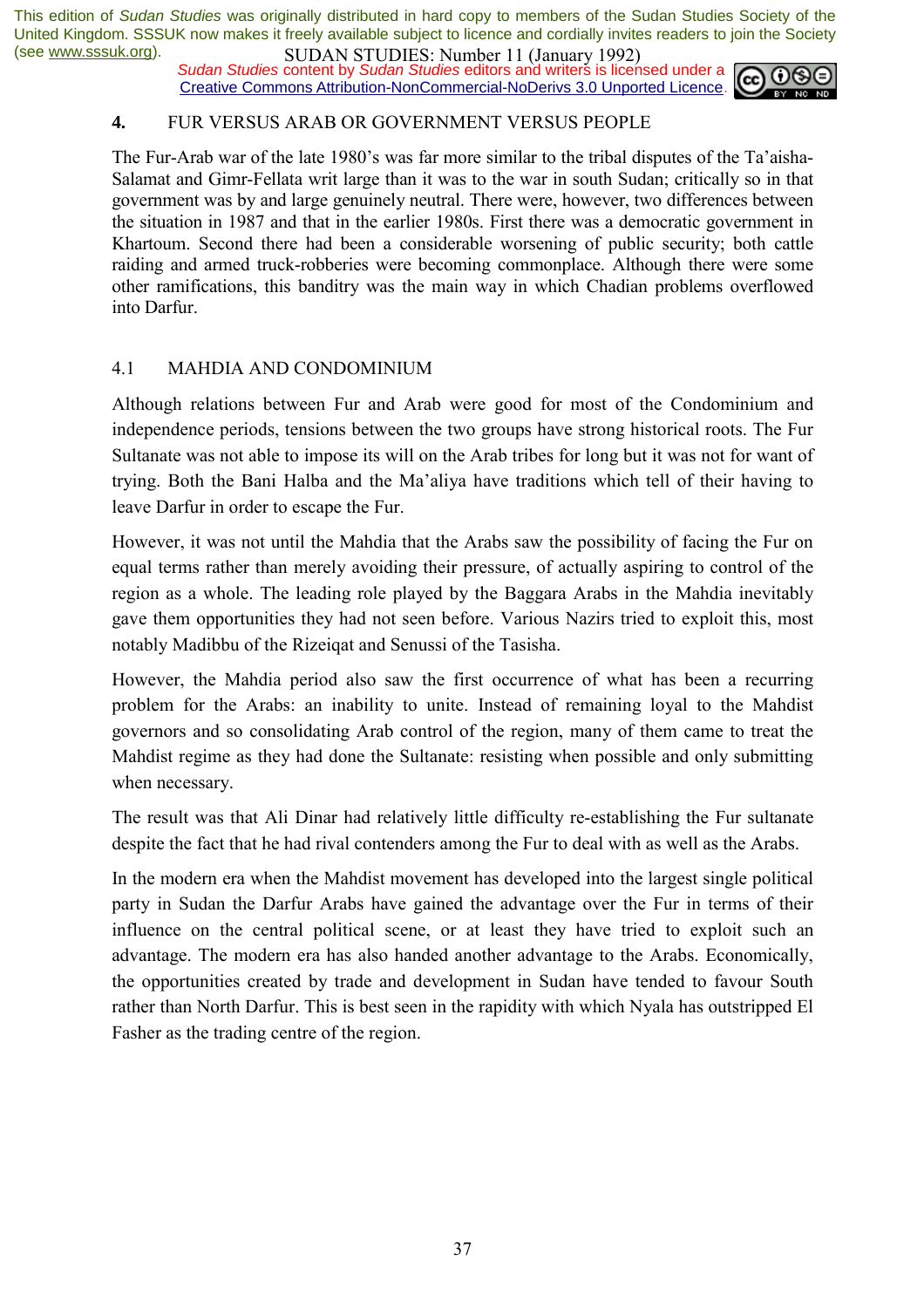*Sudan Studies* content by *Sudan Studies* editors and writers is licensed under a Creative Commons Attribution-NonCommercial-NoDerivs 3.0 Unported Licence.



#### **4.** FUR VERSUS ARAB OR GOVERNMENT VERSUS PEOPLE

The Fur-Arab war of the late 1980's was far more similar to the tribal disputes of the Ta'aisha-Salamat and Gimr-Fellata writ large than it was to the war in south Sudan; critically so in that government was by and large genuinely neutral. There were, however, two differences between the situation in 1987 and that in the earlier 1980s. First there was a democratic government in Khartoum. Second there had been a considerable worsening of public security; both cattle raiding and armed truck-robberies were becoming commonplace. Although there were some other ramifications, this banditry was the main way in which Chadian problems overflowed into Darfur.

#### 4.1 MAHDIA AND CONDOMINIUM

Although relations between Fur and Arab were good for most of the Condominium and independence periods, tensions between the two groups have strong historical roots. The Fur Sultanate was not able to impose its will on the Arab tribes for long but it was not for want of trying. Both the Bani Halba and the Ma'aliya have traditions which tell of their having to leave Darfur in order to escape the Fur.

However, it was not until the Mahdia that the Arabs saw the possibility of facing the Fur on equal terms rather than merely avoiding their pressure, of actually aspiring to control of the region as a whole. The leading role played by the Baggara Arabs in the Mahdia inevitably gave them opportunities they had not seen before. Various Nazirs tried to exploit this, most notably Madibbu of the Rizeiqat and Senussi of the Tasisha.

However, the Mahdia period also saw the first occurrence of what has been a recurring problem for the Arabs: an inability to unite. Instead of remaining loyal to the Mahdist governors and so consolidating Arab control of the region, many of them came to treat the Mahdist regime as they had done the Sultanate: resisting when possible and only submitting when necessary.

The result was that Ali Dinar had relatively little difficulty re-establishing the Fur sultanate despite the fact that he had rival contenders among the Fur to deal with as well as the Arabs.

In the modern era when the Mahdist movement has developed into the largest single political party in Sudan the Darfur Arabs have gained the advantage over the Fur in terms of their influence on the central political scene, or at least they have tried to exploit such an advantage. The modern era has also handed another advantage to the Arabs. Economically, the opportunities created by trade and development in Sudan have tended to favour South rather than North Darfur. This is best seen in the rapidity with which Nyala has outstripped El Fasher as the trading centre of the region.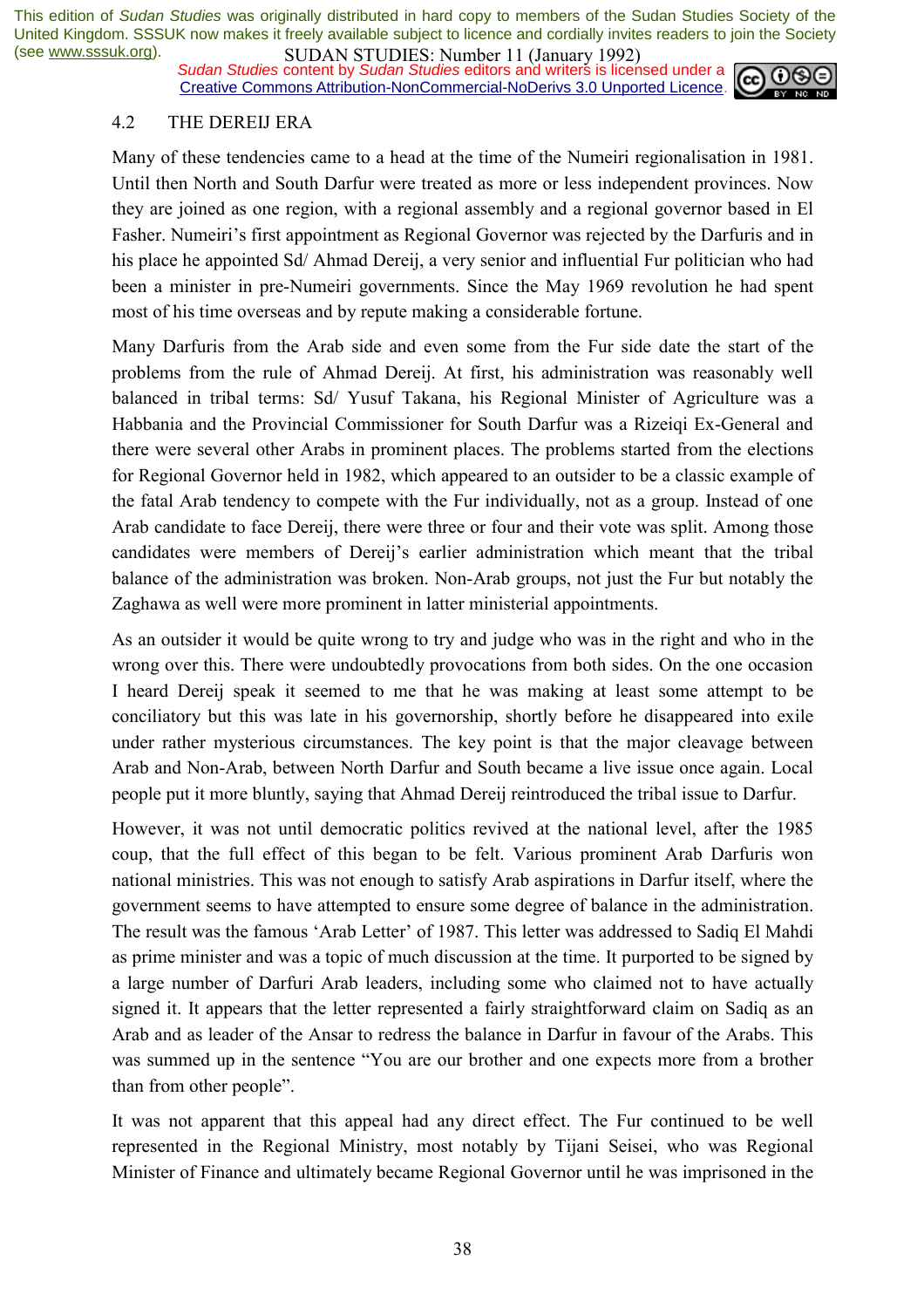*Sudan Studies* content by *Sudan Studies* editors and writers is licensed under a Creative Commons Attribution-NonCommercial-NoDerivs 3.0 Unported Licence.



#### 4.2 THE DEREIJ ERA

Many of these tendencies came to a head at the time of the Numeiri regionalisation in 1981. Until then North and South Darfur were treated as more or less independent provinces. Now they are joined as one region, with a regional assembly and a regional governor based in El Fasher. Numeiri's first appointment as Regional Governor was rejected by the Darfuris and in his place he appointed Sd/ Ahmad Dereij, a very senior and influential Fur politician who had been a minister in pre-Numeiri governments. Since the May 1969 revolution he had spent most of his time overseas and by repute making a considerable fortune.

Many Darfuris from the Arab side and even some from the Fur side date the start of the problems from the rule of Ahmad Dereij. At first, his administration was reasonably well balanced in tribal terms: Sd/ Yusuf Takana, his Regional Minister of Agriculture was a Habbania and the Provincial Commissioner for South Darfur was a Rizeiqi Ex-General and there were several other Arabs in prominent places. The problems started from the elections for Regional Governor held in 1982, which appeared to an outsider to be a classic example of the fatal Arab tendency to compete with the Fur individually, not as a group. Instead of one Arab candidate to face Dereij, there were three or four and their vote was split. Among those candidates were members of Dereij's earlier administration which meant that the tribal balance of the administration was broken. Non-Arab groups, not just the Fur but notably the Zaghawa as well were more prominent in latter ministerial appointments.

As an outsider it would be quite wrong to try and judge who was in the right and who in the wrong over this. There were undoubtedly provocations from both sides. On the one occasion I heard Dereij speak it seemed to me that he was making at least some attempt to be conciliatory but this was late in his governorship, shortly before he disappeared into exile under rather mysterious circumstances. The key point is that the major cleavage between Arab and Non-Arab, between North Darfur and South became a live issue once again. Local people put it more bluntly, saying that Ahmad Dereij reintroduced the tribal issue to Darfur.

However, it was not until democratic politics revived at the national level, after the 1985 coup, that the full effect of this began to be felt. Various prominent Arab Darfuris won national ministries. This was not enough to satisfy Arab aspirations in Darfur itself, where the government seems to have attempted to ensure some degree of balance in the administration. The result was the famous 'Arab Letter' of 1987. This letter was addressed to Sadiq El Mahdi as prime minister and was a topic of much discussion at the time. It purported to be signed by a large number of Darfuri Arab leaders, including some who claimed not to have actually signed it. It appears that the letter represented a fairly straightforward claim on Sadiq as an Arab and as leader of the Ansar to redress the balance in Darfur in favour of the Arabs. This was summed up in the sentence "You are our brother and one expects more from a brother than from other people".

It was not apparent that this appeal had any direct effect. The Fur continued to be well represented in the Regional Ministry, most notably by Tijani Seisei, who was Regional Minister of Finance and ultimately became Regional Governor until he was imprisoned in the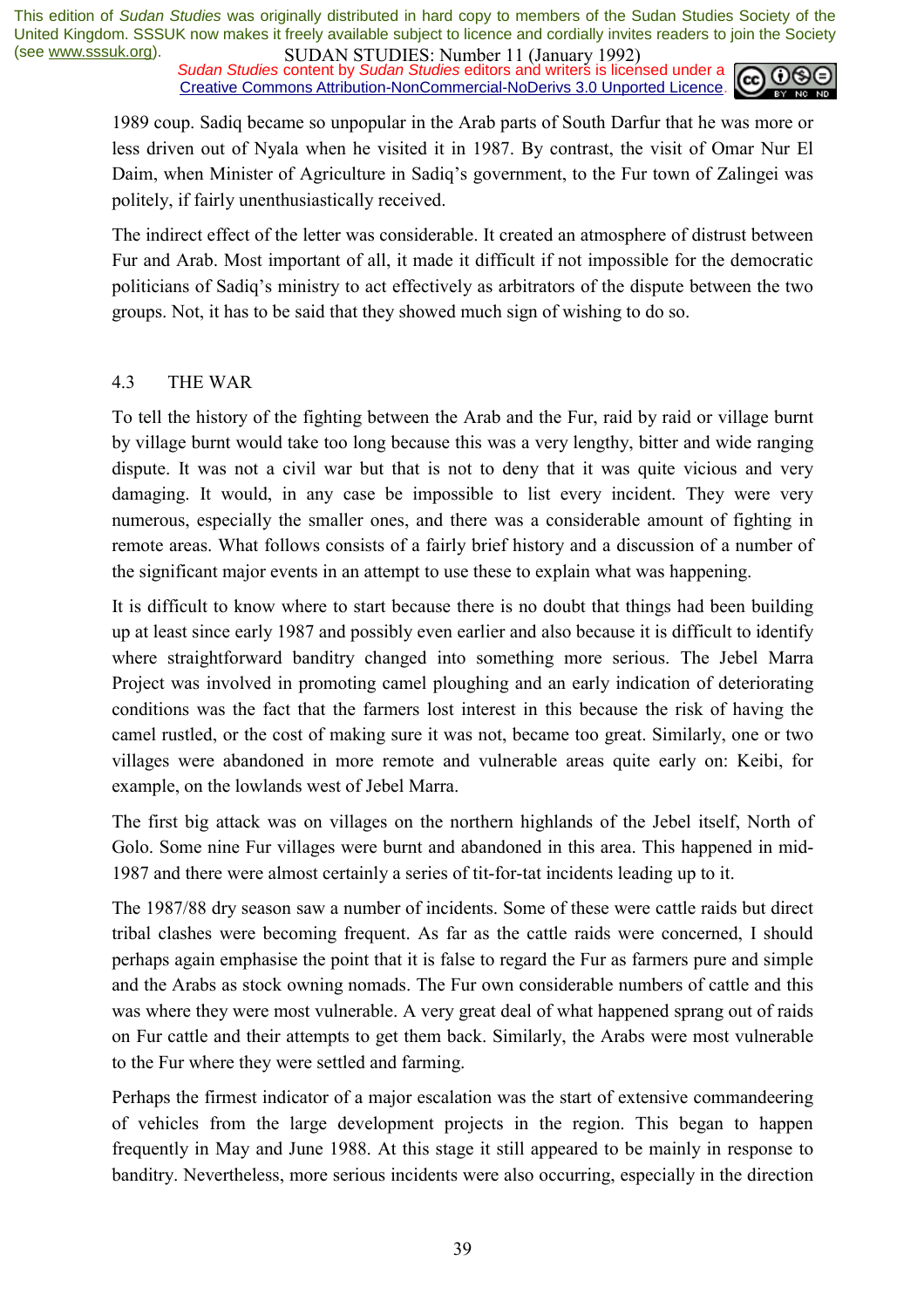*Sudan Studies* content by *Sudan Studies* editors and writers is licensed under a Creative Commons Attribution-NonCommercial-NoDerivs 3.0 Unported Licence.



1989 coup. Sadiq became so unpopular in the Arab parts of South Darfur that he was more or less driven out of Nyala when he visited it in 1987. By contrast, the visit of Omar Nur El Daim, when Minister of Agriculture in Sadiq's government, to the Fur town of Zalingei was politely, if fairly unenthusiastically received.

The indirect effect of the letter was considerable. It created an atmosphere of distrust between Fur and Arab. Most important of all, it made it difficult if not impossible for the democratic politicians of Sadiqís ministry to act effectively as arbitrators of the dispute between the two groups. Not, it has to be said that they showed much sign of wishing to do so.

#### 4.3 THE WAR

To tell the history of the fighting between the Arab and the Fur, raid by raid or village burnt by village burnt would take too long because this was a very lengthy, bitter and wide ranging dispute. It was not a civil war but that is not to deny that it was quite vicious and very damaging. It would, in any case be impossible to list every incident. They were very numerous, especially the smaller ones, and there was a considerable amount of fighting in remote areas. What follows consists of a fairly brief history and a discussion of a number of the significant major events in an attempt to use these to explain what was happening.

It is difficult to know where to start because there is no doubt that things had been building up at least since early 1987 and possibly even earlier and also because it is difficult to identify where straightforward banditry changed into something more serious. The Jebel Marra Project was involved in promoting camel ploughing and an early indication of deteriorating conditions was the fact that the farmers lost interest in this because the risk of having the camel rustled, or the cost of making sure it was not, became too great. Similarly, one or two villages were abandoned in more remote and vulnerable areas quite early on: Keibi, for example, on the lowlands west of Jebel Marra.

The first big attack was on villages on the northern highlands of the Jebel itself, North of Golo. Some nine Fur villages were burnt and abandoned in this area. This happened in mid-1987 and there were almost certainly a series of tit-for-tat incidents leading up to it.

The 1987/88 dry season saw a number of incidents. Some of these were cattle raids but direct tribal clashes were becoming frequent. As far as the cattle raids were concerned, I should perhaps again emphasise the point that it is false to regard the Fur as farmers pure and simple and the Arabs as stock owning nomads. The Fur own considerable numbers of cattle and this was where they were most vulnerable. A very great deal of what happened sprang out of raids on Fur cattle and their attempts to get them back. Similarly, the Arabs were most vulnerable to the Fur where they were settled and farming.

Perhaps the firmest indicator of a major escalation was the start of extensive commandeering of vehicles from the large development projects in the region. This began to happen frequently in May and June 1988. At this stage it still appeared to be mainly in response to banditry. Nevertheless, more serious incidents were also occurring, especially in the direction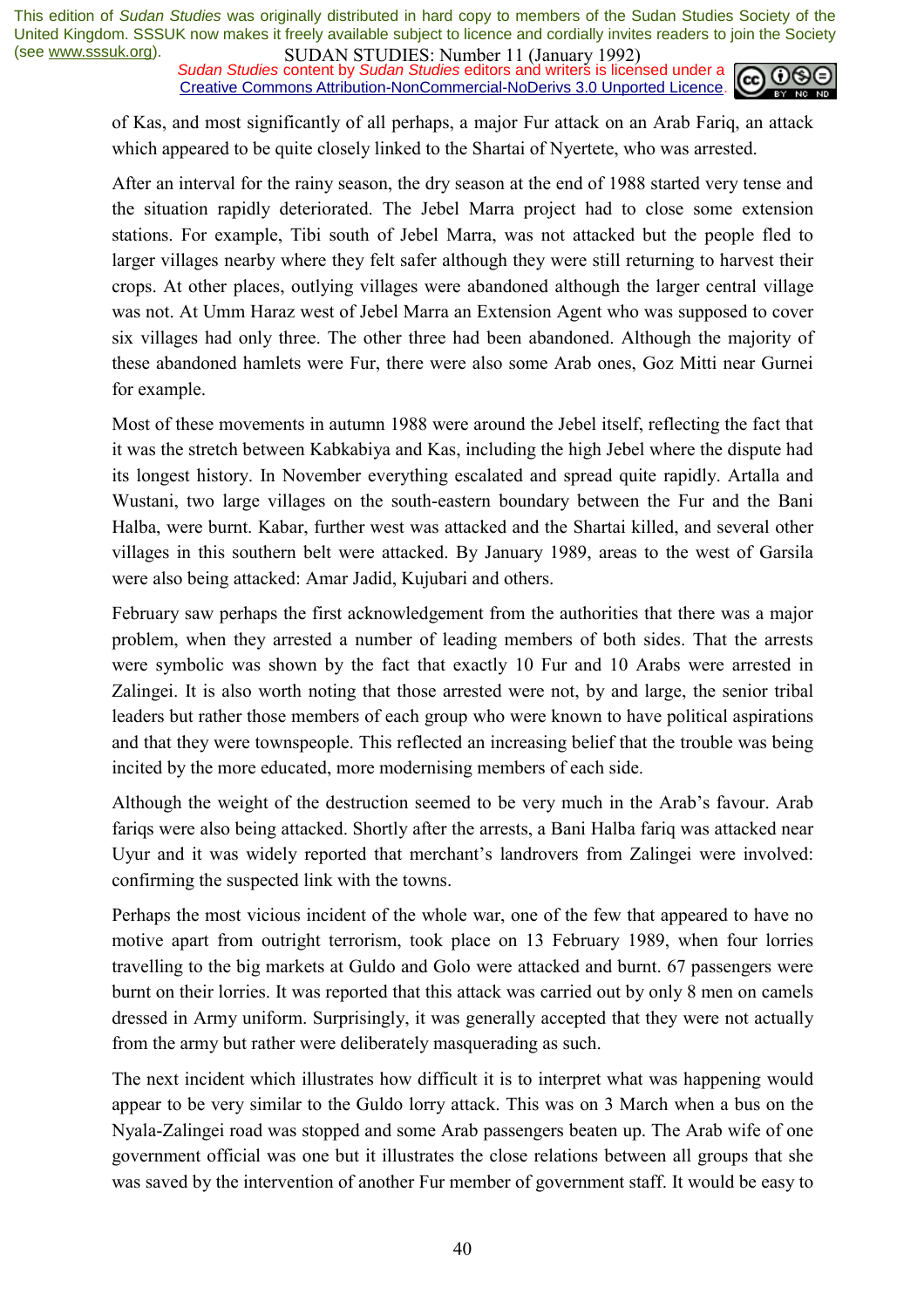*Sudan Studies* content by *Sudan Studies* editors and writers is licensed under a Creative Commons Attribution-NonCommercial-NoDerivs 3.0 Unported Licence.



of Kas, and most significantly of all perhaps, a major Fur attack on an Arab Fariq, an attack which appeared to be quite closely linked to the Shartai of Nyertete, who was arrested.

After an interval for the rainy season, the dry season at the end of 1988 started very tense and the situation rapidly deteriorated. The Jebel Marra project had to close some extension stations. For example, Tibi south of Jebel Marra, was not attacked but the people fled to larger villages nearby where they felt safer although they were still returning to harvest their crops. At other places, outlying villages were abandoned although the larger central village was not. At Umm Haraz west of Jebel Marra an Extension Agent who was supposed to cover six villages had only three. The other three had been abandoned. Although the majority of these abandoned hamlets were Fur, there were also some Arab ones, Goz Mitti near Gurnei for example.

Most of these movements in autumn 1988 were around the Jebel itself, reflecting the fact that it was the stretch between Kabkabiya and Kas, including the high Jebel where the dispute had its longest history. In November everything escalated and spread quite rapidly. Artalla and Wustani, two large villages on the south-eastern boundary between the Fur and the Bani Halba, were burnt. Kabar, further west was attacked and the Shartai killed, and several other villages in this southern belt were attacked. By January 1989, areas to the west of Garsila were also being attacked: Amar Jadid, Kujubari and others.

February saw perhaps the first acknowledgement from the authorities that there was a major problem, when they arrested a number of leading members of both sides. That the arrests were symbolic was shown by the fact that exactly 10 Fur and 10 Arabs were arrested in Zalingei. It is also worth noting that those arrested were not, by and large, the senior tribal leaders but rather those members of each group who were known to have political aspirations and that they were townspeople. This reflected an increasing belief that the trouble was being incited by the more educated, more modernising members of each side.

Although the weight of the destruction seemed to be very much in the Arab's favour. Arab fariqs were also being attacked. Shortly after the arrests, a Bani Halba fariq was attacked near Uyur and it was widely reported that merchant's landrovers from Zalingei were involved: confirming the suspected link with the towns.

Perhaps the most vicious incident of the whole war, one of the few that appeared to have no motive apart from outright terrorism, took place on 13 February 1989, when four lorries travelling to the big markets at Guldo and Golo were attacked and burnt. 67 passengers were burnt on their lorries. It was reported that this attack was carried out by only 8 men on camels dressed in Army uniform. Surprisingly, it was generally accepted that they were not actually from the army but rather were deliberately masquerading as such.

The next incident which illustrates how difficult it is to interpret what was happening would appear to be very similar to the Guldo lorry attack. This was on 3 March when a bus on the Nyala-Zalingei road was stopped and some Arab passengers beaten up. The Arab wife of one government official was one but it illustrates the close relations between all groups that she was saved by the intervention of another Fur member of government staff. It would be easy to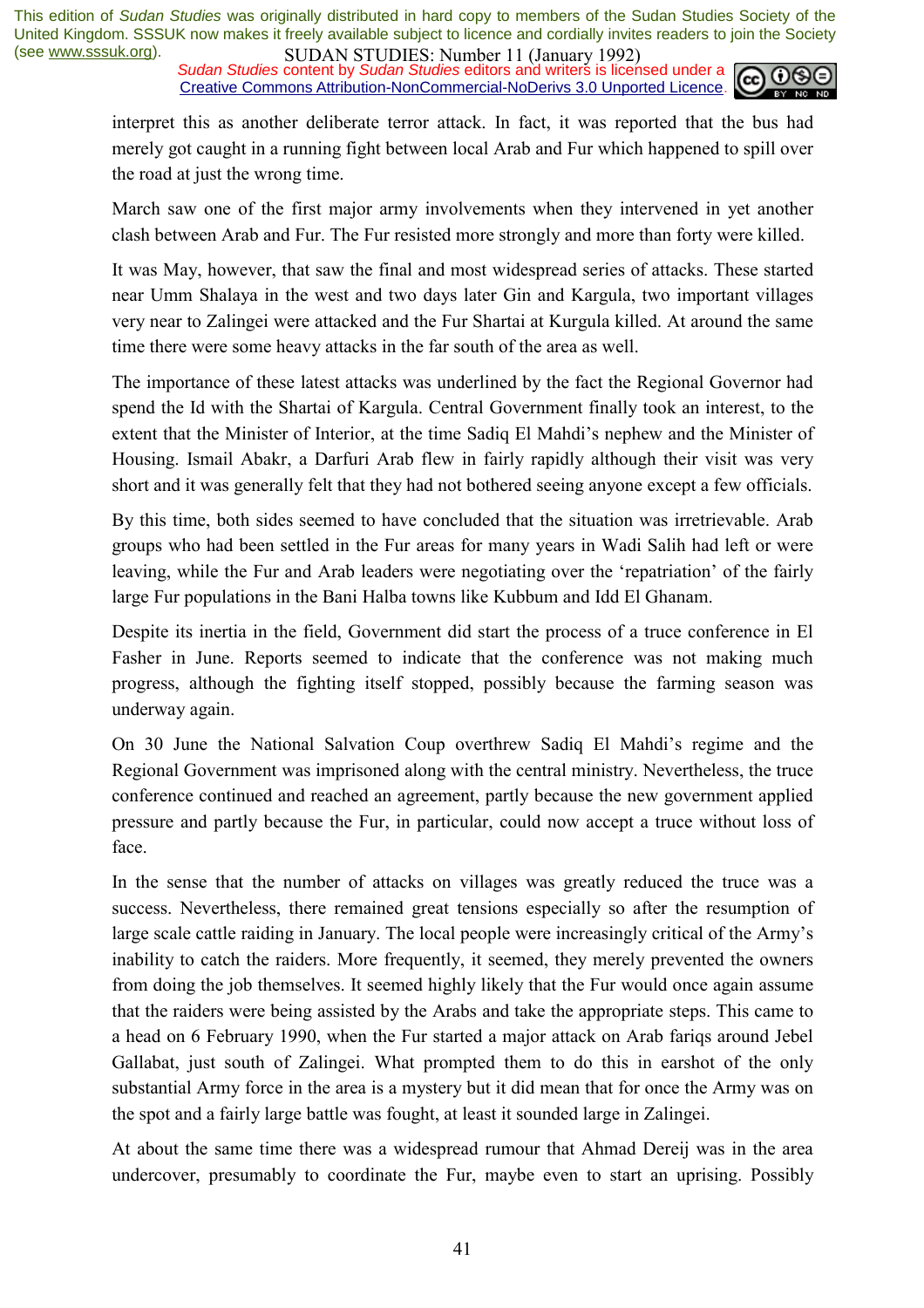*Sudan Studies* content by *Sudan Studies* editors and writers is licensed under a Creative Commons Attribution-NonCommercial-NoDerivs 3.0 Unported Licence.



interpret this as another deliberate terror attack. In fact, it was reported that the bus had merely got caught in a running fight between local Arab and Fur which happened to spill over the road at just the wrong time.

March saw one of the first major army involvements when they intervened in yet another clash between Arab and Fur. The Fur resisted more strongly and more than forty were killed.

It was May, however, that saw the final and most widespread series of attacks. These started near Umm Shalaya in the west and two days later Gin and Kargula, two important villages very near to Zalingei were attacked and the Fur Shartai at Kurgula killed. At around the same time there were some heavy attacks in the far south of the area as well.

The importance of these latest attacks was underlined by the fact the Regional Governor had spend the Id with the Shartai of Kargula. Central Government finally took an interest, to the extent that the Minister of Interior, at the time Sadiq El Mahdi's nephew and the Minister of Housing. Ismail Abakr, a Darfuri Arab flew in fairly rapidly although their visit was very short and it was generally felt that they had not bothered seeing anyone except a few officials.

By this time, both sides seemed to have concluded that the situation was irretrievable. Arab groups who had been settled in the Fur areas for many years in Wadi Salih had left or were leaving, while the Fur and Arab leaders were negotiating over the 'repatriation' of the fairly large Fur populations in the Bani Halba towns like Kubbum and Idd El Ghanam.

Despite its inertia in the field, Government did start the process of a truce conference in El Fasher in June. Reports seemed to indicate that the conference was not making much progress, although the fighting itself stopped, possibly because the farming season was underway again.

On 30 June the National Salvation Coup overthrew Sadiq El Mahdi's regime and the Regional Government was imprisoned along with the central ministry. Nevertheless, the truce conference continued and reached an agreement, partly because the new government applied pressure and partly because the Fur, in particular, could now accept a truce without loss of face.

In the sense that the number of attacks on villages was greatly reduced the truce was a success. Nevertheless, there remained great tensions especially so after the resumption of large scale cattle raiding in January. The local people were increasingly critical of the Army's inability to catch the raiders. More frequently, it seemed, they merely prevented the owners from doing the job themselves. It seemed highly likely that the Fur would once again assume that the raiders were being assisted by the Arabs and take the appropriate steps. This came to a head on 6 February 1990, when the Fur started a major attack on Arab fariqs around Jebel Gallabat, just south of Zalingei. What prompted them to do this in earshot of the only substantial Army force in the area is a mystery but it did mean that for once the Army was on the spot and a fairly large battle was fought, at least it sounded large in Zalingei.

At about the same time there was a widespread rumour that Ahmad Dereij was in the area undercover, presumably to coordinate the Fur, maybe even to start an uprising. Possibly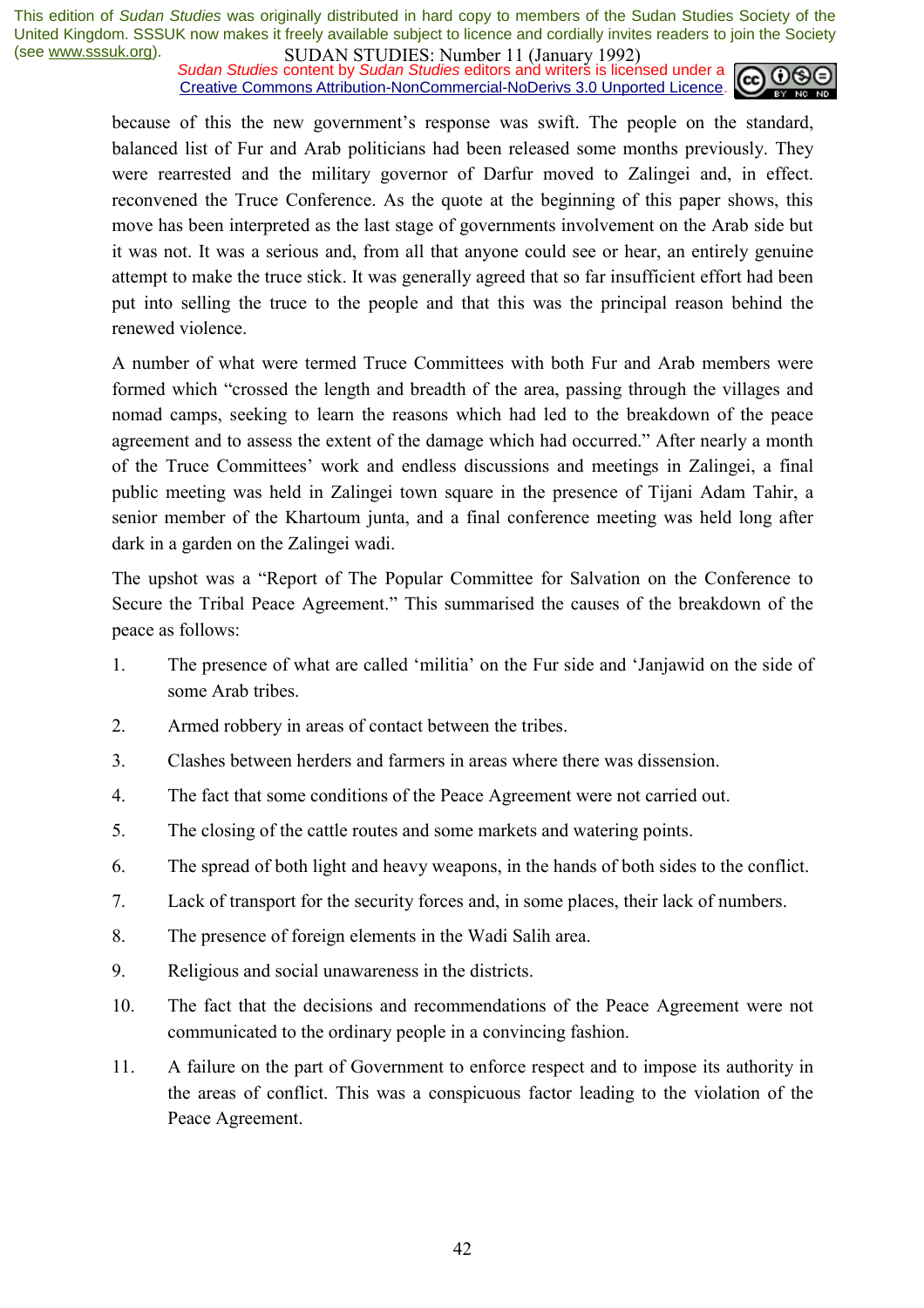*Sudan Studies* content by *Sudan Studies* editors and writers is licensed under a Creative Commons Attribution-NonCommercial-NoDerivs 3.0 Unported Licence.



because of this the new government's response was swift. The people on the standard, balanced list of Fur and Arab politicians had been released some months previously. They were rearrested and the military governor of Darfur moved to Zalingei and, in effect. reconvened the Truce Conference. As the quote at the beginning of this paper shows, this move has been interpreted as the last stage of governments involvement on the Arab side but it was not. It was a serious and, from all that anyone could see or hear, an entirely genuine attempt to make the truce stick. It was generally agreed that so far insufficient effort had been put into selling the truce to the people and that this was the principal reason behind the renewed violence.

A number of what were termed Truce Committees with both Fur and Arab members were formed which "crossed the length and breadth of the area, passing through the villages and nomad camps, seeking to learn the reasons which had led to the breakdown of the peace agreement and to assess the extent of the damage which had occurred." After nearly a month of the Truce Committees' work and endless discussions and meetings in Zalingei, a final public meeting was held in Zalingei town square in the presence of Tijani Adam Tahir, a senior member of the Khartoum junta, and a final conference meeting was held long after dark in a garden on the Zalingei wadi.

The upshot was a "Report of The Popular Committee for Salvation on the Conference to Secure the Tribal Peace Agreement." This summarised the causes of the breakdown of the peace as follows:

- 1. The presence of what are called 'militia' on the Fur side and 'Janjawid on the side of some Arab tribes.
- 2. Armed robbery in areas of contact between the tribes.
- 3. Clashes between herders and farmers in areas where there was dissension.
- 4. The fact that some conditions of the Peace Agreement were not carried out.
- 5. The closing of the cattle routes and some markets and watering points.
- 6. The spread of both light and heavy weapons, in the hands of both sides to the conflict.
- 7. Lack of transport for the security forces and, in some places, their lack of numbers.
- 8. The presence of foreign elements in the Wadi Salih area.
- 9. Religious and social unawareness in the districts.
- 10. The fact that the decisions and recommendations of the Peace Agreement were not communicated to the ordinary people in a convincing fashion.
- 11. A failure on the part of Government to enforce respect and to impose its authority in the areas of conflict. This was a conspicuous factor leading to the violation of the Peace Agreement.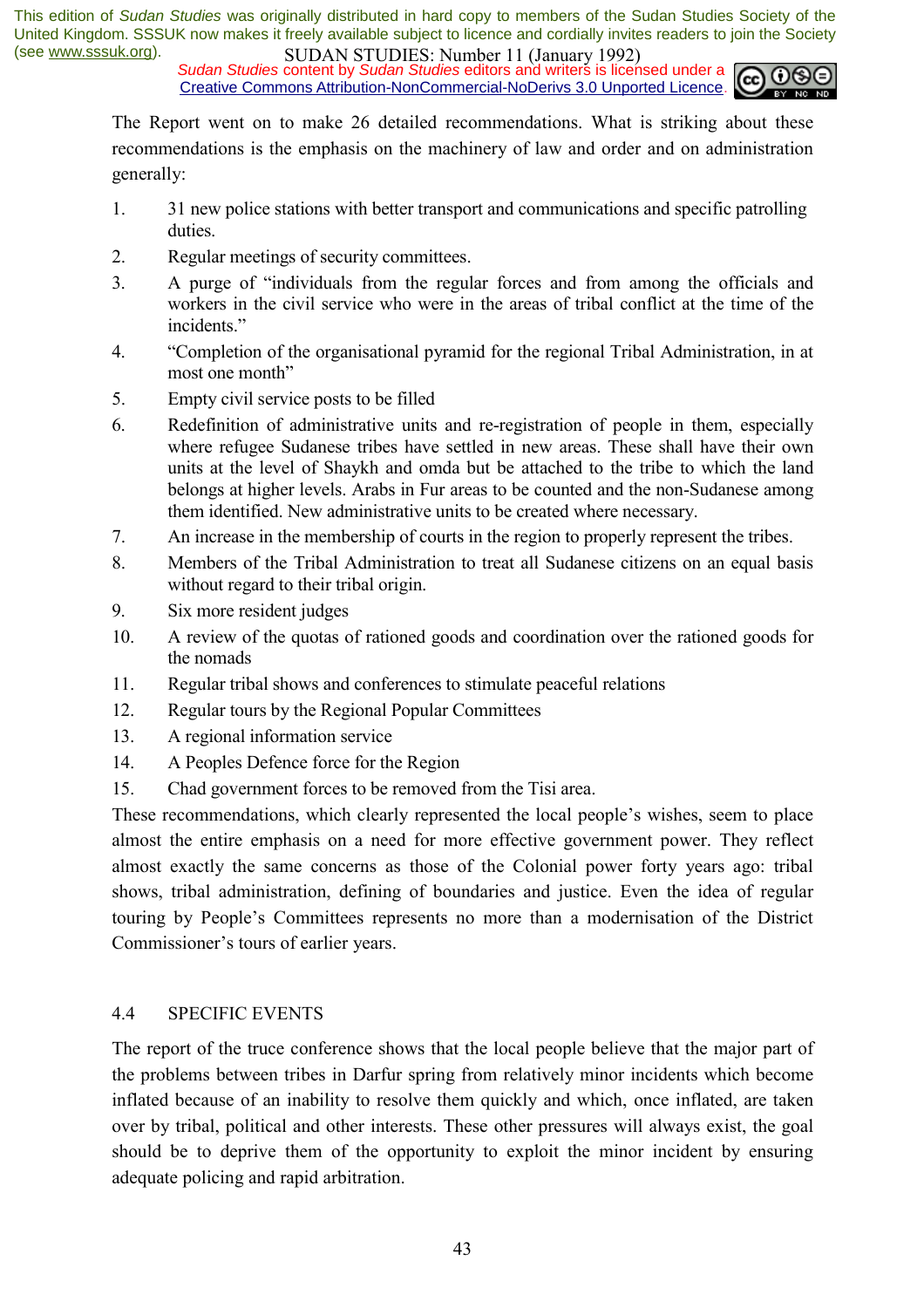*Sudan Studies* content by *Sudan Studies* editors and writers is licensed under a Creative Commons Attribution-NonCommercial-NoDerivs 3.0 Unported Licence.



The Report went on to make 26 detailed recommendations. What is striking about these recommendations is the emphasis on the machinery of law and order and on administration generally:

- 1. 31 new police stations with better transport and communications and specific patrolling duties.
- 2. Regular meetings of security committees.
- 3. A purge of "individuals from the regular forces and from among the officials and workers in the civil service who were in the areas of tribal conflict at the time of the incidents."
- 4. <sup>4</sup>Completion of the organisational pyramid for the regional Tribal Administration, in at most one month"
- 5. Empty civil service posts to be filled
- 6. Redefinition of administrative units and re-registration of people in them, especially where refugee Sudanese tribes have settled in new areas. These shall have their own units at the level of Shaykh and omda but be attached to the tribe to which the land belongs at higher levels. Arabs in Fur areas to be counted and the non-Sudanese among them identified. New administrative units to be created where necessary.
- 7. An increase in the membership of courts in the region to properly represent the tribes.
- 8. Members of the Tribal Administration to treat all Sudanese citizens on an equal basis without regard to their tribal origin.
- 9. Six more resident judges
- 10. A review of the quotas of rationed goods and coordination over the rationed goods for the nomads
- 11. Regular tribal shows and conferences to stimulate peaceful relations
- 12. Regular tours by the Regional Popular Committees
- 13. A regional information service
- 14. A Peoples Defence force for the Region
- 15. Chad government forces to be removed from the Tisi area.

These recommendations, which clearly represented the local people's wishes, seem to place almost the entire emphasis on a need for more effective government power. They reflect almost exactly the same concerns as those of the Colonial power forty years ago: tribal shows, tribal administration, defining of boundaries and justice. Even the idea of regular touring by People's Committees represents no more than a modernisation of the District Commissioner's tours of earlier years.

#### 4.4 SPECIFIC EVENTS

The report of the truce conference shows that the local people believe that the major part of the problems between tribes in Darfur spring from relatively minor incidents which become inflated because of an inability to resolve them quickly and which, once inflated, are taken over by tribal, political and other interests. These other pressures will always exist, the goal should be to deprive them of the opportunity to exploit the minor incident by ensuring adequate policing and rapid arbitration.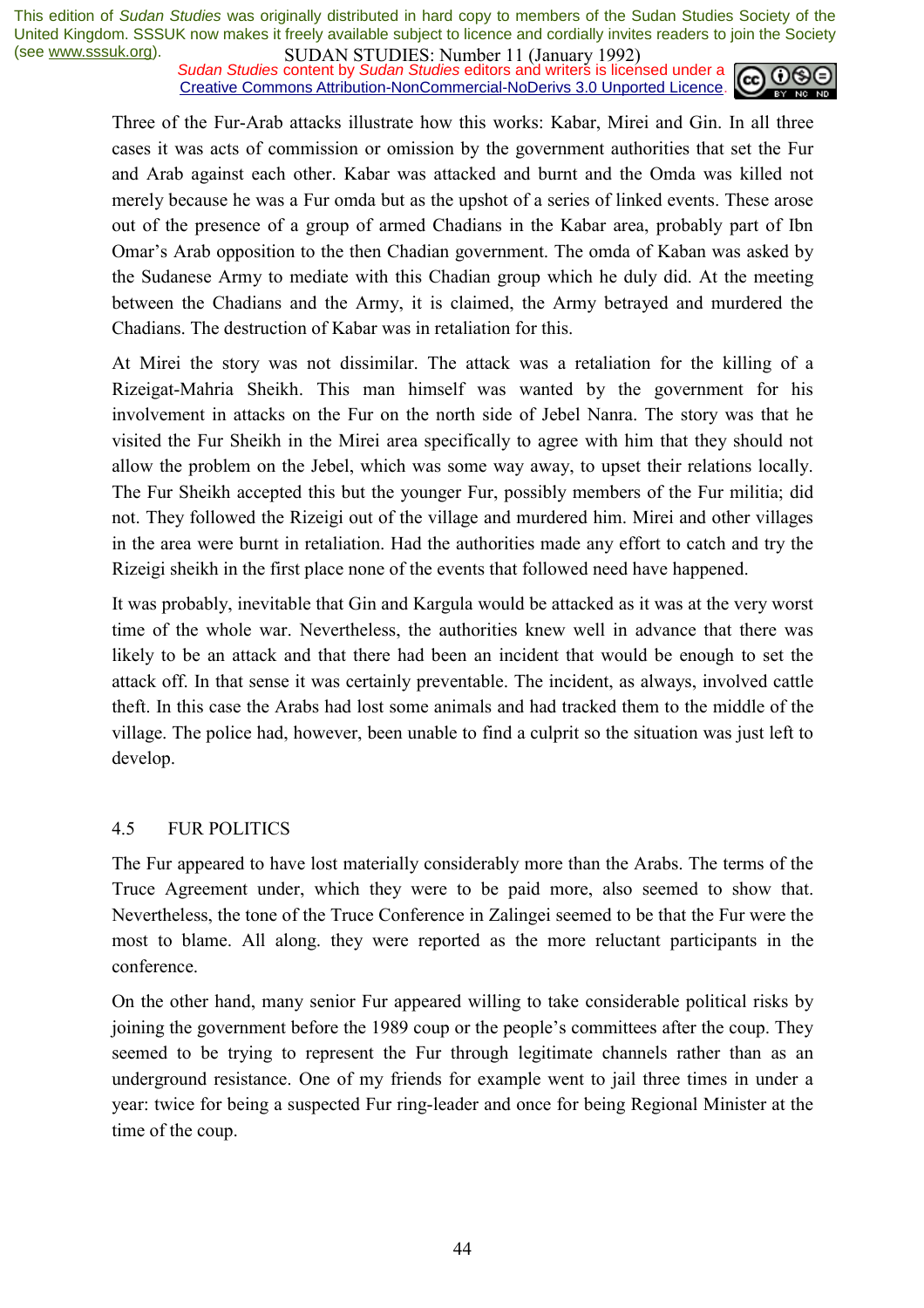*Sudan Studies* content by *Sudan Studies* editors and writers is licensed under a Creative Commons Attribution-NonCommercial-NoDerivs 3.0 Unported Licence.



Three of the Fur-Arab attacks illustrate how this works: Kabar, Mirei and Gin. In all three cases it was acts of commission or omission by the government authorities that set the Fur and Arab against each other. Kabar was attacked and burnt and the Omda was killed not merely because he was a Fur omda but as the upshot of a series of linked events. These arose out of the presence of a group of armed Chadians in the Kabar area, probably part of Ibn Omar's Arab opposition to the then Chadian government. The omda of Kaban was asked by the Sudanese Army to mediate with this Chadian group which he duly did. At the meeting between the Chadians and the Army, it is claimed, the Army betrayed and murdered the Chadians. The destruction of Kabar was in retaliation for this.

At Mirei the story was not dissimilar. The attack was a retaliation for the killing of a Rizeigat-Mahria Sheikh. This man himself was wanted by the government for his involvement in attacks on the Fur on the north side of Jebel Nanra. The story was that he visited the Fur Sheikh in the Mirei area specifically to agree with him that they should not allow the problem on the Jebel, which was some way away, to upset their relations locally. The Fur Sheikh accepted this but the younger Fur, possibly members of the Fur militia; did not. They followed the Rizeigi out of the village and murdered him. Mirei and other villages in the area were burnt in retaliation. Had the authorities made any effort to catch and try the Rizeigi sheikh in the first place none of the events that followed need have happened.

It was probably, inevitable that Gin and Kargula would be attacked as it was at the very worst time of the whole war. Nevertheless, the authorities knew well in advance that there was likely to be an attack and that there had been an incident that would be enough to set the attack off. In that sense it was certainly preventable. The incident, as always, involved cattle theft. In this case the Arabs had lost some animals and had tracked them to the middle of the village. The police had, however, been unable to find a culprit so the situation was just left to develop.

#### 4.5 FUR POLITICS

The Fur appeared to have lost materially considerably more than the Arabs. The terms of the Truce Agreement under, which they were to be paid more, also seemed to show that. Nevertheless, the tone of the Truce Conference in Zalingei seemed to be that the Fur were the most to blame. All along. they were reported as the more reluctant participants in the conference.

On the other hand, many senior Fur appeared willing to take considerable political risks by joining the government before the 1989 coup or the people's committees after the coup. They seemed to be trying to represent the Fur through legitimate channels rather than as an underground resistance. One of my friends for example went to jail three times in under a year: twice for being a suspected Fur ring-leader and once for being Regional Minister at the time of the coup.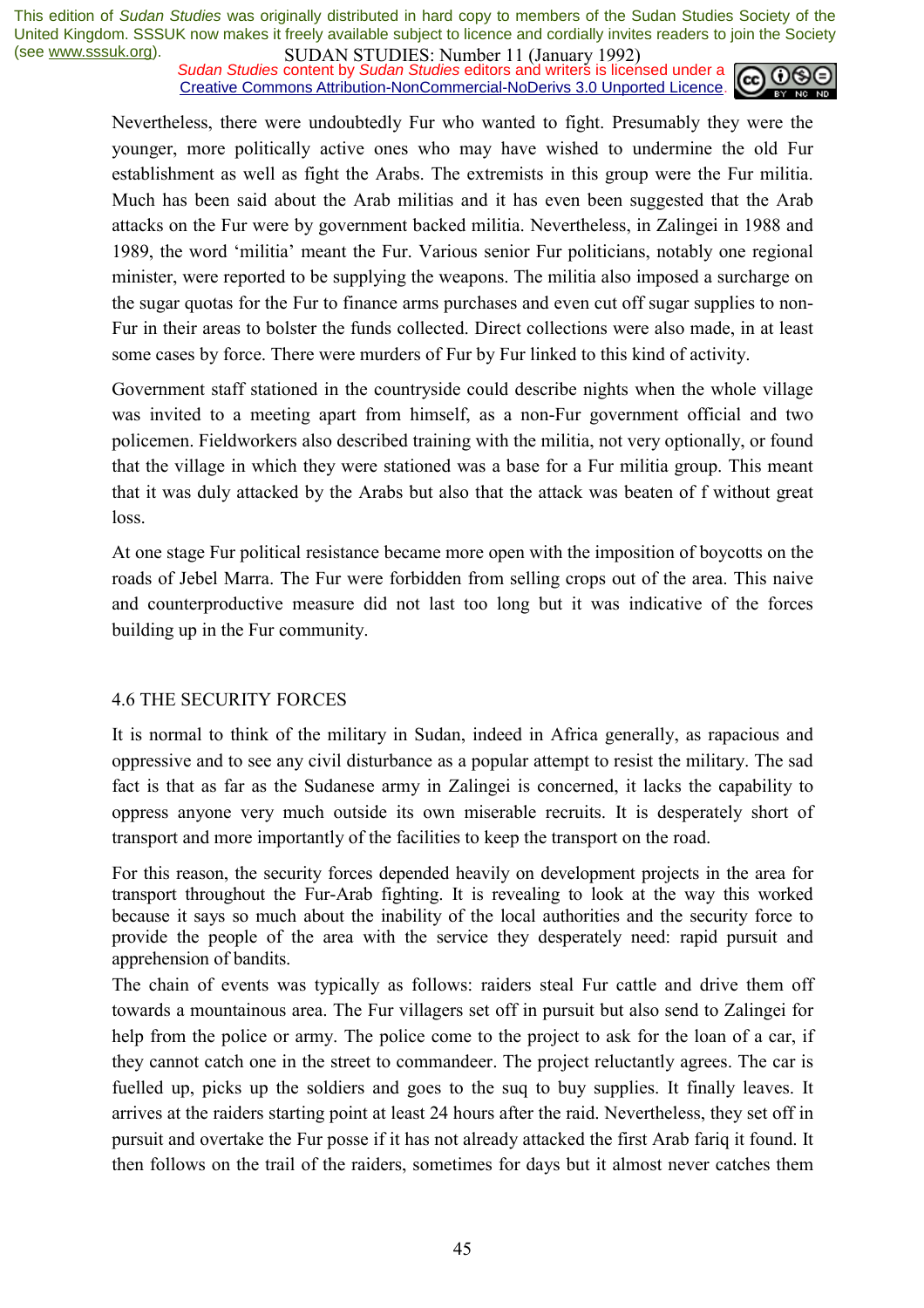*Sudan Studies* content by *Sudan Studies* editors and writers is licensed under a Creative Commons Attribution-NonCommercial-NoDerivs 3.0 Unported Licence.



Nevertheless, there were undoubtedly Fur who wanted to fight. Presumably they were the younger, more politically active ones who may have wished to undermine the old Fur establishment as well as fight the Arabs. The extremists in this group were the Fur militia. Much has been said about the Arab militias and it has even been suggested that the Arab attacks on the Fur were by government backed militia. Nevertheless, in Zalingei in 1988 and 1989, the word 'militia' meant the Fur. Various senior Fur politicians, notably one regional minister, were reported to be supplying the weapons. The militia also imposed a surcharge on the sugar quotas for the Fur to finance arms purchases and even cut off sugar supplies to non-Fur in their areas to bolster the funds collected. Direct collections were also made, in at least some cases by force. There were murders of Fur by Fur linked to this kind of activity.

Government staff stationed in the countryside could describe nights when the whole village was invited to a meeting apart from himself, as a non-Fur government official and two policemen. Fieldworkers also described training with the militia, not very optionally, or found that the village in which they were stationed was a base for a Fur militia group. This meant that it was duly attacked by the Arabs but also that the attack was beaten of f without great loss.

At one stage Fur political resistance became more open with the imposition of boycotts on the roads of Jebel Marra. The Fur were forbidden from selling crops out of the area. This naive and counterproductive measure did not last too long but it was indicative of the forces building up in the Fur community.

#### 4.6 THE SECURITY FORCES

It is normal to think of the military in Sudan, indeed in Africa generally, as rapacious and oppressive and to see any civil disturbance as a popular attempt to resist the military. The sad fact is that as far as the Sudanese army in Zalingei is concerned, it lacks the capability to oppress anyone very much outside its own miserable recruits. It is desperately short of transport and more importantly of the facilities to keep the transport on the road.

For this reason, the security forces depended heavily on development projects in the area for transport throughout the Fur-Arab fighting. It is revealing to look at the way this worked because it says so much about the inability of the local authorities and the security force to provide the people of the area with the service they desperately need: rapid pursuit and apprehension of bandits.

The chain of events was typically as follows: raiders steal Fur cattle and drive them off towards a mountainous area. The Fur villagers set off in pursuit but also send to Zalingei for help from the police or army. The police come to the project to ask for the loan of a car, if they cannot catch one in the street to commandeer. The project reluctantly agrees. The car is fuelled up, picks up the soldiers and goes to the suq to buy supplies. It finally leaves. It arrives at the raiders starting point at least 24 hours after the raid. Nevertheless, they set off in pursuit and overtake the Fur posse if it has not already attacked the first Arab fariq it found. It then follows on the trail of the raiders, sometimes for days but it almost never catches them